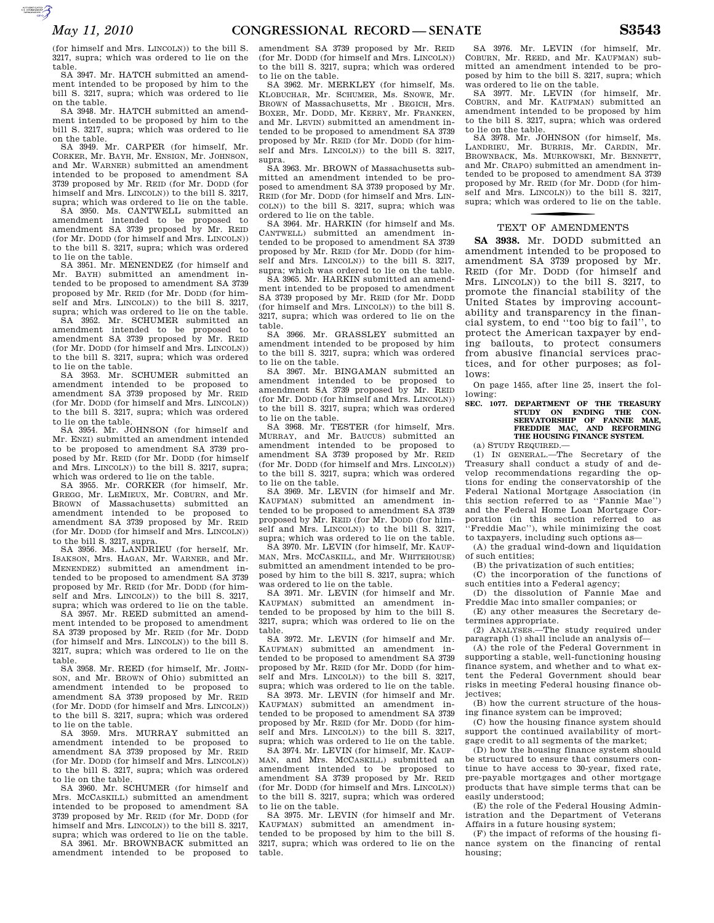(for himself and Mrs. LINCOLN)) to the bill S. 3217, supra; which was ordered to lie on the table.

SA 3947. Mr. HATCH submitted an amendment intended to be proposed by him to the bill S. 3217, supra; which was ordered to lie on the table.

SA 3948. Mr. HATCH submitted an amendment intended to be proposed by him to the bill S. 3217, supra; which was ordered to lie on the table.

SA 3949. Mr. CARPER (for himself, Mr. CORKER, Mr. BAYH, Mr. ENSIGN, Mr. JOHNSON, and Mr. WARNER) submitted an amendment intended to be proposed to amendment SA 3739 proposed by Mr. REID (for Mr. DODD (for himself and Mrs. LINCOLN)) to the bill S. 3217, supra; which was ordered to lie on the table.

SA 3950. Ms. CANTWELL submitted an amendment intended to be proposed to amendment SA 3739 proposed by Mr. REID (for Mr. DODD (for himself and Mrs. LINCOLN)) to the bill S. 3217, supra; which was ordered to lie on the table.

SA 3951. Mr. MENENDEZ (for himself and Mr. BAYH) submitted an amendment intended to be proposed to amendment SA 3739 proposed by Mr. REID (for Mr. DODD (for himself and Mrs. LINCOLN) to the bill S. 3217. supra; which was ordered to lie on the table.

SA 3952. Mr. SCHUMER submitted an amendment intended to be proposed to amendment SA 3739 proposed by Mr. REID (for Mr. DODD (for himself and Mrs. LINCOLN)) to the bill S. 3217, supra; which was ordered to lie on the table.

SA 3953. Mr. SCHUMER submitted an amendment intended to be proposed to amendment SA 3739 proposed by Mr. REID (for Mr. DODD (for himself and Mrs. LINCOLN)) to the bill S. 3217, supra; which was ordered to lie on the table.

SA 3954. Mr. JOHNSON (for himself and Mr. ENZI) submitted an amendment intended to be proposed to amendment SA 3739 proposed by Mr. REID (for Mr. DODD (for himself and Mrs. LINCOLN)) to the bill S. 3217, supra; which was ordered to lie on the table.

SA 3955. Mr. CORKER (for himself, Mr. GREGG, Mr. LEMIEUX, Mr. COBURN, and Mr. BROWN of Massachusetts) submitted an amendment intended to be proposed to amendment SA 3739 proposed by Mr. REID (for Mr. DODD (for himself and Mrs. LINCOLN)) to the bill S. 3217, supra.

SA 3956. Ms. LANDRIEU (for herself, Mr. ISAKSON, Mrs. HAGAN, Mr. WARNER, and Mr. MENENDEZ) submitted an amendment intended to be proposed to amendment SA 3739 proposed by Mr. REID (for Mr. DODD (for himself and Mrs. LINCOLN)) to the bill S. 3217, supra; which was ordered to lie on the table.

SA 3957. Mr. REED submitted an amendment intended to be proposed to amendment SA 3739 proposed by Mr. REID (for Mr. DODD (for himself and Mrs. LINCOLN)) to the bill S. 3217, supra; which was ordered to lie on the table.

SA 3958. Mr. REED (for himself, Mr. JOHN-SON, and Mr. BROWN of Ohio) submitted an amendment intended to be proposed to amendment SA 3739 proposed by Mr. REID (for Mr. DODD (for himself and Mrs. LINCOLN)) to the bill S. 3217, supra; which was ordered to lie on the table. SA 3959. Mrs. MURRAY submitted an

amendment intended to be proposed to amendment SA 3739 proposed by Mr. REID (for Mr. DODD (for himself and Mrs. LINCOLN)) to the bill S. 3217, supra; which was ordered to lie on the table.

SA 3960. Mr. SCHUMER (for himself and Mrs. MCCASKILL) submitted an amendment intended to be proposed to amendment SA 3739 proposed by Mr. REID (for Mr. DODD (for himself and Mrs. LINCOLN)) to the bill S. 3217. supra; which was ordered to lie on the table.

SA 3961. Mr. BROWNBACK submitted an amendment intended to be proposed to

amendment SA 3739 proposed by Mr. REID (for Mr. DODD (for himself and Mrs. LINCOLN)) to the bill S. 3217, supra; which was ordered to lie on the table.

SA 3962. Mr. MERKLEY (for himself, Ms. KLOBUCHAR, Mr. SCHUMER, Ms. SNOWE, Mr. BROWN of Massachusetts, Mr . BEGICH, Mrs. BOXER, Mr. DODD, Mr. KERRY, Mr. FRANKEN, and Mr. LEVIN) submitted an amendment intended to be proposed to amendment SA 3739 proposed by Mr. REID (for Mr. DODD (for himself and Mrs. LINCOLN)) to the bill S. 3217, supra.

SA 3963. Mr. BROWN of Massachusetts submitted an amendment intended to be proposed to amendment SA 3739 proposed by Mr. REID (for Mr. DODD (for himself and Mrs. LIN-COLN)) to the bill S. 3217, supra; which was ordered to lie on the table.

SA 3964. Mr. HARKIN (for himself and Ms. CANTWELL) submitted an amendment intended to be proposed to amendment SA 3739 proposed by Mr. REID (for Mr. DODD (for himself and Mrs. LINCOLN)) to the bill S. 3217, supra; which was ordered to lie on the table.

SA 3965. Mr. HARKIN submitted an amendment intended to be proposed to amendment SA 3739 proposed by Mr. REID (for Mr. DODD (for himself and Mrs. LINCOLN)) to the bill S. 3217, supra; which was ordered to lie on the table.

SA 3966. Mr. GRASSLEY submitted an amendment intended to be proposed by him to the bill S. 3217, supra; which was ordered to lie on the table.

SA 3967. Mr. BINGAMAN submitted an amendment intended to be proposed to amendment SA 3739 proposed by Mr. REID (for Mr. DODD (for himself and Mrs. LINCOLN)) to the bill S. 3217, supra; which was ordered to lie on the table.

SA 3968. Mr. TESTER (for himself, Mrs. MURRAY, and Mr. BAUCUS) submitted an amendment intended to be proposed to amendment SA 3739 proposed by Mr. REID (for Mr. DODD (for himself and Mrs. LINCOLN)) to the bill S. 3217, supra; which was ordered to lie on the table.

SA 3969. Mr. LEVIN (for himself and Mr. KAUFMAN) submitted an amendment intended to be proposed to amendment SA 3739 proposed by Mr. REID (for Mr. DODD (for himself and Mrs. LINCOLN)) to the bill S. 3217, supra; which was ordered to lie on the table.

SA 3970. Mr. LEVIN (for himself, Mr. KAUF-MAN, Mrs. MCCASKILL, and Mr. WHITEHOUSE) submitted an amendment intended to be proposed by him to the bill S. 3217, supra; which was ordered to lie on the table.

SA 3971. Mr. LEVIN (for himself and Mr. KAUFMAN) submitted an amendment intended to be proposed by him to the bill S. 3217, supra; which was ordered to lie on the table.

SA 3972. Mr. LEVIN (for himself and Mr. KAUFMAN) submitted an amendment intended to be proposed to amendment SA 3739 proposed by Mr. REID (for Mr. DODD (for himself and Mrs. LINCOLN)) to the bill S. 3217, supra; which was ordered to lie on the table.

SA 3973. Mr. LEVIN (for himself and Mr. KAUFMAN) submitted an amendment intended to be proposed to amendment SA 3739 proposed by Mr. REID (for Mr. DODD (for himself and Mrs. LINCOLN)) to the bill S. 3217, supra; which was ordered to lie on the table.

SA 3974. Mr. LEVIN (for himself, Mr. KAUF-MAN, and Mrs. MCCASKILL) submitted an amendment intended to be proposed to amendment SA 3739 proposed by Mr. REID (for Mr. DODD (for himself and Mrs. LINCOLN)) to the bill S. 3217, supra; which was ordered to lie on the table.

SA 3975. Mr. LEVIN (for himself and Mr. KAUFMAN) submitted an amendment intended to be proposed by him to the bill S. 3217, supra; which was ordered to lie on the table.

SA 3976. Mr. LEVIN (for himself, Mr. COBURN, Mr. REED, and Mr. KAUFMAN) submitted an amendment intended to be proposed by him to the bill S. 3217, supra; which was ordered to lie on the table.

SA 3977. Mr. LEVIN (for himself, Mr. COBURN, and Mr. KAUFMAN) submitted an amendment intended to be proposed by him to the bill S. 3217, supra; which was ordered to lie on the table.

SA 3978. Mr. JOHNSON (for himself, Ms. LANDRIEU, Mr. BURRIS, Mr. CARDIN, Mr. BROWNBACK, Ms. MURKOWSKI, Mr. BENNETT, and Mr. CRAPO) submitted an amendment intended to be proposed to amendment SA 3739 proposed by Mr. REID (for Mr. DODD (for himself and Mrs. LINCOLN) to the bill S. 3217, supra; which was ordered to lie on the table.

# TEXT OF AMENDMENTS

**SA 3938.** Mr. DODD submitted an amendment intended to be proposed to amendment SA 3739 proposed by Mr. REID (for Mr. DODD (for himself and Mrs. LINCOLN)) to the bill S. 3217, to promote the financial stability of the United States by improving accountability and transparency in the financial system, to end ''too big to fail'', to protect the American taxpayer by ending bailouts, to protect consumers from abusive financial services practices, and for other purposes; as follows:

On page 1455, after line 25, insert the following:

# **SEC. 1077. DEPARTMENT OF THE TREASURY STUDY ON ENDING THE CON-SERVATORSHIP OF FANNIE MAE, FREDDIE MAC, AND REFORMING THE HOUSING FINANCE SYSTEM.**

(a) STUDY REQUIRED.—

(1) IN GENERAL.—The Secretary of the Treasury shall conduct a study of and develop recommendations regarding the options for ending the conservatorship of the Federal National Mortgage Association (in this section referred to as ''Fannie Mae'') and the Federal Home Loan Mortgage Corporation (in this section referred to as 'Freddie Mac''), while minimizing the cost to taxpayers, including such options as—

(A) the gradual wind-down and liquidation of such entities;

(B) the privatization of such entities;

(C) the incorporation of the functions of such entities into a Federal agency;

(D) the dissolution of Fannie Mae and Freddie Mac into smaller companies; or

(E) any other measures the Secretary determines appropriate.

(2) ANALYSES.—The study required under paragraph (1) shall include an analysis of—

(A) the role of the Federal Government in supporting a stable, well-functioning housing finance system, and whether and to what extent the Federal Government should bear risks in meeting Federal housing finance objectives;

(B) how the current structure of the housing finance system can be improved;

(C) how the housing finance system should support the continued availability of mortgage credit to all segments of the market;

(D) how the housing finance system should be structured to ensure that consumers continue to have access to 30-year, fixed rate, pre-payable mortgages and other mortgage products that have simple terms that can be easily understood;

(E) the role of the Federal Housing Administration and the Department of Veterans Affairs in a future housing system;

(F) the impact of reforms of the housing finance system on the financing of rental housing;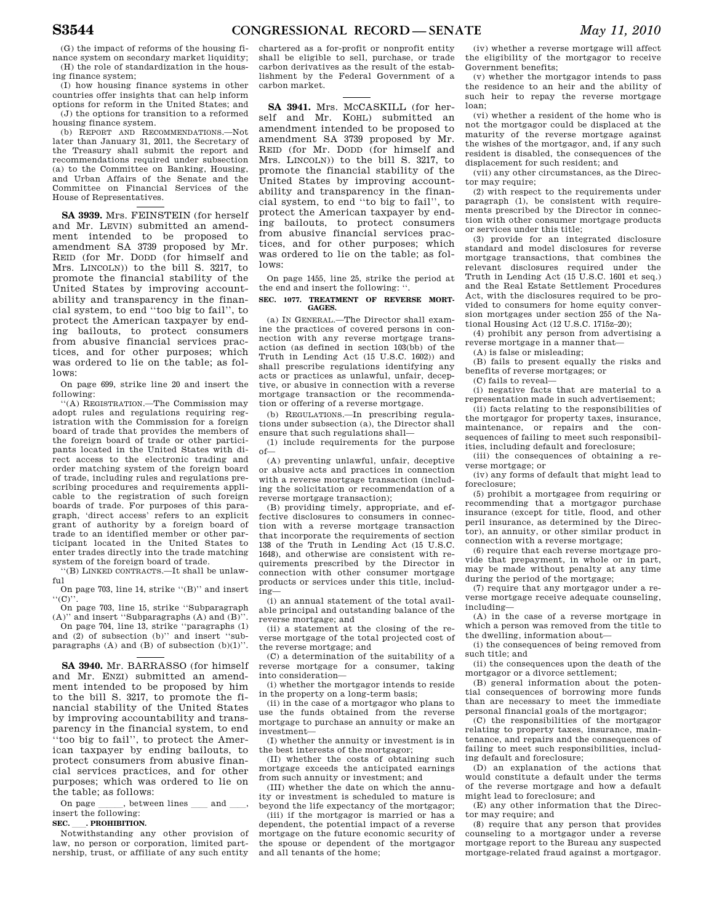(G) the impact of reforms of the housing finance system on secondary market liquidity;

(H) the role of standardization in the housing finance system;

(I) how housing finance systems in other countries offer insights that can help inform options for reform in the United States; and

(J) the options for transition to a reformed housing finance system.

(b) REPORT AND RECOMMENDATIONS.—Not later than January 31, 2011, the Secretary of the Treasury shall submit the report and recommendations required under subsection (a) to the Committee on Banking, Housing, and Urban Affairs of the Senate and the Committee on Financial Services of the House of Representatives.

**SA 3939.** Mrs. FEINSTEIN (for herself and Mr. LEVIN) submitted an amendment intended to be proposed to amendment SA 3739 proposed by Mr. REID (for Mr. DODD (for himself and Mrs. LINCOLN)) to the bill S. 3217, to promote the financial stability of the United States by improving accountability and transparency in the financial system, to end ''too big to fail'', to protect the American taxpayer by ending bailouts, to protect consumers from abusive financial services practices, and for other purposes; which was ordered to lie on the table; as follows:

On page 699, strike line 20 and insert the following:

''(A) REGISTRATION.—The Commission may adopt rules and regulations requiring registration with the Commission for a foreign board of trade that provides the members of the foreign board of trade or other participants located in the United States with direct access to the electronic trading and order matching system of the foreign board of trade, including rules and regulations prescribing procedures and requirements applicable to the registration of such foreign boards of trade. For purposes of this paragraph, 'direct access' refers to an explicit grant of authority by a foreign board of trade to an identified member or other participant located in the United States to enter trades directly into the trade matching system of the foreign board of trade.

''(B) LINKED CONTRACTS.—It shall be unlawful<sup>1</sup>

On page 703, line 14, strike ''(B)'' and insert ''(C)''.

On page 703, line 15, strike ''Subparagraph (A)'' and insert ''Subparagraphs (A) and (B)''.

On page 704, line 13, strike ''paragraphs (1) and (2) of subsection (b)'' and insert ''subparagraphs (A) and (B) of subsection (b)(1)''.

**SA 3940.** Mr. BARRASSO (for himself and Mr. ENZI) submitted an amendment intended to be proposed by him to the bill S. 3217, to promote the financial stability of the United States by improving accountability and transparency in the financial system, to end ''too big to fail'', to protect the American taxpayer by ending bailouts, to protect consumers from abusive financial services practices, and for other purposes; which was ordered to lie on the table; as follows:

On page  $\_\_$ , between lines  $\_\_$  and  $\_\_$ , insert the following:

**SEC.** PROHIBITION.<br>Notwithstanding any other provision of law, no person or corporation, limited partnership, trust, or affiliate of any such entity

chartered as a for-profit or nonprofit entity shall be eligible to sell, purchase, or trade carbon derivatives as the result of the establishment by the Federal Government of a carbon market.

**SA 3941.** Mrs. MCCASKILL (for herself and Mr. KOHL) submitted an amendment intended to be proposed to amendment SA 3739 proposed by Mr. REID (for Mr. DODD (for himself and Mrs. LINCOLN)) to the bill S. 3217, to promote the financial stability of the United States by improving accountability and transparency in the financial system, to end ''to big to fail'', to protect the American taxpayer by ending bailouts, to protect consumers from abusive financial services practices, and for other purposes; which was ordered to lie on the table; as follows:

On page 1455, line 25, strike the period at the end and insert the following: ''.

# **SEC. 1077. TREATMENT OF REVERSE MORT-GAGES.**

(a) IN GENERAL.—The Director shall examine the practices of covered persons in connection with any reverse mortgage transaction (as defined in section 103(bb) of the Truth in Lending Act (15 U.S.C. 1602)) and shall prescribe regulations identifying any acts or practices as unlawful, unfair, deceptive, or abusive in connection with a reverse mortgage transaction or the recommendation or offering of a reverse mortgage.

(b) REGULATIONS.—In prescribing regulations under subsection (a), the Director shall ensure that such regulations shall—

(1) include requirements for the purpose of—

(A) preventing unlawful, unfair, deceptive or abusive acts and practices in connection with a reverse mortgage transaction (including the solicitation or recommendation of a reverse mortgage transaction);

(B) providing timely, appropriate, and effective disclosures to consumers in connection with a reverse mortgage transaction that incorporate the requirements of section 138 of the Truth in Lending Act (15 U.S.C. 1648), and otherwise are consistent with requirements prescribed by the Director in connection with other consumer mortgage products or services under this title, including—

(i) an annual statement of the total available principal and outstanding balance of the reverse mortgage; and

(ii) a statement at the closing of the reverse mortgage of the total projected cost of the reverse mortgage; and

(C) a determination of the suitability of a reverse mortgage for a consumer, taking into consideration—

(i) whether the mortgagor intends to reside in the property on a long-term basis;

(ii) in the case of a mortgagor who plans to use the funds obtained from the reverse mortgage to purchase an annuity or make an investment—

(I) whether the annuity or investment is in the best interests of the mortgagor;

(II) whether the costs of obtaining such mortgage exceeds the anticipated earnings from such annuity or investment; and

(III) whether the date on which the annuity or investment is scheduled to mature is beyond the life expectancy of the mortgagor;

(iii) if the mortgagor is married or has a dependent, the potential impact of a reverse mortgage on the future economic security of the spouse or dependent of the mortgagor and all tenants of the home;

(iv) whether a reverse mortgage will affect the eligibility of the mortgagor to receive Government benefits;

(v) whether the mortgagor intends to pass the residence to an heir and the ability of such heir to repay the reverse mortgage loan;

(vi) whether a resident of the home who is not the mortgagor could be displaced at the maturity of the reverse mortgage against the wishes of the mortgagor, and, if any such resident is disabled, the consequences of the displacement for such resident; and

(vii) any other circumstances, as the Director may require;

(2) with respect to the requirements under paragraph (1), be consistent with requirements prescribed by the Director in connection with other consumer mortgage products or services under this title;

(3) provide for an integrated disclosure standard and model disclosures for reverse mortgage transactions, that combines the relevant disclosures required under the Truth in Lending Act (15 U.S.C. 1601 et seq.) and the Real Estate Settlement Procedures Act, with the disclosures required to be provided to consumers for home equity conversion mortgages under section 255 of the National Housing Act (12 U.S.C. 1715z–20);

(4) prohibit any person from advertising a reverse mortgage in a manner that—

(A) is false or misleading;

(B) fails to present equally the risks and benefits of reverse mortgages; or

(C) fails to reveal—

(i) negative facts that are material to a representation made in such advertisement;

(ii) facts relating to the responsibilities of the mortgagor for property taxes, insurance, maintenance, or repairs and the consequences of failing to meet such responsibilities, including default and foreclosure;

(iii) the consequences of obtaining a reverse mortgage; or

(iv) any forms of default that might lead to foreclosure;

(5) prohibit a mortgagee from requiring or recommending that a mortgagor purchase insurance (except for title, flood, and other peril insurance, as determined by the Director), an annuity, or other similar product in connection with a reverse mortgage;

(6) require that each reverse mortgage provide that prepayment, in whole or in part, may be made without penalty at any time during the period of the mortgage;

(7) require that any mortgagor under a reverse mortgage receive adequate counseling, including—

(A) in the case of a reverse mortgage in which a person was removed from the title to the dwelling, information about—

(i) the consequences of being removed from such title; and

(ii) the consequences upon the death of the mortgagor or a divorce settlement;

(B) general information about the potential consequences of borrowing more funds than are necessary to meet the immediate personal financial goals of the mortgagor;

(C) the responsibilities of the mortgagor relating to property taxes, insurance, maintenance, and repairs and the consequences of failing to meet such responsibilities, including default and foreclosure;

(D) an explanation of the actions that would constitute a default under the terms of the reverse mortgage and how a default might lead to foreclosure; and

(E) any other information that the Director may require; and

(8) require that any person that provides counseling to a mortgagor under a reverse mortgage report to the Bureau any suspected mortgage-related fraud against a mortgagor.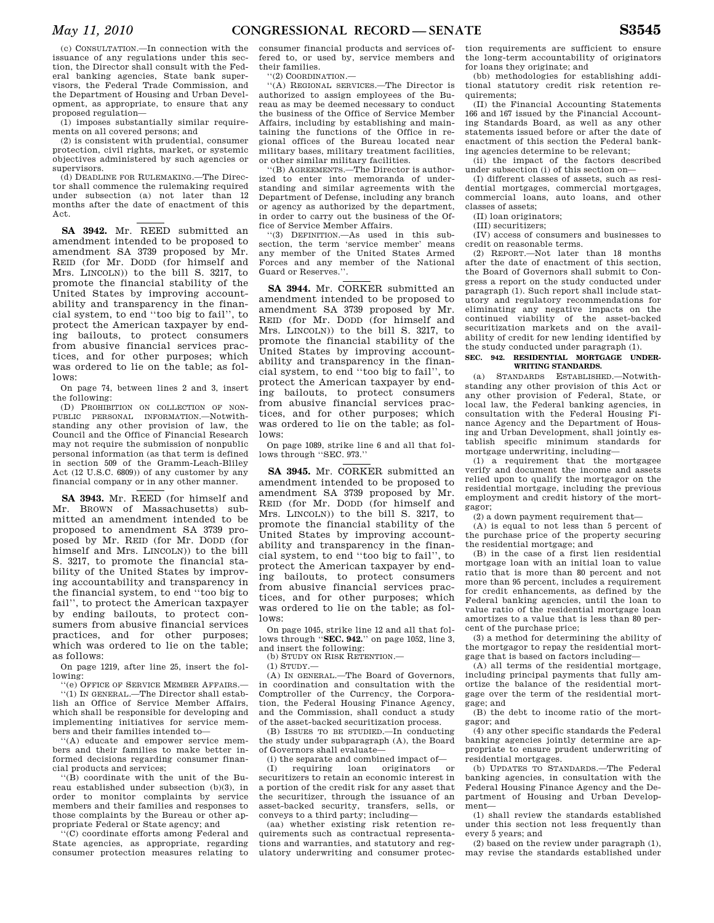(c) CONSULTATION.—In connection with the issuance of any regulations under this section, the Director shall consult with the Federal banking agencies, State bank supervisors, the Federal Trade Commission, and the Department of Housing and Urban Development, as appropriate, to ensure that any proposed regulation—

(1) imposes substantially similar requirements on all covered persons; and

(2) is consistent with prudential, consumer protection, civil rights, market, or systemic objectives administered by such agencies or supervisors.

(d) DEADLINE FOR RULEMAKING.—The Director shall commence the rulemaking required under subsection (a) not later than 12 months after the date of enactment of this Act.

**SA 3942.** Mr. REED submitted an amendment intended to be proposed to amendment SA 3739 proposed by Mr. REID (for Mr. DODD (for himself and Mrs. LINCOLN)) to the bill S. 3217, to promote the financial stability of the United States by improving accountability and transparency in the financial system, to end ''too big to fail'', to protect the American taxpayer by ending bailouts, to protect consumers from abusive financial services practices, and for other purposes; which was ordered to lie on the table; as follows:

On page 74, between lines 2 and 3, insert the following:

(D) PROHIBITION ON COLLECTION OF NON-PUBLIC PERSONAL INFORMATION.—Notwithstanding any other provision of law, the Council and the Office of Financial Research may not require the submission of nonpublic personal information (as that term is defined in section 509 of the Gramm-Leach-Bliley Act (12 U.S.C. 6809)) of any customer by any financial company or in any other manner.

**SA 3943.** Mr. REED (for himself and Mr. BROWN of Massachusetts) submitted an amendment intended to be proposed to amendment SA 3739 proposed by Mr. REID (for Mr. DODD (for himself and Mrs. LINCOLN)) to the bill S. 3217, to promote the financial stability of the United States by improving accountability and transparency in the financial system, to end ''too big to fail'', to protect the American taxpayer by ending bailouts, to protect consumers from abusive financial services practices, and for other purposes; which was ordered to lie on the table; as follows:

On page 1219, after line 25, insert the following:

''(e) OFFICE OF SERVICE MEMBER AFFAIRS.— ''(1) IN GENERAL.—The Director shall establish an Office of Service Member Affairs, which shall be responsible for developing and implementing initiatives for service members and their families intended to—

''(A) educate and empower service members and their families to make better informed decisions regarding consumer financial products and services;

''(B) coordinate with the unit of the Bureau established under subsection (b)(3), in order to monitor complaints by service members and their families and responses to those complaints by the Bureau or other appropriate Federal or State agency; and

''(C) coordinate efforts among Federal and State agencies, as appropriate, regarding consumer protection measures relating to

consumer financial products and services offered to, or used by, service members and their families.

''(2) COORDINATION.—

''(A) REGIONAL SERVICES.—The Director is authorized to assign employees of the Bureau as may be deemed necessary to conduct the business of the Office of Service Member Affairs, including by establishing and maintaining the functions of the Office in regional offices of the Bureau located near military bases, military treatment facilities, or other similar military facilities.

(B) AGREEMENTS.—The Director is authorized to enter into memoranda of understanding and similar agreements with the Department of Defense, including any branch or agency as authorized by the department, in order to carry out the business of the Office of Service Member Affairs.

''(3) DEFINITION.—As used in this subsection, the term 'service member' means any member of the United States Armed Forces and any member of the National Guard or Reserves.''.

**SA 3944.** Mr. CORKER submitted an amendment intended to be proposed to amendment SA 3739 proposed by Mr. REID (for Mr. DODD (for himself and Mrs. LINCOLN)) to the bill S. 3217, to promote the financial stability of the United States by improving accountability and transparency in the financial system, to end ''too big to fail'', to protect the American taxpayer by ending bailouts, to protect consumers from abusive financial services practices, and for other purposes; which was ordered to lie on the table; as follows:

On page 1089, strike line 6 and all that follows through ''SEC. 973.''

**SA 3945.** Mr. CORKER submitted an amendment intended to be proposed to amendment SA 3739 proposed by Mr. REID (for Mr. DODD (for himself and Mrs. LINCOLN)) to the bill S. 3217, to promote the financial stability of the United States by improving accountability and transparency in the financial system, to end ''too big to fail'', to protect the American taxpayer by ending bailouts, to protect consumers from abusive financial services practices, and for other purposes; which was ordered to lie on the table; as follows:

On page 1045, strike line 12 and all that follows through ''**SEC. 942.**'' on page 1052, line 3, and insert the following:

(b) STUDY ON RISK RETENTION.—

 $(1)$  STIDY  $-$ 

(A) IN GENERAL.—The Board of Governors, in coordination and consultation with the Comptroller of the Currency, the Corporation, the Federal Housing Finance Agency, and the Commission, shall conduct a study of the asset-backed securitization process.

(B) ISSUES TO BE STUDIED.—In conducting the study under subparagraph (A), the Board of Governors shall evaluate—

(i) the separate and combined impact of—

(I) requiring loan originators or securitizers to retain an economic interest in a portion of the credit risk for any asset that the securitizer, through the issuance of an asset-backed security, transfers, sells, or conveys to a third party; including—

(aa) whether existing risk retention requirements such as contractual representations and warranties, and statutory and regulatory underwriting and consumer protec-

tion requirements are sufficient to ensure the long-term accountability of originators for loans they originate; and

(bb) methodologies for establishing additional statutory credit risk retention requirements;

(II) the Financial Accounting Statements 166 and 167 issued by the Financial Accounting Standards Board, as well as any other statements issued before or after the date of enactment of this section the Federal banking agencies determine to be relevant;

(ii) the impact of the factors described under subsection (i) of this section on—

(I) different classes of assets, such as residential mortgages, commercial mortgages, commercial loans, auto loans, and other classes of assets;

(II) loan originators;

(III) securitizers;

(IV) access of consumers and businesses to credit on reasonable terms.

(2) REPORT.—Not later than 18 months after the date of enactment of this section, the Board of Governors shall submit to Congress a report on the study conducted under paragraph (1). Such report shall include statutory and regulatory recommendations for eliminating any negative impacts on the continued viability of the asset-backed securitization markets and on the availability of credit for new lending identified by the study conducted under paragraph (1).

# **SEC. 942. RESIDENTIAL MORTGAGE UNDER-WRITING STANDARDS.**

(a) STANDARDS ESTABLISHED.—Notwithstanding any other provision of this Act or any other provision of Federal, State, or local law, the Federal banking agencies, in consultation with the Federal Housing Finance Agency and the Department of Housing and Urban Development, shall jointly establish specific minimum standards for mortgage underwriting, including—

(1) a requirement that the mortgagee verify and document the income and assets relied upon to qualify the mortgagor on the residential mortgage, including the previous employment and credit history of the mortgagor;

 $(2)$  a down payment requirement that-

(A) is equal to not less than 5 percent of the purchase price of the property securing the residential mortgage; and

(B) in the case of a first lien residential mortgage loan with an initial loan to value ratio that is more than 80 percent and not more than 95 percent, includes a requirement for credit enhancements, as defined by the Federal banking agencies, until the loan to value ratio of the residential mortgage loan amortizes to a value that is less than 80 percent of the purchase price;

(3) a method for determining the ability of the mortgagor to repay the residential mortgage that is based on factors including—

(A) all terms of the residential mortgage, including principal payments that fully amortize the balance of the residential mortgage over the term of the residential mortgage; and

(B) the debt to income ratio of the mortgagor; and

(4) any other specific standards the Federal banking agencies jointly determine are appropriate to ensure prudent underwriting of residential mortgages.

(b) UPDATES TO STANDARDS.—The Federal banking agencies, in consultation with the Federal Housing Finance Agency and the Department of Housing and Urban Development—

(1) shall review the standards established under this section not less frequently than every 5 years; and

(2) based on the review under paragraph (1), may revise the standards established under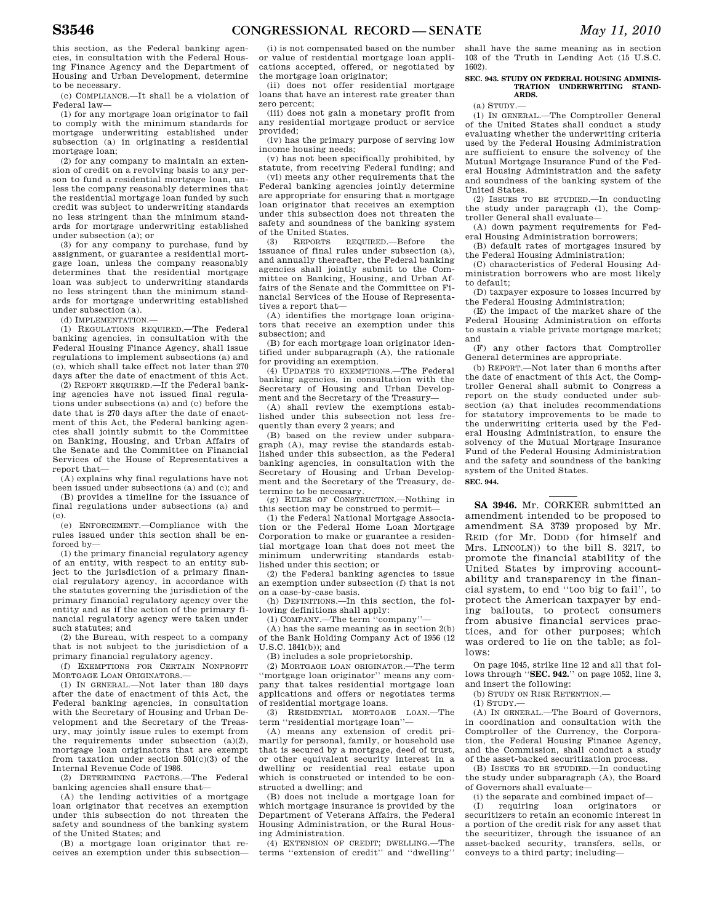this section, as the Federal banking agencies, in consultation with the Federal Housing Finance Agency and the Department of Housing and Urban Development, determine to be necessary.

(c) COMPLIANCE.—It shall be a violation of Federal law—

(1) for any mortgage loan originator to fail to comply with the minimum standards for mortgage underwriting established under subsection (a) in originating a residential mortgage loan;

(2) for any company to maintain an extension of credit on a revolving basis to any person to fund a residential mortgage loan, unless the company reasonably determines that the residential mortgage loan funded by such credit was subject to underwriting standards no less stringent than the minimum standards for mortgage underwriting established under subsection (a); or

(3) for any company to purchase, fund by assignment, or guarantee a residential mortgage loan, unless the company reasonably determines that the residential mortgage loan was subject to underwriting standards no less stringent than the minimum standards for mortgage underwriting established under subsection (a).

(d) IMPLEMENTATION.—

(1) REGULATIONS REQUIRED.—The Federal banking agencies, in consultation with the Federal Housing Finance Agency, shall issue regulations to implement subsections (a) and (c), which shall take effect not later than 270 days after the date of enactment of this Act.

(2) REPORT REQUIRED.—If the Federal banking agencies have not issued final regulations under subsections (a) and (c) before the date that is 270 days after the date of enactment of this Act, the Federal banking agencies shall jointly submit to the Committee on Banking, Housing, and Urban Affairs of the Senate and the Committee on Financial Services of the House of Representatives a report that—

(A) explains why final regulations have not been issued under subsections (a) and (c); and

(B) provides a timeline for the issuance of final regulations under subsections (a) and (c).

(e) ENFORCEMENT.—Compliance with the rules issued under this section shall be enforced by—

(1) the primary financial regulatory agency of an entity, with respect to an entity subject to the jurisdiction of a primary financial regulatory agency, in accordance with the statutes governing the jurisdiction of the primary financial regulatory agency over the entity and as if the action of the primary financial regulatory agency were taken under such statutes; and

(2) the Bureau, with respect to a company that is not subject to the jurisdiction of a primary financial regulatory agency.

(f) EXEMPTIONS FOR CERTAIN NONPROFIT MORTGAGE LOAN ORIGINATORS.—

(1) IN GENERAL.—Not later than 180 days after the date of enactment of this Act, the Federal banking agencies, in consultation with the Secretary of Housing and Urban Development and the Secretary of the Treasury, may jointly issue rules to exempt from the requirements under subsection (a)(2), mortgage loan originators that are exempt from taxation under section  $501(c)(3)$  of the Internal Revenue Code of 1986.

(2) DETERMINING FACTORS.—The Federal banking agencies shall ensure that—

(A) the lending activities of a mortgage loan originator that receives an exemption under this subsection do not threaten the safety and soundness of the banking system of the United States; and

(B) a mortgage loan originator that receives an exemption under this subsection—

(i) is not compensated based on the number or value of residential mortgage loan applications accepted, offered, or negotiated by the mortgage loan originator;

(ii) does not offer residential mortgage loans that have an interest rate greater than zero percent;

(iii) does not gain a monetary profit from any residential mortgage product or service provided;

(iv) has the primary purpose of serving low income housing needs;

(v) has not been specifically prohibited, by statute, from receiving Federal funding; and

(vi) meets any other requirements that the Federal banking agencies jointly determine are appropriate for ensuring that a mortgage loan originator that receives an exemption under this subsection does not threaten the safety and soundness of the banking system of the United States.

(3) REPORTS REQUIRED.—Before the issuance of final rules under subsection (a), and annually thereafter, the Federal banking agencies shall jointly submit to the Committee on Banking, Housing, and Urban Affairs of the Senate and the Committee on Financial Services of the House of Representatives a report that—

(A) identifies the mortgage loan originators that receive an exemption under this subsection; and

(B) for each mortgage loan originator identified under subparagraph (A), the rationale for providing an exemption.

(4) UPDATES TO EXEMPTIONS.—The Federal banking agencies, in consultation with the Secretary of Housing and Urban Development and the Secretary of the Treasury—

(A) shall review the exemptions established under this subsection not less frequently than every 2 years; and

(B) based on the review under subparagraph (A), may revise the standards established under this subsection, as the Federal banking agencies, in consultation with the Secretary of Housing and Urban Development and the Secretary of the Treasury, determine to be necessary.

(g) RULES OF CONSTRUCTION.—Nothing in this section may be construed to permit—

(1) the Federal National Mortgage Association or the Federal Home Loan Mortgage Corporation to make or guarantee a residential mortgage loan that does not meet the minimum underwriting standards established under this section; or

(2) the Federal banking agencies to issue an exemption under subsection (f) that is not on a case-by-case basis.

(h) DEFINITIONS.—In this section, the following definitions shall apply:

 $(1)$  COMPANY.—The term  $\cdot$  company'

(A) has the same meaning as in section 2(b) of the Bank Holding Company Act of 1956 (12 U.S.C. 1841(b)); and

(B) includes a sole proprietorship. (2) MORTGAGE LOAN ORIGINATOR.—The term ''mortgage loan originator'' means any company that takes residential mortgage loan applications and offers or negotiates terms of residential mortgage loans.

(3) RESIDENTIAL MORTGAGE LOAN.—The term ''residential mortgage loan''—

(A) means any extension of credit primarily for personal, family, or household use that is secured by a mortgage, deed of trust, or other equivalent security interest in a dwelling or residential real estate upon which is constructed or intended to be constructed a dwelling; and

(B) does not include a mortgage loan for which mortgage insurance is provided by the Department of Veterans Affairs, the Federal Housing Administration, or the Rural Housing Administration.

(4) EXTENSION OF CREDIT; DWELLING.—The terms ''extension of credit'' and ''dwelling''

shall have the same meaning as in section 103 of the Truth in Lending Act (15 U.S.C. 1602).

#### **SEC. 943. STUDY ON FEDERAL HOUSING ADMINIS-TRATION UNDERWRITING STAND-ARDS.**

 $(a)$  STUDY. $-$ 

(1) IN GENERAL.—The Comptroller General of the United States shall conduct a study evaluating whether the underwriting criteria used by the Federal Housing Administration are sufficient to ensure the solvency of the Mutual Mortgage Insurance Fund of the Federal Housing Administration and the safety and soundness of the banking system of the United States.

(2) ISSUES TO BE STUDIED.—In conducting the study under paragraph (1), the Comptroller General shall evaluate—

(A) down payment requirements for Federal Housing Administration borrowers;

(B) default rates of mortgages insured by the Federal Housing Administration;

(C) characteristics of Federal Housing Administration borrowers who are most likely to default;

(D) taxpayer exposure to losses incurred by the Federal Housing Administration;

(E) the impact of the market share of the Federal Housing Administration on efforts to sustain a viable private mortgage market; and

(F) any other factors that Comptroller General determines are appropriate.

(b) REPORT.—Not later than 6 months after the date of enactment of this Act, the Comptroller General shall submit to Congress a report on the study conducted under subsection (a) that includes recommendations for statutory improvements to be made to the underwriting criteria used by the Federal Housing Administration, to ensure the solvency of the Mutual Mortgage Insurance Fund of the Federal Housing Administration and the safety and soundness of the banking system of the United States.

**SEC. 944.** 

**SA 3946.** Mr. CORKER submitted an amendment intended to be proposed to amendment SA 3739 proposed by Mr. REID (for Mr. DODD (for himself and Mrs. LINCOLN)) to the bill S. 3217, to promote the financial stability of the United States by improving accountability and transparency in the financial system, to end ''too big to fail'', to protect the American taxpayer by ending bailouts, to protect consumers from abusive financial services practices, and for other purposes; which was ordered to lie on the table; as follows:

On page 1045, strike line 12 and all that follows through ''**SEC. 942.**'' on page 1052, line 3, and insert the following:

(b) STUDY ON RISK RETENTION.—

 $(1)$  STUDY  $-$ 

(A) IN GENERAL.—The Board of Governors, in coordination and consultation with the Comptroller of the Currency, the Corporation, the Federal Housing Finance Agency, and the Commission, shall conduct a study of the asset-backed securitization process.

(B) ISSUES TO BE STUDIED.—In conducting the study under subparagraph (A), the Board of Governors shall evaluate-

(i) the separate and combined impact of-<br>(I) requiring loan originators

originators securitizers to retain an economic interest in a portion of the credit risk for any asset that the securitizer, through the issuance of an asset-backed security, transfers, sells, or conveys to a third party; including—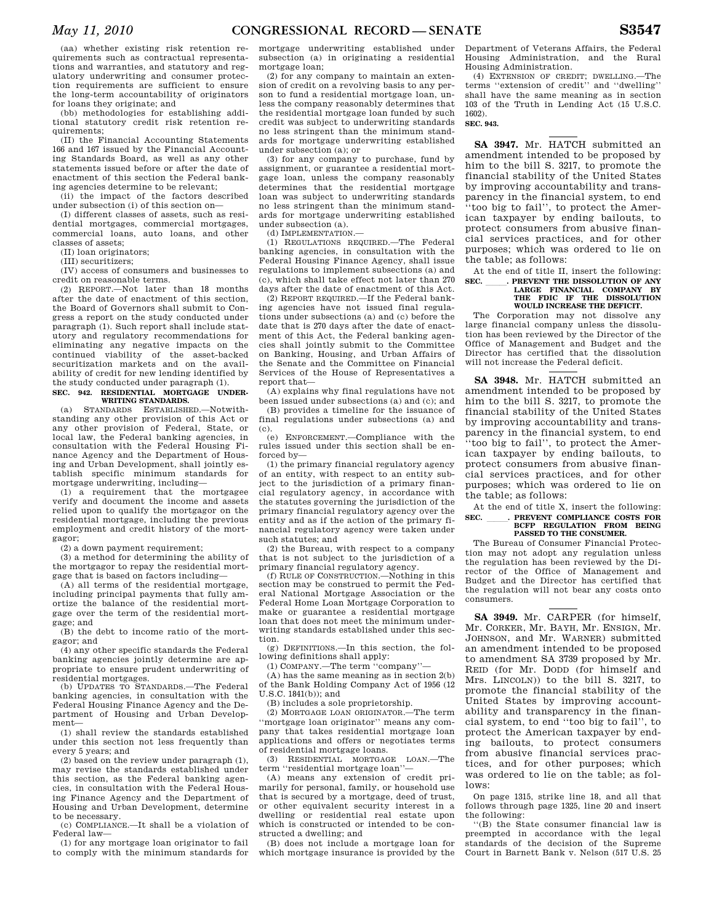(aa) whether existing risk retention requirements such as contractual representations and warranties, and statutory and regulatory underwriting and consumer protection requirements are sufficient to ensure the long-term accountability of originators for loans they originate; and

(bb) methodologies for establishing additional statutory credit risk retention requirements;

(II) the Financial Accounting Statements 166 and 167 issued by the Financial Accounting Standards Board, as well as any other statements issued before or after the date of enactment of this section the Federal banking agencies determine to be relevant;

(ii) the impact of the factors described under subsection (i) of this section on—

(I) different classes of assets, such as residential mortgages, commercial mortgages, commercial loans, auto loans, and other classes of assets;

(II) loan originators;

(III) securitizers;

(IV) access of consumers and businesses to credit on reasonable terms.

(2) REPORT.—Not later than 18 months after the date of enactment of this section, the Board of Governors shall submit to Congress a report on the study conducted under paragraph (1). Such report shall include statutory and regulatory recommendations for eliminating any negative impacts on the continued viability of the asset-backed securitization markets and on the availability of credit for new lending identified by the study conducted under paragraph (1).

# **SEC. 942. RESIDENTIAL MORTGAGE UNDER-WRITING STANDARDS.**

(a) STANDARDS ESTABLISHED.—Notwithstanding any other provision of this Act or any other provision of Federal, State, or local law, the Federal banking agencies, in consultation with the Federal Housing Finance Agency and the Department of Housing and Urban Development, shall jointly establish specific minimum standards for mortgage underwriting, including—

(1) a requirement that the mortgagee verify and document the income and assets relied upon to qualify the mortgagor on the residential mortgage, including the previous employment and credit history of the mortgagor;

(2) a down payment requirement;

(3) a method for determining the ability of the mortgagor to repay the residential mortgage that is based on factors including—

(A) all terms of the residential mortgage, including principal payments that fully amortize the balance of the residential mortgage over the term of the residential mortgage; and

(B) the debt to income ratio of the mortgagor; and

(4) any other specific standards the Federal banking agencies jointly determine are appropriate to ensure prudent underwriting of residential mortgages.

(b) UPDATES TO STANDARDS.—The Federal banking agencies, in consultation with the Federal Housing Finance Agency and the Department of Housing and Urban Development—

(1) shall review the standards established under this section not less frequently than every 5 years; and

(2) based on the review under paragraph (1), may revise the standards established under this section, as the Federal banking agencies, in consultation with the Federal Housing Finance Agency and the Department of Housing and Urban Development, determine to be necessary.

(c) COMPLIANCE.—It shall be a violation of Federal law—

(1) for any mortgage loan originator to fail to comply with the minimum standards for mortgage underwriting established under subsection (a) in originating a residential mortgage loan;

(2) for any company to maintain an extension of credit on a revolving basis to any person to fund a residential mortgage loan, unless the company reasonably determines that the residential mortgage loan funded by such credit was subject to underwriting standards no less stringent than the minimum standards for mortgage underwriting established under subsection (a); or

(3) for any company to purchase, fund by assignment, or guarantee a residential mortgage loan, unless the company reasonably determines that the residential mortgage loan was subject to underwriting standards no less stringent than the minimum standards for mortgage underwriting established under subsection (a).

(d) IMPLEMENTATION.

(1) REGULATIONS REQUIRED.—The Federal banking agencies, in consultation with the Federal Housing Finance Agency, shall issue regulations to implement subsections (a) and (c), which shall take effect not later than 270 days after the date of enactment of this Act.

(2) REPORT REQUIRED.—If the Federal banking agencies have not issued final regulations under subsections (a) and (c) before the date that is 270 days after the date of enactment of this Act, the Federal banking agencies shall jointly submit to the Committee on Banking, Housing, and Urban Affairs of the Senate and the Committee on Financial Services of the House of Representatives a report that—

(A) explains why final regulations have not been issued under subsections (a) and (c); and

(B) provides a timeline for the issuance of final regulations under subsections (a) and (c).

(e) ENFORCEMENT.—Compliance with the rules issued under this section shall be enforced by—

(1) the primary financial regulatory agency of an entity, with respect to an entity subject to the jurisdiction of a primary financial regulatory agency, in accordance with the statutes governing the jurisdiction of the primary financial regulatory agency over the entity and as if the action of the primary financial regulatory agency were taken under such statutes; and

(2) the Bureau, with respect to a company that is not subject to the jurisdiction of a primary financial regulatory agency.

(f) RULE OF CONSTRUCTION.—Nothing in this section may be construed to permit the Federal National Mortgage Association or the Federal Home Loan Mortgage Corporation to make or guarantee a residential mortgage loan that does not meet the minimum underwriting standards established under this section.

 $(g)$  DEFINITIONS.—In this section, the following definitions shall apply:

(1) COMPANY.—The term "company"

(A) has the same meaning as in section 2(b) of the Bank Holding Company Act of 1956 (12 U.S.C. 1841(b)); and

(B) includes a sole proprietorship.

(2) MORTGAGE LOAN ORIGINATOR.—The term ''mortgage loan originator'' means any company that takes residential mortgage loan applications and offers or negotiates terms of residential mortgage loans.

(3) RESIDENTIAL MORTGAGE LOAN.—The term ''residential mortgage loan''—

(A) means any extension of credit primarily for personal, family, or household use that is secured by a mortgage, deed of trust, or other equivalent security interest in a dwelling or residential real estate upon which is constructed or intended to be constructed a dwelling; and

(B) does not include a mortgage loan for which mortgage insurance is provided by the Department of Veterans Affairs, the Federal Housing Administration, and the Rural Housing Administration.

(4) EXTENSION OF CREDIT; DWELLING.—The terms ''extension of credit'' and ''dwelling'' shall have the same meaning as in section 103 of the Truth in Lending Act (15 U.S.C. 1602).

**SEC. 943.** 

**SA 3947.** Mr. HATCH submitted an amendment intended to be proposed by him to the bill S. 3217, to promote the financial stability of the United States by improving accountability and transparency in the financial system, to end ''too big to fail'', to protect the American taxpayer by ending bailouts, to protect consumers from abusive financial services practices, and for other purposes; which was ordered to lie on the table; as follows:

At the end of title II, insert the following:<br>EC. PREVENT THE DISSOLUTION OF ANY **SEC. \_\_\_\_\_\_. PREVENT THE DISSOLUTION OF ANY LARGE FINANCIAL COMPANY BY THE DISSOLUTION WOULD INCREASE THE DISSOLUTION** 

The Corporation may not dissolve any large financial company unless the dissolution has been reviewed by the Director of the Office of Management and Budget and the Director has certified that the dissolution will not increase the Federal deficit.

**SA 3948.** Mr. HATCH submitted an amendment intended to be proposed by him to the bill S. 3217, to promote the financial stability of the United States by improving accountability and transparency in the financial system, to end ''too big to fail'', to protect the American taxpayer by ending bailouts, to protect consumers from abusive financial services practices, and for other purposes; which was ordered to lie on the table; as follows:

At the end of title X, insert the following:<br>SEC. PREVENT COMPLIANCE COSTS FOR **SEC. \_\_\_\_\_\_. PREVENT COMPLIANCE COSTS FOR** <br>**BCFP REGULATION FROM BEING PASSED TO THE CONSUMER.** 

The Bureau of Consumer Financial Protection may not adopt any regulation unless the regulation has been reviewed by the Director of the Office of Management and Budget and the Director has certified that the regulation will not bear any costs onto consumers.

**SA 3949.** Mr. CARPER (for himself, Mr. CORKER, Mr. BAYH, Mr. ENSIGN, Mr. JOHNSON, and Mr. WARNER) submitted an amendment intended to be proposed to amendment SA 3739 proposed by Mr. REID (for Mr. DODD (for himself and Mrs. LINCOLN)) to the bill S. 3217, to promote the financial stability of the United States by improving accountability and transparency in the financial system, to end ''too big to fail'', to protect the American taxpayer by ending bailouts, to protect consumers from abusive financial services practices, and for other purposes; which was ordered to lie on the table; as follows:

On page 1315, strike line 18, and all that follows through page 1325, line 20 and insert the following:

''(B) the State consumer financial law is preempted in accordance with the legal standards of the decision of the Supreme Court in Barnett Bank v. Nelson (517 U.S. 25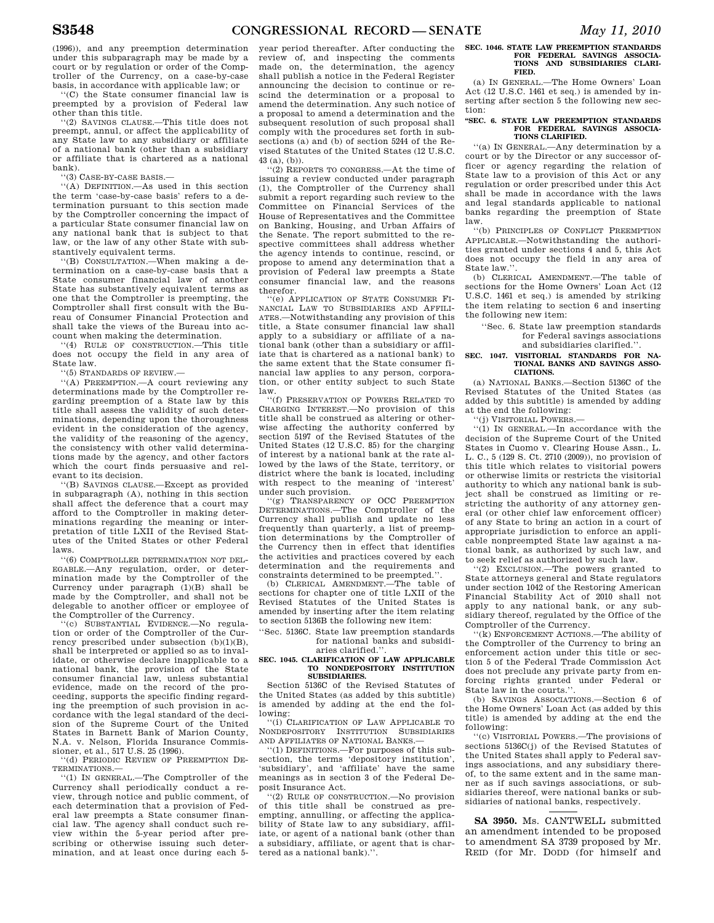(1996)), and any preemption determination under this subparagraph may be made by a court or by regulation or order of the Comptroller of the Currency, on a case-by-case basis, in accordance with applicable law; or

''(C) the State consumer financial law is preempted by a provision of Federal law other than this title.

''(2) SAVINGS CLAUSE.—This title does not preempt, annul, or affect the applicability of any State law to any subsidiary or affiliate of a national bank (other than a subsidiary or affiliate that is chartered as a national bank).

''(3) CASE-BY-CASE BASIS.—

''(A) DEFINITION.—As used in this section the term 'case-by-case basis' refers to a determination pursuant to this section made by the Comptroller concerning the impact of a particular State consumer financial law on any national bank that is subject to that law, or the law of any other State with substantively equivalent terms.

''(B) CONSULTATION.—When making a determination on a case-by-case basis that a State consumer financial law of another State has substantively equivalent terms as one that the Comptroller is preempting, the Comptroller shall first consult with the Bureau of Consumer Financial Protection and shall take the views of the Bureau into account when making the determination.

''(4) RULE OF CONSTRUCTION.—This title does not occupy the field in any area of State law.

''(5) STANDARDS OF REVIEW.—

''(A) PREEMPTION.—A court reviewing any determinations made by the Comptroller regarding preemption of a State law by this title shall assess the validity of such determinations, depending upon the thoroughness evident in the consideration of the agency, the validity of the reasoning of the agency, the consistency with other valid determinations made by the agency, and other factors which the court finds persuasive and relevant to its decision.

''(B) SAVINGS CLAUSE.—Except as provided in subparagraph (A), nothing in this section shall affect the deference that a court may afford to the Comptroller in making determinations regarding the meaning or interpretation of title LXII of the Revised Statutes of the United States or other Federal laws.

''(6) COMPTROLLER DETERMINATION NOT DEL-EGABLE.—Any regulation, order, or determination made by the Comptroller of the Currency under paragraph (1)(B) shall be made by the Comptroller, and shall not be delegable to another officer or employee of the Comptroller of the Currency.

''(c) SUBSTANTIAL EVIDENCE.—No regulation or order of the Comptroller of the Currency prescribed under subsection (b)(1)(B), shall be interpreted or applied so as to invalidate, or otherwise declare inapplicable to a national bank, the provision of the State consumer financial law, unless substantial evidence, made on the record of the proceeding, supports the specific finding regarding the preemption of such provision in accordance with the legal standard of the decision of the Supreme Court of the United States in Barnett Bank of Marion County, N.A. v. Nelson, Florida Insurance Commissioner, et al., 517 U.S. 25 (1996).

''(d) PERIODIC REVIEW OF PREEMPTION DE-TERMINATIONS.—

''(1) IN GENERAL.—The Comptroller of the Currency shall periodically conduct a review, through notice and public comment, of each determination that a provision of Federal law preempts a State consumer finan-The agency shall conduct such review within the 5-year period after prescribing or otherwise issuing such determination, and at least once during each 5-

year period thereafter. After conducting the review of, and inspecting the comments made on, the determination, the agency shall publish a notice in the Federal Register announcing the decision to continue or rescind the determination or a proposal to amend the determination. Any such notice of a proposal to amend a determination and the subsequent resolution of such proposal shall comply with the procedures set forth in subsections (a) and (b) of section 5244 of the Revised Statutes of the United States (12 U.S.C. 43 (a), (b)).

''(2) REPORTS TO CONGRESS.—At the time of issuing a review conducted under paragraph (1), the Comptroller of the Currency shall submit a report regarding such review to the Committee on Financial Services of the House of Representatives and the Committee on Banking, Housing, and Urban Affairs of the Senate. The report submitted to the respective committees shall address whether the agency intends to continue, rescind, or propose to amend any determination that a provision of Federal law preempts a State consumer financial law, and the reasons therefor.

''(e) APPLICATION OF STATE CONSUMER FI-NANCIAL LAW TO SUBSIDIARIES AND AFFILI-ATES.—Notwithstanding any provision of this title, a State consumer financial law shall apply to a subsidiary or affiliate of a national bank (other than a subsidiary or affiliate that is chartered as a national bank) to the same extent that the State consumer financial law applies to any person, corporation, or other entity subject to such State law.

''(f) PRESERVATION OF POWERS RELATED TO CHARGING INTEREST.—No provision of this title shall be construed as altering or otherwise affecting the authority conferred by section 5197 of the Revised Statutes of the United States (12 U.S.C. 85) for the charging of interest by a national bank at the rate allowed by the laws of the State, territory, or district where the bank is located, including with respect to the meaning of 'interest' under such provision.

''(g) TRANSPARENCY OF OCC PREEMPTION DETERMINATIONS.—The Comptroller of the Currency shall publish and update no less frequently than quarterly, a list of preemption determinations by the Comptroller of the Currency then in effect that identifies the activities and practices covered by each determination and the requirements and constraints determined to be preempted."

(b) CLERICAL AMENDMENT.—The table of sections for chapter one of title LXII of the Revised Statutes of the United States is amended by inserting after the item relating to section 5136B the following new item:

''Sec. 5136C. State law preemption standards for national banks and subsidiaries clarified.''.

# **SEC. 1045. CLARIFICATION OF LAW APPLICABLE TO NONDEPOSITORY INSTITUTION SUBSIDIARIES.**

Section 5136C of the Revised Statutes of the United States (as added by this subtitle) is amended by adding at the end the following:

''(i) CLARIFICATION OF LAW APPLICABLE TO NONDEPOSITORY INSTITUTION SUBSIDIARIES AND AFFILIATES OF NATIONAL BANKS.

''(1) DEFINITIONS.—For purposes of this subsection, the terms 'depository institution', 'subsidiary', and 'affiliate' have the same meanings as in section 3 of the Federal Deposit Insurance Act.

''(2) RULE OF CONSTRUCTION.—No provision of this title shall be construed as preempting, annulling, or affecting the applicability of State law to any subsidiary, affiliate, or agent of a national bank (other than a subsidiary, affiliate, or agent that is chartered as a national bank).''.

#### **SEC. 1046. STATE LAW PREEMPTION STANDARDS FOR FEDERAL SAVINGS ASSOCIA-TIONS AND SUBSIDIARIES CLARI-FIED.**

(a) IN GENERAL.—The Home Owners' Loan Act (12 U.S.C. 1461 et seq.) is amended by inserting after section 5 the following new section:

#### **''SEC. 6. STATE LAW PREEMPTION STANDARDS FOR FEDERAL SAVINGS ASSOCIA-TIONS CLARIFIED.**

''(a) IN GENERAL.—Any determination by a court or by the Director or any successor officer or agency regarding the relation of State law to a provision of this Act or any regulation or order prescribed under this Act shall be made in accordance with the laws and legal standards applicable to national banks regarding the preemption of State law.

''(b) PRINCIPLES OF CONFLICT PREEMPTION APPLICABLE.—Notwithstanding the authorities granted under sections 4 and 5, this Act does not occupy the field in any area of State law.''.

(b) CLERICAL AMENDMENT.—The table of sections for the Home Owners' Loan Act (12 U.S.C. 1461 et seq.) is amended by striking the item relating to section 6 and inserting the following new item:

''Sec. 6. State law preemption standards for Federal savings associations and subsidiaries clarified."

#### **SEC. 1047. VISITORIAL STANDARDS FOR NA-TIONAL BANKS AND SAVINGS ASSO-CIATIONS.**

(a) NATIONAL BANKS.—Section 5136C of the Revised Statutes of the United States (as added by this subtitle) is amended by adding at the end the following:

''(j) VISITORIAL POWERS.—

''(1) IN GENERAL.—In accordance with the decision of the Supreme Court of the United States in Cuomo y. Clearing House Assn., L. L. C., 5 (129 S. Ct. 2710 (2009)), no provision of this title which relates to visitorial powers or otherwise limits or restricts the visitorial authority to which any national bank is subject shall be construed as limiting or restricting the authority of any attorney general (or other chief law enforcement officer) of any State to bring an action in a court of appropriate jurisdiction to enforce an applicable nonpreempted State law against a national bank, as authorized by such law, and to seek relief as authorized by such law.

''(2) EXCLUSION.—The powers granted to State attorneys general and State regulators under section 1042 of the Restoring American Financial Stability Act of 2010 shall not apply to any national bank, or any subsidiary thereof, regulated by the Office of the Comptroller of the Currency.

''(k) ENFORCEMENT ACTIONS.—The ability of the Comptroller of the Currency to bring an enforcement action under this title or section 5 of the Federal Trade Commission Act does not preclude any private party from enforcing rights granted under Federal or State law in the courts.'

(b) SAVINGS ASSOCIATIONS.—Section 6 of the Home Owners' Loan Act (as added by this title) is amended by adding at the end the following:

''(c) VISITORIAL POWERS.—The provisions of sections 5136C(j) of the Revised Statutes of the United States shall apply to Federal savings associations, and any subsidiary thereof, to the same extent and in the same manner as if such savings associations, or subsidiaries thereof, were national banks or subsidiaries of national banks, respectively.

**SA 3950.** Ms. CANTWELL submitted an amendment intended to be proposed to amendment SA 3739 proposed by Mr. REID (for Mr. DODD (for himself and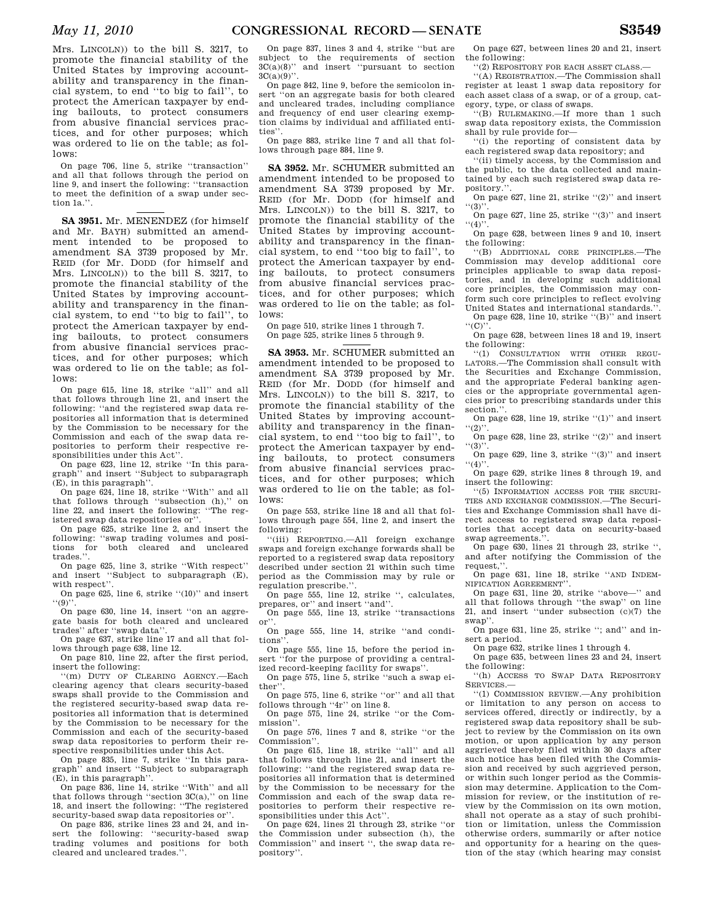Mrs. LINCOLN)) to the bill S. 3217, to promote the financial stability of the United States by improving accountability and transparency in the financial system, to end ''to big to fail'', to protect the American taxpayer by ending bailouts, to protect consumers from abusive financial services practices, and for other purposes; which was ordered to lie on the table; as follows:

On page 706, line 5, strike ''transaction'' and all that follows through the period on line 9, and insert the following: ''transaction to meet the definition of a swap under section 1a.''.

**SA 3951.** Mr. MENENDEZ (for himself and Mr. BAYH) submitted an amendment intended to be proposed to amendment SA 3739 proposed by Mr. REID (for Mr. DODD (for himself and Mrs. LINCOLN)) to the bill S. 3217, to promote the financial stability of the United States by improving accountability and transparency in the financial system, to end ''to big to fail'', to protect the American taxpayer by ending bailouts, to protect consumers from abusive financial services practices, and for other purposes; which was ordered to lie on the table; as follows:

On page 615, line 18, strike ''all'' and all that follows through line 21, and insert the following: ''and the registered swap data repositories all information that is determined by the Commission to be necessary for the Commission and each of the swap data repositories to perform their respective responsibilities under this Act''.

On page 623, line 12, strike ''In this paraand insert "Subject to subparagraph" (E), in this paragraph''.

On page 624, line 18, strike ''With'' and all that follows through ''subsection (h),'' on line 22, and insert the following: ''The registered swap data repositories or''.

On page 625, strike line 2, and insert the following: ''swap trading volumes and positions for both cleared and uncleared trades.''.

On page 625, line 3, strike ''With respect'' and insert ''Subject to subparagraph (E), with respect''.

On page 625, line 6, strike ''(10)'' and insert  $``(9)"$ .

On page 630, line 14, insert ''on an aggregate basis for both cleared and uncleared trades'' after ''swap data''.

On page 637, strike line 17 and all that follows through page 638, line 12.

On page 810, line 22, after the first period, insert the following:

''(m) DUTY OF CLEARING AGENCY.—Each clearing agency that clears security-based swaps shall provide to the Commission and the registered security-based swap data repositories all information that is determined by the Commission to be necessary for the Commission and each of the security-based swap data repositories to perform their respective responsibilities under this Act.

On page 835, line 7, strike ''In this paragraph'' and insert ''Subject to subparagraph (E), in this paragraph''.

On page 836, line 14, strike ''With'' and all that follows through "section  $3C(a)$ ," on line 18, and insert the following: ''The registered security-based swap data repositories or''.

On page 836, strike lines 23 and 24, and insert the following: ''security-based swap trading volumes and positions for both cleared and uncleared trades.''.

On page 837, lines 3 and 4, strike ''but are subject to the requirements of section 3C(a)(8)'' and insert ''pursuant to section  $3C(a)(9)$ ".

On page 842, line 9, before the semicolon insert ''on an aggregate basis for both cleared and uncleared trades, including compliance and frequency of end user clearing exemption claims by individual and affiliated entities''.

On page 883, strike line 7 and all that follows through page 884, line 9.

**SA 3952.** Mr. SCHUMER submitted an amendment intended to be proposed to amendment SA 3739 proposed by Mr. REID (for Mr. DODD (for himself and Mrs. LINCOLN)) to the bill S. 3217, to promote the financial stability of the United States by improving accountability and transparency in the financial system, to end ''too big to fail'', to protect the American taxpayer by ending bailouts, to protect consumers from abusive financial services practices, and for other purposes; which was ordered to lie on the table; as follows:

On page 510, strike lines 1 through 7. On page 525, strike lines 5 through 9.

**SA 3953.** Mr. SCHUMER submitted an amendment intended to be proposed to amendment SA 3739 proposed by Mr. REID (for Mr. DODD (for himself and Mrs. LINCOLN)) to the bill S. 3217, to promote the financial stability of the United States by improving accountability and transparency in the financial system, to end ''too big to fail'', to protect the American taxpayer by ending bailouts, to protect consumers from abusive financial services practices, and for other purposes; which was ordered to lie on the table; as follows:

On page 553, strike line 18 and all that follows through page 554, line 2, and insert the following:

''(iii) REPORTING.—All foreign exchange swaps and foreign exchange forwards shall be reported to a registered swap data repository described under section 21 within such time period as the Commission may by rule or regulation prescribe."

On page 555, line 12, strike '', calculates, prepares, or" and insert "and".

On page 555, line 13, strike ''transactions or''.

On page 555, line 14, strike ''and conditions'

On page 555, line 15, before the period insert ''for the purpose of providing a centralized record-keeping facility for swaps''.

On page 575, line 5, strike ''such a swap either''.

On page 575, line 6, strike ''or'' and all that follows through "4r" on line 8.

On page 575, line 24, strike ''or the Commission''.

On page 576, lines 7 and 8, strike ''or the Commission''.

On page 615, line 18, strike ''all'' and all that follows through line 21, and insert the following: ''and the registered swap data repositories all information that is determined by the Commission to be necessary for the Commission and each of the swap data repositories to perform their respective responsibilities under this Act''.

On page 624, lines 21 through 23, strike ''or the Commission under subsection (h), the Commission'' and insert '', the swap data repository''.

On page 627, between lines 20 and 21, insert the following:

''(2) REPOSITORY FOR EACH ASSET CLASS.—

''(A) REGISTRATION.—The Commission shall register at least 1 swap data repository for each asset class of a swap, or of a group, category, type, or class of swaps.

''(B) RULEMAKING.—If more than 1 such swap data repository exists, the Commission shall by rule provide for—

''(i) the reporting of consistent data by each registered swap data repository; and

''(ii) timely access, by the Commission and the public, to the data collected and maintained by each such registered swap data repository.

On page 627, line 21, strike ''(2)'' and insert  $``(3)"$ 

On page 627, line 25, strike ''(3)'' and insert  $\cdot\cdot\cdot(4)$ 

On page 628, between lines 9 and 10, insert the following:

''(B) ADDITIONAL CORE PRINCIPLES.—The Commission may develop additional core principles applicable to swap data repositories, and in developing such additional core principles, the Commission may conform such core principles to reflect evolving United States and international standards.' On page 628, line 10, strike ''(B)'' and insert

 $``(C)"$ . On page 628, between lines 18 and 19, insert the following:

''(1) CONSULTATION WITH OTHER REGU-LATORS.—The Commission shall consult with the Securities and Exchange Commission, and the appropriate Federal banking agencies or the appropriate governmental agencies prior to prescribing standards under this section.''.

On page 628, line 19, strike ''(1)'' and insert  $``(2)"$ 

On page 628, line 23, strike ''(2)'' and insert  $``(3)"$ 

On page 629, line 3, strike ''(3)'' and insert  $``(4)"$ 

On page 629, strike lines 8 through 19, and insert the following:

''(5) INFORMATION ACCESS FOR THE SECURI-TIES AND EXCHANGE COMMISSION.—The Securities and Exchange Commission shall have direct access to registered swap data repositories that accept data on security-based swap agreements.

On page 630, lines 21 through 23, strike '', and after notifying the Commission of the request,''.

On page 631, line 18, strike ''AND INDEM-NIFICATION AGREEMENT''.

On page 631, line 20, strike ''above—'' and all that follows through ''the swap'' on line 21, and insert ''under subsection (c)(7) the swap''.

On page 631, line 25, strike ''; and'' and insert a period.

On page 632, strike lines 1 through 4.

On page 635, between lines 23 and 24, insert the following:

''(h) ACCESS TO SWAP DATA REPOSITORY SERVICES.—

''(1) COMMISSION REVIEW.—Any prohibition or limitation to any person on access to services offered, directly or indirectly, by a registered swap data repository shall be subject to review by the Commission on its own motion, or upon application by any person aggrieved thereby filed within 30 days after such notice has been filed with the Commission and received by such aggrieved person, or within such longer period as the Commission may determine. Application to the Commission for review, or the institution of review by the Commission on its own motion, shall not operate as a stay of such prohibition or limitation, unless the Commission otherwise orders, summarily or after notice and opportunity for a hearing on the question of the stay (which hearing may consist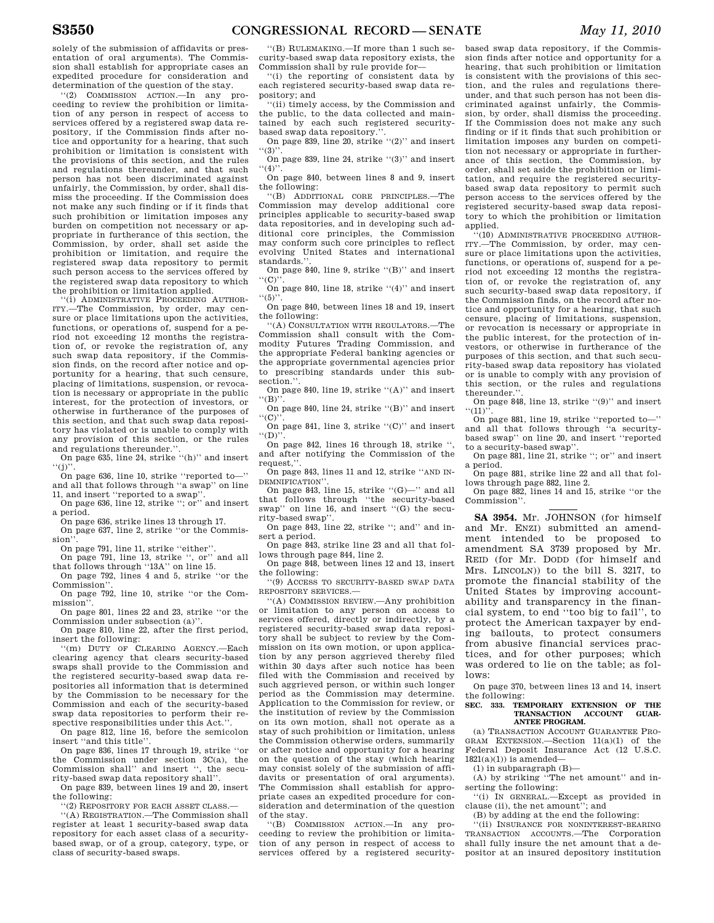solely of the submission of affidavits or presentation of oral arguments). The Commission shall establish for appropriate cases an expedited procedure for consideration and determination of the question of the stay.

''(2) COMMISSION ACTION.—In any proceeding to review the prohibition or limitation of any person in respect of access to services offered by a registered swap data repository, if the Commission finds after notice and opportunity for a hearing, that such prohibition or limitation is consistent with the provisions of this section, and the rules and regulations thereunder, and that such person has not been discriminated against unfairly, the Commission, by order, shall dismiss the proceeding. If the Commission does not make any such finding or if it finds that such prohibition or limitation imposes any burden on competition not necessary or appropriate in furtherance of this section, the Commission, by order, shall set aside the prohibition or limitation, and require the registered swap data repository to permit such person access to the services offered by the registered swap data repository to which the prohibition or limitation applied.

'(i) ADMINISTRATIVE PROCEEDING AUTHOR-ITY.—The Commission, by order, may censure or place limitations upon the activities. functions, or operations of, suspend for a period not exceeding 12 months the registration of, or revoke the registration of, any such swap data repository, if the Commission finds, on the record after notice and opportunity for a hearing, that such censure, placing of limitations, suspension, or revocation is necessary or appropriate in the public interest, for the protection of investors, or otherwise in furtherance of the purposes of this section, and that such swap data repository has violated or is unable to comply with any provision of this section, or the rules and regulations thereunder.''.

On page 635, line 24, strike ''(h)'' and insert  $``(j)$ ".

On page 636, line 10, strike "reported toand all that follows through ''a swap'' on line 11, and insert ''reported to a swap''.

On page 636, line 12, strike ''; or'' and insert

a period.

On page 636, strike lines 13 through 17. On page 637, line 2, strike ''or the Commission''.

On page 791, line 11, strike ''either''.

On page 791, line 13, strike '', or'' and all that follows through ''13A'' on line 15.

On page 792, lines 4 and 5, strike ''or the Commission''.

On page 792, line 10, strike ''or the Commission''.

On page 801, lines 22 and 23, strike ''or the Commission under subsection (a)''.

On page 810, line 22, after the first period, insert the following:

''(m) DUTY OF CLEARING AGENCY.—Each clearing agency that clears security-based swaps shall provide to the Commission and the registered security-based swap data repositories all information that is determined by the Commission to be necessary for the Commission and each of the security-based swap data repositories to perform their respective responsibilities under this Act."

On page 812, line 16, before the semicolon insert ''and this title''.

On page 836, lines 17 through 19, strike ''or the Commission under section 3C(a), the Commission shall" and insert ", the security-based swap data repository shall''.

On page 839, between lines 19 and 20, insert the following:

''(2) REPOSITORY FOR EACH ASSET CLASS.—

''(A) REGISTRATION.—The Commission shall register at least 1 security-based swap data repository for each asset class of a securitybased swap, or of a group, category, type, or class of security-based swaps.

''(B) RULEMAKING.—If more than 1 such security-based swap data repository exists, the Commission shall by rule provide for—

''(i) the reporting of consistent data by each registered security-based swap data repository; and

''(ii) timely access, by the Commission and the public, to the data collected and maintained by each such registered securitybased swap data repository.''.

On page 839, line 20, strike ''(2)'' and insert  $(3)$ '

On page 839, line 24, strike ''(3)'' and insert  $``(4)"$ 

On page 840, between lines 8 and 9, insert the following:

''(B) ADDITIONAL CORE PRINCIPLES.—The Commission may develop additional core principles applicable to security-based swap data repositories, and in developing such additional core principles, the Commission may conform such core principles to reflect evolving United States and international standards."

On page 840, line 9, strike ''(B)'' and insert  $(C)$ 

On page 840, line 18, strike ''(4)'' and insert  $``(5)"$ 

On page 840, between lines 18 and 19, insert the following:

''(A) CONSULTATION WITH REGULATORS.—The Commission shall consult with the Commodity Futures Trading Commission, and the appropriate Federal banking agencies or the appropriate governmental agencies prior to prescribing standards under this subsection.''.

On page 840, line 19, strike  $\lq\lq (\mathbf{A})\rq$  and insert  $'$ (B)

On page 840, line 24, strike ''(B)'' and insert  $(C)'$ 

On page 841, line 3, strike ''(C)'' and insert ''(D)''.

On page 842, lines 16 through 18, strike '', and after notifying the Commission of the request,''.

On page 843, lines 11 and 12, strike ''AND IN-DEMNIFICATION''.

On page 843, line 15, strike ''(G)—'' and all that follows through ''the security-based swap" on line 16, and insert "(G) the security-based swap''.

On page 843, line 22, strike ''; and'' and insert a period.

On page 843, strike line 23 and all that follows through page 844, line 2.

On page 848, between lines 12 and 13, insert the following:

''(9) ACCESS TO SECURITY-BASED SWAP DATA REPOSITORY SERVICES.—

''(A) COMMISSION REVIEW.—Any prohibition or limitation to any person on access to services offered, directly or indirectly, by a registered security-based swap data repository shall be subject to review by the Commission on its own motion, or upon application by any person aggrieved thereby filed within 30 days after such notice has been filed with the Commission and received by such aggrieved person, or within such longer period as the Commission may determine. Application to the Commission for review, or the institution of review by the Commission on its own motion, shall not operate as a stay of such prohibition or limitation, unless the Commission otherwise orders, summarily or after notice and opportunity for a hearing on the question of the stay (which hearing may consist solely of the submission of affidavits or presentation of oral arguments). The Commission shall establish for appropriate cases an expedited procedure for consideration and determination of the question of the stay.

''(B) COMMISSION ACTION.—In any proceeding to review the prohibition or limitation of any person in respect of access to services offered by a registered security-

based swap data repository, if the Commission finds after notice and opportunity for a hearing, that such prohibition or limitation is consistent with the provisions of this section, and the rules and regulations thereunder, and that such person has not been discriminated against unfairly, the Commission, by order, shall dismiss the proceeding. If the Commission does not make any such finding or if it finds that such prohibition or limitation imposes any burden on competition not necessary or appropriate in furtherance of this section, the Commission, by order, shall set aside the prohibition or limitation, and require the registered securitybased swap data repository to permit such person access to the services offered by the registered security-based swap data repository to which the prohibition or limitation applied.

''(10) ADMINISTRATIVE PROCEEDING AUTHOR-ITY.—The Commission, by order, may censure or place limitations upon the activities, functions, or operations of, suspend for a period not exceeding 12 months the registration of, or revoke the registration of, any such security-based swap data repository, if the Commission finds, on the record after notice and opportunity for a hearing, that such censure, placing of limitations, suspension, or revocation is necessary or appropriate in the public interest, for the protection of investors, or otherwise in furtherance of the purposes of this section, and that such security-based swap data repository has violated or is unable to comply with any provision of this section, or the rules and regulations thereunder.'

On page 848, line 13, strike ''(9)'' and insert  $``(11)"$ 

On page 881, line 19, strike ''reported to—'' and all that follows through ''a securitybased swap'' on line 20, and insert ''reported to a security-based swap''.

On page 881, line 21, strike ''; or'' and insert a period.

On page 881, strike line 22 and all that fol-

lows through page 882, line 2. On page 882, lines 14 and 15, strike ''or the Commission''.

**SA 3954.** Mr. JOHNSON (for himself and Mr. ENZI) submitted an amendment intended to be proposed to amendment SA 3739 proposed by Mr. REID (for Mr. DODD (for himself and Mrs. LINCOLN)) to the bill S. 3217, to promote the financial stability of the United States by improving accountability and transparency in the financial system, to end ''too big to fail'', to protect the American taxpayer by ending bailouts, to protect consumers from abusive financial services practices, and for other purposes; which was ordered to lie on the table; as follows:

On page 370, between lines 13 and 14, insert the following:

# **SEC. 333. TEMPORARY EXTENSION OF THE TRANSACTION ANTEE PROGRAM.**

(a) TRANSACTION ACCOUNT GUARANTEE PRO-GRAM EXTENSION.—Section 11(a)(1) of the Federal Deposit Insurance Act (12 U.S.C.  $1821(a)(1)$ ) is amended-

(1) in subparagraph (B)—

(A) by striking ''The net amount'' and inserting the following:

''(i) IN GENERAL.—Except as provided in clause (ii), the net amount''; and

(B) by adding at the end the following:

''(ii) INSURANCE FOR NONINTEREST-BEARING TRANSACTION ACCOUNTS.—The Corporation shall fully insure the net amount that a depositor at an insured depository institution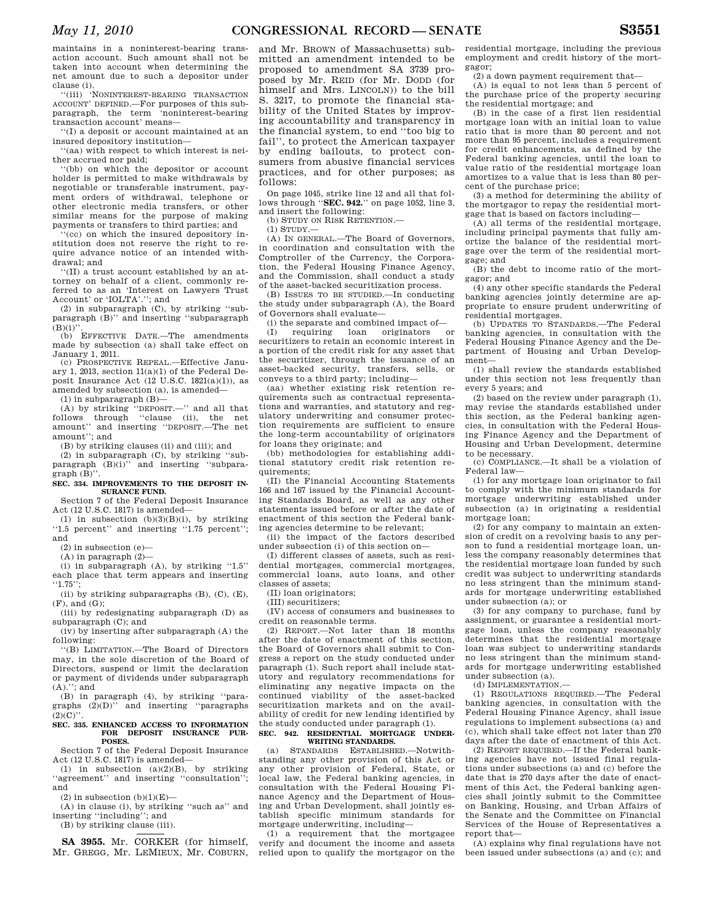maintains in a noninterest-bearing transaction account. Such amount shall not be taken into account when determining the net amount due to such a depositor under clause (i).

''(iii) 'NONINTEREST-BEARING TRANSACTION ACCOUNT' DEFINED.—For purposes of this subparagraph, the term 'noninterest-bearing transaction account' means—

''(I) a deposit or account maintained at an insured depository institution—

''(aa) with respect to which interest is neither accrued nor paid;

''(bb) on which the depositor or account holder is permitted to make withdrawals by negotiable or transferable instrument, payment orders of withdrawal, telephone or other electronic media transfers, or other similar means for the purpose of making payments or transfers to third parties; and

 $\dot{f}$  (cc) on which the insured depository institution does not reserve the right to require advance notice of an intended withdrawal; and

''(II) a trust account established by an attorney on behalf of a client, commonly referred to as an 'Interest on Lawyers Trust Account' or 'IOLTA'.''; and

(2) in subparagraph (C), by striking ''subparagraph (B)'' and inserting ''subparagraph  $(B)(i)'$ 

(b) EFFECTIVE DATE.—The amendments made by subsection (a) shall take effect on January 1, 2011.

(c) PROSPECTIVE REPEAL.—Effective January 1, 2013, section  $11(a)(1)$  of the Federal Deposit Insurance Act  $(12 \text{ U.S.C. } 1821(a)(1)),$  as amended by subsection (a), is amended—

(1) in subparagraph (B)—

(A) by striking ''DEPOSIT.—'' and all that follows through ''clause (ii), the net amount'' and inserting ''DEPOSIT.—The net amount''; and

(B) by striking clauses (ii) and (iii); and

(2) in subparagraph (C), by striking ''subparagraph (B)(i)'' and inserting ''subparagraph (B)''.

# **SEC. 334. IMPROVEMENTS TO THE DEPOSIT IN-SURANCE FUND.**

Section 7 of the Federal Deposit Insurance Act (12 U.S.C. 1817) is amended—

(1) in subsection (b)(3)(B)(i), by striking ''1.5 percent'' and inserting ''1.75 percent''; and

(2) in subsection (e)—

(A) in paragraph (2)—

(i) in subparagraph (A), by striking ''1.5'' each place that term appears and inserting ''1.75'';

(ii) by striking subparagraphs  $(B)$ ,  $(C)$ ,  $(E)$ , (F), and (G);

(iii) by redesignating subparagraph (D) as subparagraph (C); and

(iv) by inserting after subparagraph (A) the following:

''(B) LIMITATION.—The Board of Directors may, in the sole discretion of the Board of Directors, suspend or limit the declaration or payment of dividends under subparagraph (A).''; and

(B) in paragraph (4), by striking ''paragraphs (2)(D)'' and inserting ''paragraphs  $(2)(C)$ ".

#### **SEC. 335. ENHANCED ACCESS TO INFORMATION FOR DEPOSIT INSURANCE PUR-POSES.**

Section 7 of the Federal Deposit Insurance Act (12 U.S.C. 1817) is amended—

(1) in subsection (a)(2)(B), by striking ''agreement'' and inserting ''consultation''; and

(2) in subsection  $(b)(1)(E)$ —

(A) in clause (i), by striking ''such as'' and inserting ''including''; and

(B) by striking clause (iii).

**SA 3955.** Mr. CORKER (for himself, Mr. GREGG, Mr. LEMIEUX, Mr. COBURN,

and Mr. BROWN of Massachusetts) submitted an amendment intended to be proposed to amendment SA 3739 proposed by Mr. REID (for Mr. DODD (for himself and Mrs. LINCOLN)) to the bill S. 3217, to promote the financial stability of the United States by improving accountability and transparency in the financial system, to end ''too big to fail'', to protect the American taxpayer by ending bailouts, to protect consumers from abusive financial services practices, and for other purposes; as follows:

On page 1045, strike line 12 and all that follows through ''**SEC. 942.**'' on page 1052, line 3, and insert the following:

(b) STUDY ON RISK RETENTION.

 $(1)$  STIIDY  $-$ 

(A) IN GENERAL.—The Board of Governors, in coordination and consultation with the Comptroller of the Currency, the Corporation, the Federal Housing Finance Agency, and the Commission, shall conduct a study of the asset-backed securitization process.

(B) ISSUES TO BE STUDIED.—In conducting the study under subparagraph (A), the Board of Governors shall evaluate—

(i) the separate and combined impact of—<br>(I) requiring  $\lambda$  loan originators or loan originators

securitizers to retain an economic interest in a portion of the credit risk for any asset that the securitizer, through the issuance of an asset-backed security, transfers, sells, or conveys to a third party; including—

(aa) whether existing risk retention requirements such as contractual representations and warranties, and statutory and regulatory underwriting and consumer protection requirements are sufficient to ensure the long-term accountability of originators for loans they originate; and

(bb) methodologies for establishing additional statutory credit risk retention requirements;

(II) the Financial Accounting Statements 166 and 167 issued by the Financial Accounting Standards Board, as well as any other statements issued before or after the date of enactment of this section the Federal banking agencies determine to be relevant;

(ii) the impact of the factors described under subsection (i) of this section on—

(I) different classes of assets, such as residential mortgages, commercial mortgages, commercial loans, auto loans, and other classes of assets;

(II) loan originators;

(III) securitizers;

(IV) access of consumers and businesses to credit on reasonable terms.

(2) REPORT.—Not later than 18 months after the date of enactment of this section, the Board of Governors shall submit to Congress a report on the study conducted under paragraph (1). Such report shall include statutory and regulatory recommendations for eliminating any negative impacts on the continued viability of the asset-backed securitization markets and on the availability of credit for new lending identified by the study conducted under paragraph (1).

# **SEC. 942. RESIDENTIAL MORTGAGE UNDER-WRITING STANDARDS.**

(a) STANDARDS ESTABLISHED.—Notwithstanding any other provision of this Act or any other provision of Federal, State, or local law, the Federal banking agencies, in consultation with the Federal Housing Finance Agency and the Department of Housing and Urban Development, shall jointly establish specific minimum standards for mortgage underwriting, including—

(1) a requirement that the mortgagee verify and document the income and assets relied upon to qualify the mortgagor on the residential mortgage, including the previous employment and credit history of the mortgagor;

(2) a down payment requirement that—

(A) is equal to not less than 5 percent of the purchase price of the property securing the residential mortgage; and

(B) in the case of a first lien residential mortgage loan with an initial loan to value ratio that is more than 80 percent and not more than 95 percent, includes a requirement for credit enhancements, as defined by the Federal banking agencies, until the loan to value ratio of the residential mortgage loan amortizes to a value that is less than 80 percent of the purchase price;

(3) a method for determining the ability of the mortgagor to repay the residential mortgage that is based on factors including—

(A) all terms of the residential mortgage, including principal payments that fully amortize the balance of the residential mortgage over the term of the residential mortgage; and

(B) the debt to income ratio of the mortgagor; and

(4) any other specific standards the Federal banking agencies jointly determine are appropriate to ensure prudent underwriting of

residential mortgages. (b) UPDATES TO STANDARDS.—The Federal banking agencies, in consultation with the Federal Housing Finance Agency and the Department of Housing and Urban Development—

(1) shall review the standards established under this section not less frequently than every 5 years; and

(2) based on the review under paragraph (1), may revise the standards established under this section, as the Federal banking agencies, in consultation with the Federal Housing Finance Agency and the Department of Housing and Urban Development, determine to be necessary.

(c) COMPLIANCE.—It shall be a violation of Federal law—

(1) for any mortgage loan originator to fail to comply with the minimum standards for mortgage underwriting established under subsection (a) in originating a residential mortgage loan;

(2) for any company to maintain an extension of credit on a revolving basis to any person to fund a residential mortgage loan, unless the company reasonably determines that the residential mortgage loan funded by such credit was subject to underwriting standards no less stringent than the minimum standards for mortgage underwriting established under subsection (a); or

(3) for any company to purchase, fund by assignment, or guarantee a residential mortgage loan, unless the company reasonably determines that the residential mortgage loan was subject to underwriting standards no less stringent than the minimum standards for mortgage underwriting established under subsection (a).

(d) IMPLEMENTATION.—

(1) REGULATIONS REQUIRED.—The Federal banking agencies, in consultation with the Federal Housing Finance Agency, shall issue regulations to implement subsections (a) and (c), which shall take effect not later than 270 days after the date of enactment of this Act.

(2) REPORT REQUIRED.—If the Federal banking agencies have not issued final regulations under subsections (a) and (c) before the date that is 270 days after the date of enactment of this Act, the Federal banking agencies shall jointly submit to the Committee on Banking, Housing, and Urban Affairs of the Senate and the Committee on Financial Services of the House of Representatives a report that—

(A) explains why final regulations have not been issued under subsections (a) and (c); and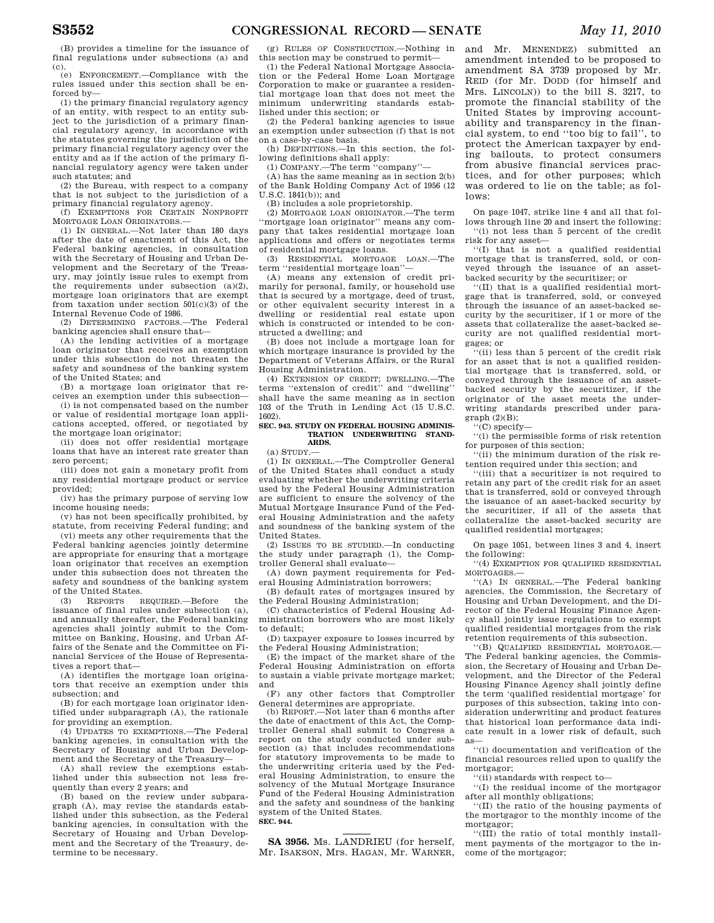(B) provides a timeline for the issuance of final regulations under subsections (a) and (c).

 $\hat{P}$  ENFORCEMENT  $\hat{P}$  Compliance with the rules issued under this section shall be enforced by—

(1) the primary financial regulatory agency of an entity, with respect to an entity subject to the jurisdiction of a primary financial regulatory agency, in accordance with the statutes governing the jurisdiction of the primary financial regulatory agency over the entity and as if the action of the primary financial regulatory agency were taken under such statutes; and

(2) the Bureau, with respect to a company that is not subject to the jurisdiction of a primary financial regulatory agency.

(f) EXEMPTIONS FOR CERTAIN NONPROFIT MORTGAGE LOAN ORIGINATORS.—

(1) IN GENERAL.—Not later than 180 days after the date of enactment of this Act, the Federal banking agencies, in consultation with the Secretary of Housing and Urban Development and the Secretary of the Treasury, may jointly issue rules to exempt from the requirements under subsection  $(a)(2)$ , mortgage loan originators that are exempt from taxation under section 501(c)(3) of the Internal Revenue Code of 1986.

(2) DETERMINING FACTORS.—The Federal banking agencies shall ensure that—

(A) the lending activities of a mortgage loan originator that receives an exemption under this subsection do not threaten the safety and soundness of the banking system of the United States; and

(B) a mortgage loan originator that receives an exemption under this subsection—

(i) is not compensated based on the number or value of residential mortgage loan applications accepted, offered, or negotiated by the mortgage loan originator;

(ii) does not offer residential mortgage loans that have an interest rate greater than zero percent;

(iii) does not gain a monetary profit from any residential mortgage product or service provided;

(iv) has the primary purpose of serving low income housing needs;

(v) has not been specifically prohibited, by statute, from receiving Federal funding; and

(vi) meets any other requirements that the Federal banking agencies jointly determine are appropriate for ensuring that a mortgage loan originator that receives an exemption under this subsection does not threaten the safety and soundness of the banking system of the United States.

(3) REPORTS REQUIRED.—Before the issuance of final rules under subsection (a), and annually thereafter, the Federal banking agencies shall jointly submit to the Committee on Banking, Housing, and Urban Affairs of the Senate and the Committee on Financial Services of the House of Representatives a report that—

(A) identifies the mortgage loan originators that receive an exemption under this subsection; and

(B) for each mortgage loan originator identified under subparagraph (A), the rationale for providing an exemption.

(4) UPDATES TO EXEMPTIONS.—The Federal banking agencies, in consultation with the Secretary of Housing and Urban Development and the Secretary of the Treasury—

(A) shall review the exemptions established under this subsection not less frequently than every 2 years; and

(B) based on the review under subparagraph (A), may revise the standards established under this subsection, as the Federal banking agencies, in consultation with the Secretary of Housing and Urban Development and the Secretary of the Treasury, determine to be necessary.

(g) RULES OF CONSTRUCTION.—Nothing in this section may be construed to permit—

(1) the Federal National Mortgage Association or the Federal Home Loan Mortgage Corporation to make or guarantee a residential mortgage loan that does not meet the minimum underwriting standards established under this section; or

(2) the Federal banking agencies to issue an exemption under subsection (f) that is not

on a case-by-case basis. (h) DEFINITIONS.—In this section, the following definitions shall apply:

 $(1)$  COMPANY.—The term "company"

(A) has the same meaning as in section 2(b) of the Bank Holding Company Act of 1956 (12 U.S.C. 1841(b)); and

(B) includes a sole proprietorship. (2) MORTGAGE LOAN ORIGINATOR.—The term 'mortgage loan originator'' means any company that takes residential mortgage loan applications and offers or negotiates terms of residential mortgage loans.

(3) RESIDENTIAL MORTGAGE LOAN.—The term ''residential mortgage loan''—

(A) means any extension of credit primarily for personal, family, or household use that is secured by a mortgage, deed of trust, or other equivalent security interest in a dwelling or residential real estate upon which is constructed or intended to be constructed a dwelling; and

(B) does not include a mortgage loan for which mortgage insurance is provided by the Department of Veterans Affairs, or the Rural Housing Administration.

(4) EXTENSION OF CREDIT; DWELLING.—The terms ''extension of credit'' and ''dwelling'' shall have the same meaning as in section 103 of the Truth in Lending Act (15 U.S.C. 1602).

#### **SEC. 943. STUDY ON FEDERAL HOUSING ADMINIS-TRATION UNDERWRITING STAND-ARDS.**

(a) STUDY.—

(1) IN GENERAL.—The Comptroller General of the United States shall conduct a study evaluating whether the underwriting criteria used by the Federal Housing Administration are sufficient to ensure the solvency of the Mutual Mortgage Insurance Fund of the Federal Housing Administration and the safety and soundness of the banking system of the United States.

(2) ISSUES TO BE STUDIED.—In conducting the study under paragraph (1), the Comptroller General shall evaluate—

(A) down payment requirements for Federal Housing Administration borrowers;

(B) default rates of mortgages insured by the Federal Housing Administration;

(C) characteristics of Federal Housing Administration borrowers who are most likely to default;

(D) taxpayer exposure to losses incurred by the Federal Housing Administration;

(E) the impact of the market share of the Federal Housing Administration on efforts to sustain a viable private mortgage market; and

(F) any other factors that Comptroller General determines are appropriate.

 $(b)$  REPORT  $-$ Not later than 6 months after the date of enactment of this Act, the Comptroller General shall submit to Congress a report on the study conducted under subsection (a) that includes recommendations for statutory improvements to be made to the underwriting criteria used by the Federal Housing Administration, to ensure the solvency of the Mutual Mortgage Insurance Fund of the Federal Housing Administration and the safety and soundness of the banking system of the United States. **SEC. 944.** 

**SA 3956.** Ms. LANDRIEU (for herself, Mr. ISAKSON, Mrs. HAGAN, Mr. WARNER,

and Mr. MENENDEZ) submitted an amendment intended to be proposed to amendment SA 3739 proposed by Mr. REID (for Mr. DODD (for himself and Mrs. LINCOLN)) to the bill S. 3217, to promote the financial stability of the United States by improving accountability and transparency in the financial system, to end ''too big to fail'', to protect the American taxpayer by ending bailouts, to protect consumers from abusive financial services practices, and for other purposes; which was ordered to lie on the table; as follows:

On page 1047, strike line 4 and all that follows through line 20 and insert the following: ''(i) not less than 5 percent of the credit risk for any asset—

''(I) that is not a qualified residential mortgage that is transferred, sold, or conveyed through the issuance of an assetbacked security by the securitizer; or

''(II) that is a qualified residential mortgage that is transferred, sold, or conveyed through the issuance of an asset-backed security by the securitizer, if 1 or more of the assets that collateralize the asset-backed security are not qualified residential mortgages; or

''(ii) less than 5 percent of the credit risk for an asset that is not a qualified residential mortgage that is transferred, sold, or conveyed through the issuance of an assetbacked security by the securitizer, if the originator of the asset meets the underwriting standards prescribed under paragraph (2)(B);

''(C) specify—

''(i) the permissible forms of risk retention for purposes of this section;

''(ii) the minimum duration of the risk retention required under this section; and

''(iii) that a securitizer is not required to retain any part of the credit risk for an asset that is transferred, sold or conveyed through the issuance of an asset-backed security by the securitizer, if all of the assets that collateralize the asset-backed security are qualified residential mortgages;

On page 1051, between lines 3 and 4, insert the following:

''(4) EXEMPTION FOR QUALIFIED RESIDENTIAL MORTGAGES.—

''(A) IN GENERAL.—The Federal banking agencies, the Commission, the Secretary of Housing and Urban Development, and the Director of the Federal Housing Finance Agency shall jointly issue regulations to exempt qualified residential mortgages from the risk retention requirements of this subsection.

''(B) QUALIFIED RESIDENTIAL MORTGAGE.— The Federal banking agencies, the Commission, the Secretary of Housing and Urban Development, and the Director of the Federal Housing Finance Agency shall jointly define the term 'qualified residential mortgage' for purposes of this subsection, taking into consideration underwriting and product features that historical loan performance data indicate result in a lower risk of default, such as—

''(i) documentation and verification of the financial resources relied upon to qualify the mortgagor;

''(ii) standards with respect to—

''(I) the residual income of the mortgagor after all monthly obligations;

''(II) the ratio of the housing payments of the mortgagor to the monthly income of the mortgagor;

''(III) the ratio of total monthly installment payments of the mortgagor to the income of the mortgagor;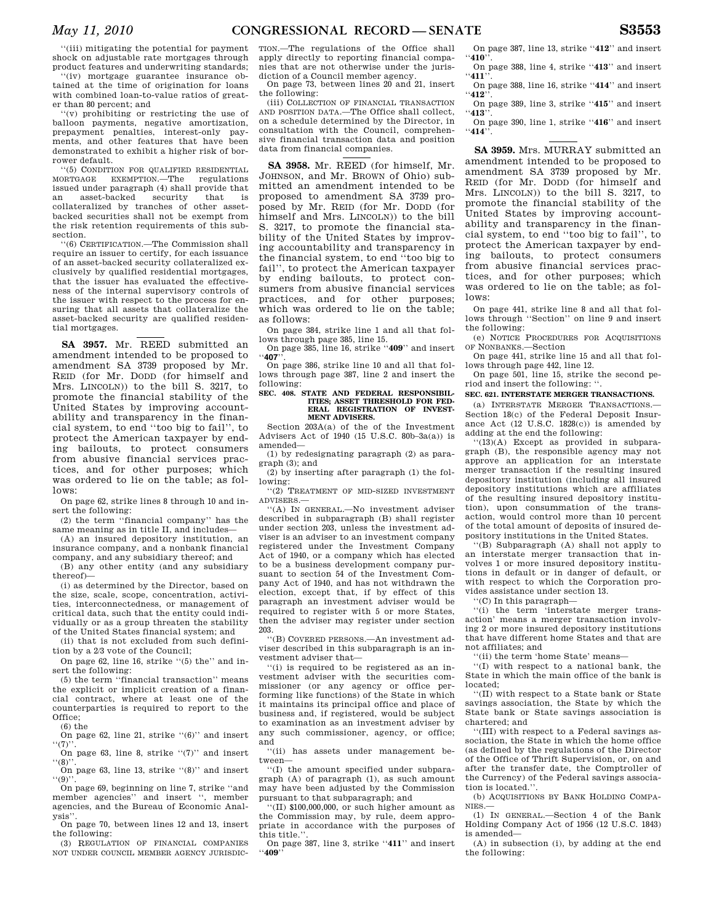''(iii) mitigating the potential for payment shock on adjustable rate mortgages through product features and underwriting standards;

''(iv) mortgage guarantee insurance obtained at the time of origination for loans with combined loan-to-value ratios of greater than 80 percent; and

''(v) prohibiting or restricting the use of balloon payments, negative amortization, prepayment penalties, interest-only payments, and other features that have been demonstrated to exhibit a higher risk of borrower default.

''(5) CONDITION FOR QUALIFIED RESIDENTIAL EXEMPTION.—The issued under paragraph (4) shall provide that an asset-backed security that is collateralized by tranches of other assetbacked securities shall not be exempt from the risk retention requirements of this subsection.

''(6) CERTIFICATION.—The Commission shall require an issuer to certify, for each issuance of an asset-backed security collateralized exclusively by qualified residential mortgages, that the issuer has evaluated the effectiveness of the internal supervisory controls of the issuer with respect to the process for ensuring that all assets that collateralize the asset-backed security are qualified residential mortgages.

**SA 3957.** Mr. REED submitted an amendment intended to be proposed to amendment SA 3739 proposed by Mr. REID (for Mr. DODD (for himself and Mrs. LINCOLN)) to the bill S. 3217, to promote the financial stability of the United States by improving accountability and transparency in the financial system, to end ''too big to fail'', to protect the American taxpayer by ending bailouts, to protect consumers from abusive financial services practices, and for other purposes; which was ordered to lie on the table; as follows:

On page 62, strike lines 8 through 10 and insert the following:

(2) the term ''financial company'' has the same meaning as in title II, and includes—

(A) an insured depository institution, an insurance company, and a nonbank financial company, and any subsidiary thereof; and

(B) any other entity (and any subsidiary thereof)—

(i) as determined by the Director, based on the size, scale, scope, concentration, activities, interconnectedness, or management of critical data, such that the entity could individually or as a group threaten the stability of the United States financial system; and

(ii) that is not excluded from such definition by a 2/3 vote of the Council;

On page 62, line 16, strike ''(5) the'' and insert the following:

(5) the term ''financial transaction'' means the explicit or implicit creation of a financial contract, where at least one of the counterparties is required to report to the Office;

(6) the

On page 62, line 21, strike ''(6)'' and insert  $``(7)"$ 

On page 63, line 8, strike "(7)" and insert  $``(8)"$ 

On page 63, line 13, strike ''(8)'' and insert  $``(9)"$ 

On page 69, beginning on line 7, strike ''and member agencies'' and insert '', member agencies, and the Bureau of Economic Analysis''.

On page 70, between lines 12 and 13, insert the following:

(3) REGULATION OF FINANCIAL COMPANIES NOT UNDER COUNCIL MEMBER AGENCY JURISDIC- TION.—The regulations of the Office shall apply directly to reporting financial companies that are not otherwise under the jurisdiction of a Council member agency.

On page 73, between lines  $20$  and  $21$ , insert the following:

(iii) COLLECTION OF FINANCIAL TRANSACTION AND POSITION DATA.—The Office shall collect, on a schedule determined by the Director, in consultation with the Council, comprehensive financial transaction data and position data from financial companies.

**SA 3958.** Mr. REED (for himself, Mr. JOHNSON, and Mr. BROWN of Ohio) submitted an amendment intended to be proposed to amendment SA 3739 proposed by Mr. REID (for Mr. DODD (for himself and Mrs. LINCOLN)) to the bill S. 3217, to promote the financial stability of the United States by improving accountability and transparency in the financial system, to end ''too big to fail'', to protect the American taxpayer by ending bailouts, to protect consumers from abusive financial services practices, and for other purposes; which was ordered to lie on the table; as follows:

On page 384, strike line 1 and all that fol-

lows through page 385, line 15. On page 385, line 16, strike ''**409**'' and insert ''**407**''.

On page 386, strike line 10 and all that follows through page 387, line 2 and insert the following:

**SEC. 408. STATE AND FEDERAL RESPONSIBIL-ITIES; ASSET THRESHOLD FOR FED-<br>
<b>ERAL REGISTRATION OF INVEST-ERAL REGISTRATION OF MENT ADVISERS.** 

Section  $203A(a)$  of the of the Investment Advisers Act of 1940 (15 U.S.C. 80b–3a(a)) is amended—

(1) by redesignating paragraph (2) as paragraph (3); and

(2) by inserting after paragraph (1) the fol-

lowing:<br>"(2) TREATMENT OF MID-SIZED INVESTMENT<br>ADVISERS.—

''(A) IN GENERAL.—No investment adviser described in subparagraph (B) shall register under section 203, unless the investment adviser is an adviser to an investment company registered under the Investment Company Act of 1940, or a company which has elected to be a business development company pursuant to section 54 of the Investment Company Act of 1940, and has not withdrawn the election, except that, if by effect of this paragraph an investment adviser would be required to register with 5 or more States, then the adviser may register under section 203.

''(B) COVERED PERSONS.—An investment adviser described in this subparagraph is an investment adviser that—

''(i) is required to be registered as an investment adviser with the securities commissioner (or any agency or office performing like functions) of the State in which it maintains its principal office and place of business and, if registered, would be subject to examination as an investment adviser by any such commissioner, agency, or office; and

''(ii) has assets under management between—

''(I) the amount specified under subparagraph (A) of paragraph (1), as such amount may have been adjusted by the Commission pursuant to that subparagraph; and

''(II) \$100,000,000, or such higher amount as the Commission may, by rule, deem appropriate in accordance with the purposes of this title.

On page 387, line 3, strike ''**411**'' and insert ''**409**''

On page 387, line 13, strike ''**412**'' and insert ''**410**''.

On page 388, line 4, strike ''**413**'' and insert ''**411**''.

On page 388, line 16, strike ''**414**'' and insert ''**412**''.

On page 389, line 3, strike ''**415**'' and insert ''**413**''.

On page 390, line 1, strike ''**416**'' and insert ''**414**''.

**SA 3959.** Mrs. MURRAY submitted an amendment intended to be proposed to amendment SA 3739 proposed by Mr. REID (for Mr. DODD (for himself and Mrs. LINCOLN)) to the bill S. 3217, to promote the financial stability of the United States by improving accountability and transparency in the financial system, to end ''too big to fail'', to protect the American taxpayer by ending bailouts, to protect consumers from abusive financial services practices, and for other purposes; which was ordered to lie on the table; as follows:

On page 441, strike line 8 and all that follows through ''Section'' on line 9 and insert the following:

(e) NOTICE PROCEDURES FOR ACQUISITIONS OF NONBANKS.—Section

On page 441, strike line 15 and all that follows through page 442, line 12.

On page 501, line 15, strike the second period and insert the following: ''.

# **SEC. 621. INTERSTATE MERGER TRANSACTIONS.**

(a) INTERSTATE MERGER TRANSACTIONS.— Section 18(c) of the Federal Deposit Insurance Act (12 U.S.C. 1828(c)) is amended by adding at the end the following:

''(13)(A) Except as provided in subparagraph (B), the responsible agency may not approve an application for an interstate merger transaction if the resulting insured depository institution (including all insured depository institutions which are affiliates of the resulting insured depository institution), upon consummation of the transaction, would control more than 10 percent of the total amount of deposits of insured depository institutions in the United States.

''(B) Subparagraph (A) shall not apply to an interstate merger transaction that involves 1 or more insured depository institutions in default or in danger of default, or with respect to which the Corporation provides assistance under section 13.

''(C) In this paragraph—

''(i) the term 'interstate merger transaction' means a merger transaction involving 2 or more insured depository institutions that have different home States and that are not affiliates; and

''(ii) the term 'home State' means—

''(I) with respect to a national bank, the State in which the main office of the bank is located;

''(II) with respect to a State bank or State savings association, the State by which the State bank or State savings association is chartered; and

''(III) with respect to a Federal savings association, the State in which the home office (as defined by the regulations of the Director of the Office of Thrift Supervision, or, on and after the transfer date, the Comptroller of the Currency) of the Federal savings association is located.''.

(b) ACQUISITIONS BY BANK HOLDING COMPA-NIES.—

(1) IN GENERAL.—Section 4 of the Bank Holding Company Act of 1956 (12 U.S.C. 1843) is amended—

(A) in subsection (i), by adding at the end the following: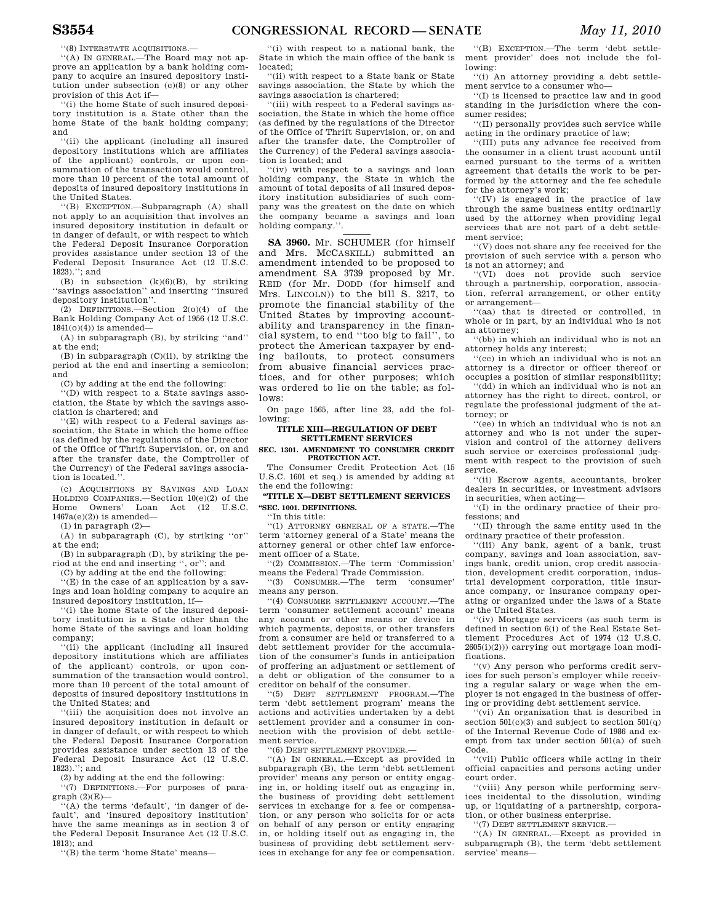''(8) INTERSTATE ACQUISITIONS.—

''(A) IN GENERAL.—The Board may not approve an application by a bank holding company to acquire an insured depository institution under subsection (c)(8) or any other provision of this Act if—

''(i) the home State of such insured depository institution is a State other than the home State of the bank holding company; and

''(ii) the applicant (including all insured depository institutions which are affiliates of the applicant) controls, or upon consummation of the transaction would control, more than 10 percent of the total amount of deposits of insured depository institutions in the United States.

''(B) EXCEPTION.—Subparagraph (A) shall not apply to an acquisition that involves an insured depository institution in default or in danger of default, or with respect to which the Federal Deposit Insurance Corporation provides assistance under section 13 of the Federal Deposit Insurance Act (12 U.S.C. 1823).''; and

(B) in subsection  $(k)(6)(B)$ , by striking ''savings association'' and inserting ''insured depository institution''.

(2) DEFINITIONS.—Section 2(o)(4) of the Bank Holding Company Act of 1956 (12 U.S.C.  $1841(o)(4)$ ) is amended-

(A) in subparagraph (B), by striking ''and'' at the end;

(B) in subparagraph (C)(ii), by striking the period at the end and inserting a semicolon; and

(C) by adding at the end the following:

''(D) with respect to a State savings association, the State by which the savings association is chartered; and

''(E) with respect to a Federal savings association, the State in which the home office (as defined by the regulations of the Director of the Office of Thrift Supervision, or, on and after the transfer date, the Comptroller of the Currency) of the Federal savings association is located.''.

(c) ACQUISITIONS BY SAVINGS AND LOAN HOLDING COMPANIES.—Section 10(e)(2) of the Home Owners' Loan Act (12 U.S.C.  $1467a(e)(2)$ ) is amended—

(1) in paragraph (2)—

(A) in subparagraph (C), by striking ''or'' at the end;

(B) in subparagraph (D), by striking the period at the end and inserting '', or''; and

(C) by adding at the end the following:

 $'(E)$  in the case of an application by a sayings and loan holding company to acquire an insured depository institution, if—

''(i) the home State of the insured depository institution is a State other than the home State of the savings and loan holding company;

''(ii) the applicant (including all insured depository institutions which are affiliates of the applicant) controls, or upon consummation of the transaction would control, more than 10 percent of the total amount of deposits of insured depository institutions in the United States; and

''(iii) the acquisition does not involve an insured depository institution in default or in danger of default, or with respect to which the Federal Deposit Insurance Corporation provides assistance under section 13 of the Federal Deposit Insurance Act (12 U.S.C. 1823).''; and

(2) by adding at the end the following:

''(7) DEFINITIONS.—For purposes of para $graph (2)(E)$ —

 $(A)$  the terms 'default', 'in danger of default', and 'insured depository institution' have the same meanings as in section 3 of the Federal Deposit Insurance Act (12 U.S.C. 1813); and

''(B) the term 'home State' means—

''(i) with respect to a national bank, the State in which the main office of the bank is located;

''(ii) with respect to a State bank or State savings association, the State by which the savings association is chartered;

''(iii) with respect to a Federal savings association, the State in which the home office (as defined by the regulations of the Director of the Office of Thrift Supervision, or, on and after the transfer date, the Comptroller of the Currency) of the Federal savings association is located; and

'(iv) with respect to a savings and loan holding company, the State in which the amount of total deposits of all insured depository institution subsidiaries of such company was the greatest on the date on which the company became a savings and loan holding company.''.

**SA 3960.** Mr. SCHUMER (for himself and Mrs. MCCASKILL) submitted an amendment intended to be proposed to amendment SA 3739 proposed by Mr. REID (for Mr. DODD (for himself and Mrs. LINCOLN)) to the bill S. 3217, to promote the financial stability of the United States by improving accountability and transparency in the financial system, to end ''too big to fail'', to protect the American taxpayer by ending bailouts, to protect consumers from abusive financial services practices, and for other purposes; which was ordered to lie on the table; as follows:

On page 1565, after line 23, add the following:

# **TITLE XIII—REGULATION OF DEBT SETTLEMENT SERVICES**

**SEC. 1301. AMENDMENT TO CONSUMER CREDIT PROTECTION ACT.** 

The Consumer Credit Protection Act (15 U.S.C. 1601 et seq.) is amended by adding at the end the following:

**''TITLE X—DEBT SETTLEMENT SERVICES ''SEC. 1001. DEFINITIONS.** 

''In this title:

''(1) ATTORNEY GENERAL OF A STATE.—The term 'attorney general of a State' means the attorney general or other chief law enforcement officer of a State.

''(2) COMMISSION.—The term 'Commission' means the Federal Trade Commission.<br>
"(3) CONSUMER.—The term 'consumer'

 $``(3)$  CONSUMER.—The means any person.

''(4) CONSUMER SETTLEMENT ACCOUNT.—The term 'consumer settlement account' means any account or other means or device in which payments, deposits, or other transfers from a consumer are held or transferred to a debt settlement provider for the accumulation of the consumer's funds in anticipation of proffering an adjustment or settlement of a debt or obligation of the consumer to a creditor on behalf of the consumer.

''(5) DEBT SETTLEMENT PROGRAM.—The term 'debt settlement program' means the actions and activities undertaken by a debt settlement provider and a consumer in connection with the provision of debt settlement service.

''(6) DEBT SETTLEMENT PROVIDER.—

''(A) IN GENERAL.—Except as provided in subparagraph (B), the term 'debt settlement provider' means any person or entity engaging in, or holding itself out as engaging in, the business of providing debt settlement services in exchange for a fee or compensation, or any person who solicits for or acts on behalf of any person or entity engaging in, or holding itself out as engaging in, the business of providing debt settlement services in exchange for any fee or compensation.

''(B) EXCEPTION.—The term 'debt settlement provider' does not include the following:

''(i) An attorney providing a debt settlement service to a consumer who—

''(I) is licensed to practice law and in good standing in the jurisdiction where the consumer resides;

''(II) personally provides such service while acting in the ordinary practice of law;

''(III) puts any advance fee received from the consumer in a client trust account until earned pursuant to the terms of a written agreement that details the work to be performed by the attorney and the fee schedule for the attorney's work;

''(IV) is engaged in the practice of law through the same business entity ordinarily used by the attorney when providing legal services that are not part of a debt settlement service;

''(V) does not share any fee received for the provision of such service with a person who is not an attorney; and

''(VI) does not provide such service through a partnership, corporation, association, referral arrangement, or other entity or arrangement—

''(aa) that is directed or controlled, in whole or in part, by an individual who is not an attorney;

''(bb) in which an individual who is not an attorney holds any interest;

''(cc) in which an individual who is not an attorney is a director or officer thereof or occupies a position of similar responsibility;

''(dd) in which an individual who is not an attorney has the right to direct, control, or regulate the professional judgment of the attorney; or

''(ee) in which an individual who is not an attorney and who is not under the supervision and control of the attorney delivers such service or exercises professional judgment with respect to the provision of such service.

''(ii) Escrow agents, accountants, broker dealers in securities, or investment advisors in securities, when acting—

''(I) in the ordinary practice of their professions; and

''(II) through the same entity used in the ordinary practice of their profession.

''(iii) Any bank, agent of a bank, trust company, savings and loan association, savings bank, credit union, crop credit association, development credit corporation, industrial development corporation, title insurance company, or insurance company operating or organized under the laws of a State or the United States.

''(iv) Mortgage servicers (as such term is defined in section 6(i) of the Real Estate Settlement Procedures Act of 1974 (12 U.S.C. 2605(i)(2))) carrying out mortgage loan modifications.

''(v) Any person who performs credit services for such person's employer while receiving a regular salary or wage when the employer is not engaged in the business of offering or providing debt settlement service.

''(vi) An organization that is described in section  $501(c)(3)$  and subject to section  $501(q)$ of the Internal Revenue Code of 1986 and exempt from tax under section 501(a) of such Code.

''(vii) Public officers while acting in their official capacities and persons acting under court order.

''(viii) Any person while performing services incidental to the dissolution, winding up, or liquidating of a partnership, corporation, or other business enterprise.

''(7) DEBT SETTLEMENT SERVICE.—

''(A) IN GENERAL.—Except as provided in subparagraph (B), the term 'debt settlement service' means—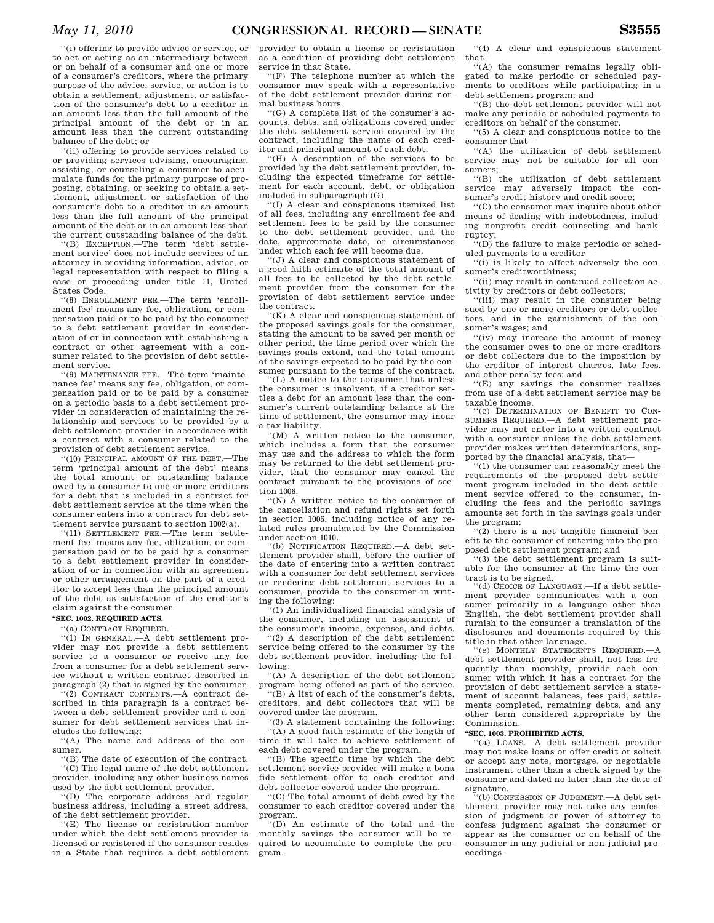''(i) offering to provide advice or service, or to act or acting as an intermediary between or on behalf of a consumer and one or more of a consumer's creditors, where the primary purpose of the advice, service, or action is to obtain a settlement, adjustment, or satisfaction of the consumer's debt to a creditor in an amount less than the full amount of the principal amount of the debt or in an amount less than the current outstanding balance of the debt; or

''(ii) offering to provide services related to or providing services advising, encouraging, assisting, or counseling a consumer to accumulate funds for the primary purpose of proposing, obtaining, or seeking to obtain a settlement, adjustment, or satisfaction of the consumer's debt to a creditor in an amount less than the full amount of the principal amount of the debt or in an amount less than the current outstanding balance of the debt.

''(B) EXCEPTION.—The term 'debt settlement service' does not include services of an attorney in providing information, advice, or legal representation with respect to filing a case or proceeding under title 11, United States Code.

''(8) ENROLLMENT FEE.—The term 'enrollment fee' means any fee, obligation, or compensation paid or to be paid by the consumer to a debt settlement provider in consideration of or in connection with establishing a contract or other agreement with a consumer related to the provision of debt settlement service.

''(9) MAINTENANCE FEE.—The term 'maintenance fee' means any fee, obligation, or compensation paid or to be paid by a consumer on a periodic basis to a debt settlement provider in consideration of maintaining the relationship and services to be provided by a debt settlement provider in accordance with a contract with a consumer related to the provision of debt settlement service.

''(10) PRINCIPAL AMOUNT OF THE DEBT.—The term 'principal amount of the debt' means the total amount or outstanding balance owed by a consumer to one or more creditors for a debt that is included in a contract for debt settlement service at the time when the consumer enters into a contract for debt settlement service pursuant to section 1002(a).

'(11) SETTLEMENT FEE.-The term 'settlement fee' means any fee, obligation, or compensation paid or to be paid by a consumer to a debt settlement provider in consideration of or in connection with an agreement or other arrangement on the part of a creditor to accept less than the principal amount of the debt as satisfaction of the creditor's claim against the consumer.

# **''SEC. 1002. REQUIRED ACTS.**

# ''(a) CONTRACT REQUIRED.—

''(1) IN GENERAL.—A debt settlement provider may not provide a debt settlement service to a consumer or receive any fee from a consumer for a debt settlement service without a written contract described in paragraph (2) that is signed by the consumer.

''(2) CONTRACT CONTENTS.—A contract described in this paragraph is a contract between a debt settlement provider and a consumer for debt settlement services that includes the following:

''(A) The name and address of the consumer.

''(B) The date of execution of the contract. ''(C) The legal name of the debt settlement provider, including any other business names used by the debt settlement provider.

''(D) The corporate address and regular business address, including a street address, of the debt settlement provider.

''(E) The license or registration number under which the debt settlement provider is licensed or registered if the consumer resides in a State that requires a debt settlement provider to obtain a license or registration as a condition of providing debt settlement service in that State.

''(F) The telephone number at which the consumer may speak with a representative of the debt settlement provider during normal business hours.

''(G) A complete list of the consumer's accounts, debts, and obligations covered under the debt settlement service covered by the contract, including the name of each creditor and principal amount of each debt.

''(H) A description of the services to be provided by the debt settlement provider, including the expected timeframe for settlement for each account, debt, or obligation included in subparagraph (G).

''(I) A clear and conspicuous itemized list of all fees, including any enrollment fee and settlement fees to be paid by the consumer to the debt settlement provider, and the date, approximate date, or circumstances under which each fee will become due.

''(J) A clear and conspicuous statement of a good faith estimate of the total amount of all fees to be collected by the debt settlement provider from the consumer for the provision of debt settlement service under the contract.

''(K) A clear and conspicuous statement of the proposed savings goals for the consumer, stating the amount to be saved per month or other period, the time period over which the savings goals extend, and the total amount of the savings expected to be paid by the consumer pursuant to the terms of the contract.

''(L) A notice to the consumer that unless the consumer is insolvent, if a creditor settles a debt for an amount less than the consumer's current outstanding balance at the time of settlement, the consumer may incur a tax liability.

''(M) A written notice to the consumer, which includes a form that the consumer may use and the address to which the form may be returned to the debt settlement provider, that the consumer may cancel the contract pursuant to the provisions of section 1006.

''(N) A written notice to the consumer of the cancellation and refund rights set forth in section 1006, including notice of any related rules promulgated by the Commission under section 1010.

''(b) NOTIFICATION REQUIRED.—A debt settlement provider shall, before the earlier of the date of entering into a written contract with a consumer for debt settlement services or rendering debt settlement services to a consumer, provide to the consumer in writing the following:

 $(1)$  An individualized financial analysis of the consumer, including an assessment of the consumer's income, expenses, and debts.

''(2) A description of the debt settlement service being offered to the consumer by the debt settlement provider, including the following:

''(A) A description of the debt settlement program being offered as part of the service. ''(B) A list of each of the consumer's debts, creditors, and debt collectors that will be covered under the program.

''(3) A statement containing the following: ''(A) A good-faith estimate of the length of time it will take to achieve settlement of each debt covered under the program.

''(B) The specific time by which the debt settlement service provider will make a bona fide settlement offer to each creditor and debt collector covered under the program.

''(C) The total amount of debt owed by the consumer to each creditor covered under the program.

''(D) An estimate of the total and the monthly savings the consumer will be required to accumulate to complete the program.

''(4) A clear and conspicuous statement that—

''(A) the consumer remains legally obligated to make periodic or scheduled payments to creditors while participating in a debt settlement program; and

''(B) the debt settlement provider will not make any periodic or scheduled payments to creditors on behalf of the consumer.

''(5) A clear and conspicuous notice to the consumer that—

''(A) the utilization of debt settlement service may not be suitable for all consumers;

''(B) the utilization of debt settlement service may adversely impact the consumer's credit history and credit score;

''(C) the consumer may inquire about other means of dealing with indebtedness, including nonprofit credit counseling and bankruptcy;

''(D) the failure to make periodic or scheduled payments to a creditor—

''(i) is likely to affect adversely the consumer's creditworthiness;

''(ii) may result in continued collection activity by creditors or debt collectors;

''(iii) may result in the consumer being sued by one or more creditors or debt collectors, and in the garnishment of the consumer's wages; and

''(iv) may increase the amount of money the consumer owes to one or more creditors or debt collectors due to the imposition by the creditor of interest charges, late fees, and other penalty fees; and

''(E) any savings the consumer realizes from use of a debt settlement service may be taxable income.

''(c) DETERMINATION OF BENEFIT TO CON-SUMERS REQUIRED.—A debt settlement provider may not enter into a written contract with a consumer unless the debt settlement provider makes written determinations, supported by the financial analysis, that—

''(1) the consumer can reasonably meet the requirements of the proposed debt settlement program included in the debt settlement service offered to the consumer, including the fees and the periodic savings amounts set forth in the savings goals under the program;

''(2) there is a net tangible financial benefit to the consumer of entering into the proposed debt settlement program; and

''(3) the debt settlement program is suitable for the consumer at the time the contract is to be signed.

''(d) CHOICE OF LANGUAGE.—If a debt settlement provider communicates with a consumer primarily in a language other than English, the debt settlement provider shall furnish to the consumer a translation of the disclosures and documents required by this title in that other language.

''(e) MONTHLY STATEMENTS REQUIRED.—A debt settlement provider shall, not less frequently than monthly, provide each consumer with which it has a contract for the provision of debt settlement service a statement of account balances, fees paid, settlements completed, remaining debts, and any other term considered appropriate by the Commission.

# **''SEC. 1003. PROHIBITED ACTS.**

''(a) LOANS.—A debt settlement provider may not make loans or offer credit or solicit or accept any note, mortgage, or negotiable instrument other than a check signed by the consumer and dated no later than the date of signature.

(b) CONFESSION OF JUDGMENT.—A debt settlement provider may not take any confession of judgment or power of attorney to confess judgment against the consumer or appear as the consumer or on behalf of the consumer in any judicial or non-judicial proceedings.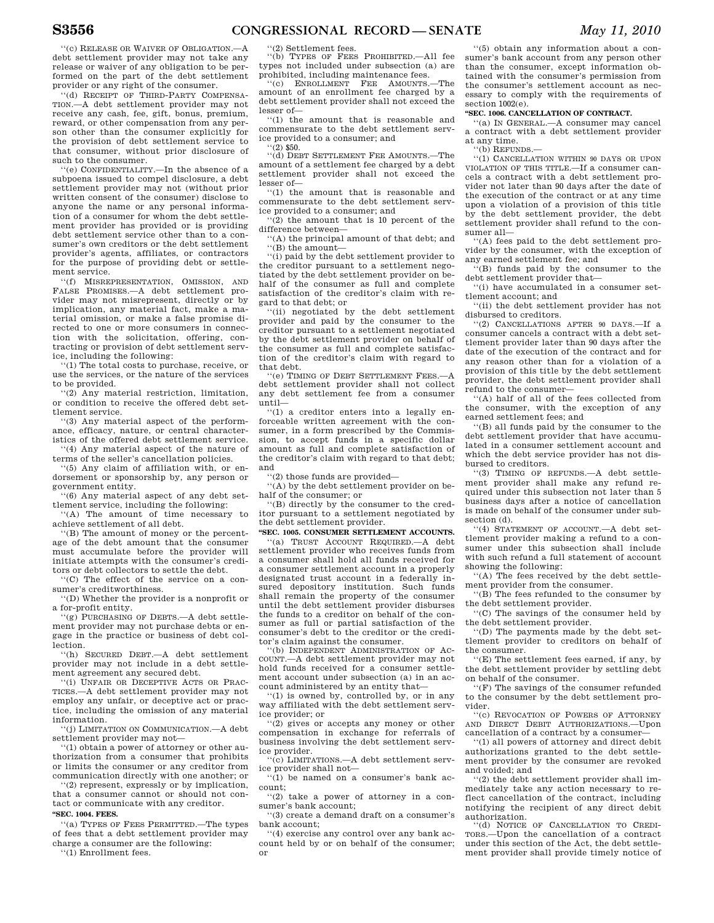"(c) RELEASE OR WAIVER OF OBLIGATION.debt settlement provider may not take any release or waiver of any obligation to be performed on the part of the debt settlement provider or any right of the consumer.

''(d) RECEIPT OF THIRD-PARTY COMPENSA-TION.—A debt settlement provider may not receive any cash, fee, gift, bonus, premium, reward, or other compensation from any person other than the consumer explicitly for the provision of debt settlement service to that consumer, without prior disclosure of such to the consumer.

''(e) CONFIDENTIALITY.—In the absence of a subpoena issued to compel disclosure, a debt settlement provider may not (without prior written consent of the consumer) disclose to anyone the name or any personal information of a consumer for whom the debt settlement provider has provided or is providing debt settlement service other than to a consumer's own creditors or the debt settlement provider's agents, affiliates, or contractors for the purpose of providing debt or settlement service.

''(f) MISREPRESENTATION, OMISSION, AND FALSE PROMISES.—A debt settlement provider may not misrepresent, directly or by implication, any material fact, make a material omission, or make a false promise directed to one or more consumers in connection with the solicitation, offering, contracting or provision of debt settlement service, including the following:

''(1) The total costs to purchase, receive, or use the services, or the nature of the services to be provided.

''(2) Any material restriction, limitation, or condition to receive the offered debt settlement service.

''(3) Any material aspect of the performance, efficacy, nature, or central characteristics of the offered debt settlement service.

''(4) Any material aspect of the nature of terms of the seller's cancellation policies.

'(5) Any claim of affiliation with, or endorsement or sponsorship by, any person or government entity.

''(6) Any material aspect of any debt settlement service, including the following:

''(A) The amount of time necessary to achieve settlement of all debt.

''(B) The amount of money or the percentage of the debt amount that the consumer must accumulate before the provider will initiate attempts with the consumer's creditors or debt collectors to settle the debt.

''(C) The effect of the service on a consumer's creditworthiness.

''(D) Whether the provider is a nonprofit or a for-profit entity.

''(g) PURCHASING OF DEBTS.—A debt settlement provider may not purchase debts or engage in the practice or business of debt collection.

''(h) SECURED DEBT.—A debt settlement provider may not include in a debt settlement agreement any secured debt.

''(i) UNFAIR OR DECEPTIVE ACTS OR PRAC-TICES.—A debt settlement provider may not employ any unfair, or deceptive act or practice, including the omission of any material information.

''(j) LIMITATION ON COMMUNICATION.—A debt settlement provider may not—

''(1) obtain a power of attorney or other authorization from a consumer that prohibits or limits the consumer or any creditor from communication directly with one another; or

 $(2)$  represent, expressly or by implication, that a consumer cannot or should not contact or communicate with any creditor. **''SEC. 1004. FEES.** 

''(a) TYPES OF FEES PERMITTED.—The types of fees that a debt settlement provider may charge a consumer are the following:

''(1) Enrollment fees.

(2) Settlement fees.

''(b) TYPES OF FEES PROHIBITED.—All fee types not included under subsection (a) are prohibited, including maintenance fees.

'(c) ENROLLMENT FEE AMOUNTS.-The amount of an enrollment fee charged by a debt settlement provider shall not exceed the lesser of—

''(1) the amount that is reasonable and commensurate to the debt settlement service provided to a consumer; and

''(2) \$50.

''(d) DEBT SETTLEMENT FEE AMOUNTS.—The amount of a settlement fee charged by a debt settlement provider shall not exceed the lesser of—

''(1) the amount that is reasonable and commensurate to the debt settlement service provided to a consumer; and

''(2) the amount that is 10 percent of the difference between—

''(A) the principal amount of that debt; and ''(B) the amount—

''(i) paid by the debt settlement provider to the creditor pursuant to a settlement negotiated by the debt settlement provider on behalf of the consumer as full and complete satisfaction of the creditor's claim with regard to that debt; or

''(ii) negotiated by the debt settlement provider and paid by the consumer to the creditor pursuant to a settlement negotiated by the debt settlement provider on behalf of the consumer as full and complete satisfaction of the creditor's claim with regard to that debt.

'(e) TIMING OF DEBT SETTLEMENT FEES.-- A debt settlement provider shall not collect any debt settlement fee from a consumer until—

''(1) a creditor enters into a legally enforceable written agreement with the consumer, in a form prescribed by the Commission, to accept funds in a specific dollar amount as full and complete satisfaction of the creditor's claim with regard to that debt; and

''(2) those funds are provided—

''(A) by the debt settlement provider on behalf of the consumer; or

''(B) directly by the consumer to the creditor pursuant to a settlement negotiated by the debt settlement provider.

**''SEC. 1005. CONSUMER SETTLEMENT ACCOUNTS.**  ''(a) TRUST ACCOUNT REQUIRED.—A debt settlement provider who receives funds from a consumer shall hold all funds received for a consumer settlement account in a properly designated trust account in a federally insured depository institution. Such funds shall remain the property of the consumer until the debt settlement provider disburses the funds to a creditor on behalf of the consumer as full or partial satisfaction of the consumer's debt to the creditor or the creditor's claim against the consumer.

'(b) INDEPENDENT ADMINISTRATION OF AC-COUNT.—A debt settlement provider may not hold funds received for a consumer settlement account under subsection (a) in an account administered by an entity that—

''(1) is owned by, controlled by, or in any way affiliated with the debt settlement service provider; or

''(2) gives or accepts any money or other compensation in exchange for referrals of business involving the debt settlement service provider.

''(c) LIMITATIONS.—A debt settlement service provider shall not—

''(1) be named on a consumer's bank account;

''(2) take a power of attorney in a consumer's bank account;

''(3) create a demand draft on a consumer's bank account;

''(4) exercise any control over any bank account held by or on behalf of the consumer; or

''(5) obtain any information about a consumer's bank account from any person other than the consumer, except information obtained with the consumer's permission from the consumer's settlement account as necessary to comply with the requirements of section 1002(e).

# **''SEC. 1006. CANCELLATION OF CONTRACT.**

''(a) IN GENERAL.—A consumer may cancel a contract with a debt settlement provider at any time.

''(b) REFUNDS.—

''(1) CANCELLATION WITHIN 90 DAYS OR UPON VIOLATION OF THIS TITLE.—If a consumer cancels a contract with a debt settlement provider not later than 90 days after the date of the execution of the contract or at any time upon a violation of a provision of this title by the debt settlement provider, the debt settlement provider shall refund to the consumer all—

''(A) fees paid to the debt settlement provider by the consumer, with the exception of any earned settlement fee; and

''(B) funds paid by the consumer to the debt settlement provider that—

''(i) have accumulated in a consumer settlement account; and

''(ii) the debt settlement provider has not disbursed to creditors.

''(2) CANCELLATIONS AFTER 90 DAYS.—If a consumer cancels a contract with a debt settlement provider later than 90 days after the date of the execution of the contract and for any reason other than for a violation of a provision of this title by the debt settlement provider, the debt settlement provider shall refund to the consumer—

''(A) half of all of the fees collected from the consumer, with the exception of any earned settlement fees; and

''(B) all funds paid by the consumer to the debt settlement provider that have accumulated in a consumer settlement account and which the debt service provider has not disbursed to creditors.

''(3) TIMING OF REFUNDS.—A debt settlement provider shall make any refund required under this subsection not later than 5 business days after a notice of cancellation is made on behalf of the consumer under subsection (d).

''(4) STATEMENT OF ACCOUNT.—A debt settlement provider making a refund to a consumer under this subsection shall include with such refund a full statement of account showing the following:

''(A) The fees received by the debt settlement provider from the consumer.

''(B) The fees refunded to the consumer by the debt settlement provider.

''(C) The savings of the consumer held by the debt settlement provider.

''(D) The payments made by the debt settlement provider to creditors on behalf of the consumer.

''(E) The settlement fees earned, if any, by the debt settlement provider by settling debt on behalf of the consumer.

''(F) The savings of the consumer refunded to the consumer by the debt settlement provider.

''(c) REVOCATION OF POWERS OF ATTORNEY AND DIRECT DEBIT AUTHORIZATIONS.—Upon cancellation of a contract by a consumer—

''(1) all powers of attorney and direct debit authorizations granted to the debt settlement provider by the consumer are revoked and voided; and

''(2) the debt settlement provider shall immediately take any action necessary to reflect cancellation of the contract, including notifying the recipient of any direct debit authorization.

''(d) NOTICE OF CANCELLATION TO CREDI-TORS.—Upon the cancellation of a contract under this section of the Act, the debt settlement provider shall provide timely notice of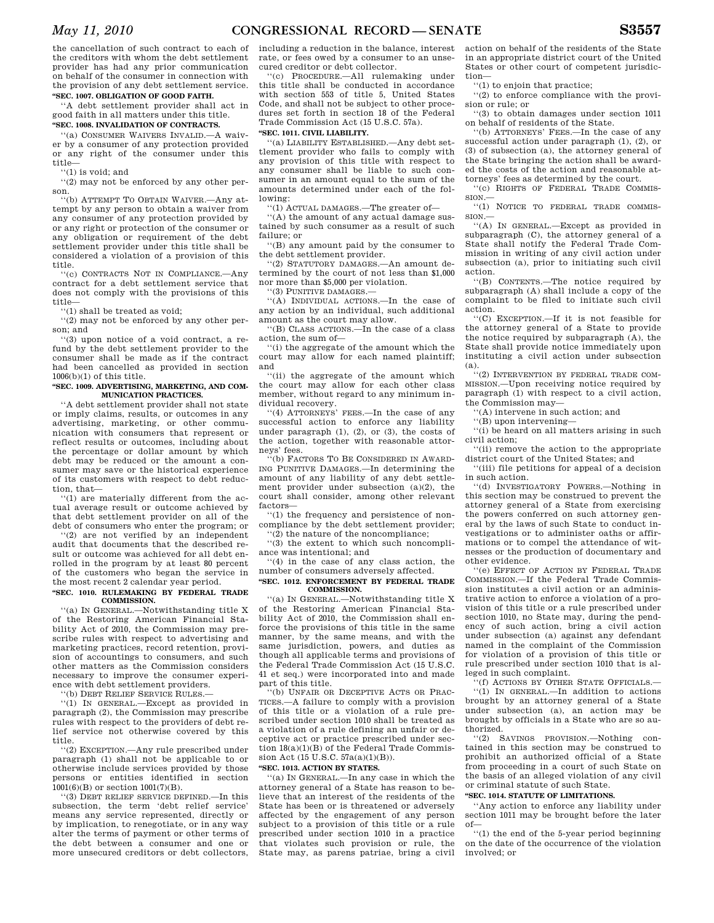the cancellation of such contract to each of the creditors with whom the debt settlement provider has had any prior communication on behalf of the consumer in connection with the provision of any debt settlement service. **''SEC. 1007. OBLIGATION OF GOOD FAITH.** 

''A debt settlement provider shall act in good faith in all matters under this title. **''SEC. 1008. INVALIDATION OF CONTRACTS.** 

''(a) CONSUMER WAIVERS INVALID.—A waiver by a consumer of any protection provided or any right of the consumer under this title—

''(1) is void; and

''(2) may not be enforced by any other person.

''(b) ATTEMPT TO OBTAIN WAIVER.—Any attempt by any person to obtain a waiver from any consumer of any protection provided by or any right or protection of the consumer or any obligation or requirement of the debt settlement provider under this title shall be considered a violation of a provision of this title.

''(c) CONTRACTS NOT IN COMPLIANCE.—Any contract for a debt settlement service that does not comply with the provisions of this title—

''(1) shall be treated as void;

''(2) may not be enforced by any other person; and

 $(3)$  upon notice of a void contract, a refund by the debt settlement provider to the consumer shall be made as if the contract had been cancelled as provided in section 1006(b)(1) of this title.

# **''SEC. 1009. ADVERTISING, MARKETING, AND COM-MUNICATION PRACTICES.**

''A debt settlement provider shall not state or imply claims, results, or outcomes in any advertising, marketing, or other communication with consumers that represent or reflect results or outcomes, including about the percentage or dollar amount by which debt may be reduced or the amount a consumer may save or the historical experience of its customers with respect to debt reduction, that—

''(1) are materially different from the actual average result or outcome achieved by that debt settlement provider on all of the debt of consumers who enter the program; or

''(2) are not verified by an independent audit that documents that the described result or outcome was achieved for all debt enrolled in the program by at least 80 percent of the customers who began the service in the most recent 2 calendar year period.

#### **''SEC. 1010. RULEMAKING BY FEDERAL TRADE COMMISSION.**

'(a) IN GENERAL.—Notwithstanding title X of the Restoring American Financial Stability Act of 2010, the Commission may prescribe rules with respect to advertising and marketing practices, record retention, provision of accountings to consumers, and such other matters as the Commission considers necessary to improve the consumer experience with debt settlement providers.

''(b) DEBT RELIEF SERVICE RULES.—

''(1) IN GENERAL.—Except as provided in paragraph (2), the Commission may prescribe rules with respect to the providers of debt relief service not otherwise covered by this title.

''(2) EXCEPTION.—Any rule prescribed under paragraph (1) shall not be applicable to or otherwise include services provided by those persons or entities identified in section 1001(6)(B) or section 1001(7)(B).

''(3) DEBT RELIEF SERVICE DEFINED.—In this subsection, the term 'debt relief service' means any service represented, directly or by implication, to renegotiate, or in any way alter the terms of payment or other terms of the debt between a consumer and one or more unsecured creditors or debt collectors, including a reduction in the balance, interest rate, or fees owed by a consumer to an unsecured creditor or debt collector.

''(c) PROCEDURE.—All rulemaking under this title shall be conducted in accordance with section 553 of title 5, United States Code, and shall not be subject to other procedures set forth in section 18 of the Federal Trade Commission Act (15 U.S.C. 57a).

# **''SEC. 1011. CIVIL LIABILITY.**

''(a) LIABILITY ESTABLISHED.—Any debt settlement provider who fails to comply with any provision of this title with respect to any consumer shall be liable to such consumer in an amount equal to the sum of the amounts determined under each of the following:

''(1) ACTUAL DAMAGES.—The greater of—

''(A) the amount of any actual damage sustained by such consumer as a result of such failure; or

''(B) any amount paid by the consumer to the debt settlement provider.

''(2) STATUTORY DAMAGES.—An amount determined by the court of not less than \$1,000 nor more than \$5,000 per violation.

''(3) PUNITIVE DAMAGES.—

''(A) INDIVIDUAL ACTIONS.—In the case of any action by an individual, such additional amount as the court may allow.

''(B) CLASS ACTIONS.—In the case of a class action, the sum of—

''(i) the aggregate of the amount which the court may allow for each named plaintiff; and

''(ii) the aggregate of the amount which the court may allow for each other class member, without regard to any minimum individual recovery.

''(4) ATTORNEYS' FEES.—In the case of any successful action to enforce any liability under paragraph  $(1)$ ,  $(2)$ , or  $(3)$ , the costs of the action, together with reasonable attorneys' fees.

''(b) FACTORS TO BE CONSIDERED IN AWARD-ING PUNITIVE DAMAGES.—In determining the amount of any liability of any debt settlement provider under subsection (a)(2), the court shall consider, among other relevant factors—

''(1) the frequency and persistence of noncompliance by the debt settlement provider;

''(2) the nature of the noncompliance; ''(3) the extent to which such noncompliance was intentional; and

''(4) in the case of any class action, the number of consumers adversely affected.

**''SEC. 1012. ENFORCEMENT BY FEDERAL TRADE COMMISSION.** 

''(a) IN GENERAL.—Notwithstanding title X of the Restoring American Financial Stability Act of 2010, the Commission shall enforce the provisions of this title in the same manner, by the same means, and with the same jurisdiction, powers, and duties as though all applicable terms and provisions of the Federal Trade Commission Act (15 U.S.C. 41 et seq.) were incorporated into and made part of this title.

''(b) UNFAIR OR DECEPTIVE ACTS OR PRAC-TICES.—A failure to comply with a provision of this title or a violation of a rule prescribed under section 1010 shall be treated as a violation of a rule defining an unfair or deceptive act or practice prescribed under section 18(a)(1)(B) of the Federal Trade Commission Act (15 U.S.C. 57a(a)(1)(B)).

# **''SEC. 1013. ACTION BY STATES.**

''(a) IN GENERAL.—In any case in which the attorney general of a State has reason to believe that an interest of the residents of the State has been or is threatened or adversely affected by the engagement of any person subject to a provision of this title or a rule prescribed under section 1010 in a practice that violates such provision or rule, the State may, as parens patriae, bring a civil

action on behalf of the residents of the State in an appropriate district court of the United States or other court of competent jurisdiction—

''(1) to enjoin that practice;

''(2) to enforce compliance with the provision or rule; or

''(3) to obtain damages under section 1011 on behalf of residents of the State.

''(b) ATTORNEYS' FEES.—In the case of any successful action under paragraph (1), (2), or (3) of subsection (a), the attorney general of the State bringing the action shall be awarded the costs of the action and reasonable attorneys' fees as determined by the court.

''(c) RIGHTS OF FEDERAL TRADE COMMIS- $STON$ 

''(1) NOTICE TO FEDERAL TRADE COMMIS-SION.—

''(A) IN GENERAL.—Except as provided in subparagraph (C), the attorney general of a State shall notify the Federal Trade Commission in writing of any civil action under subsection (a), prior to initiating such civil action.

''(B) CONTENTS.—The notice required by subparagraph (A) shall include a copy of the complaint to be filed to initiate such civil action.

''(C) EXCEPTION.—If it is not feasible for the attorney general of a State to provide the notice required by subparagraph (A), the State shall provide notice immediately upon instituting a civil action under subsection (a).

''(2) INTERVENTION BY FEDERAL TRADE COM-MISSION.—Upon receiving notice required by paragraph (1) with respect to a civil action, the Commission may—

''(A) intervene in such action; and

''(B) upon intervening— ''(i) be heard on all matters arising in such

civil action;

''(ii) remove the action to the appropriate district court of the United States; and

''(iii) file petitions for appeal of a decision in such action.

''(d) INVESTIGATORY POWERS.—Nothing in this section may be construed to prevent the attorney general of a State from exercising the powers conferred on such attorney general by the laws of such State to conduct investigations or to administer oaths or affirmations or to compel the attendance of witnesses or the production of documentary and other evidence.

''(e) EFFECT OF ACTION BY FEDERAL TRADE COMMISSION.—If the Federal Trade Commission institutes a civil action or an administrative action to enforce a violation of a provision of this title or a rule prescribed under section 1010, no State may, during the pendency of such action, bring a civil action under subsection (a) against any defendant named in the complaint of the Commission for violation of a provision of this title or rule prescribed under section 1010 that is alleged in such complaint.

''(f) ACTIONS BY OTHER STATE OFFICIALS.—

''(1) IN GENERAL.—In addition to actions brought by an attorney general of a State under subsection (a), an action may be brought by officials in a State who are so authorized.

''(2) SAVINGS PROVISION.—Nothing contained in this section may be construed to prohibit an authorized official of a State from proceeding in a court of such State on the basis of an alleged violation of any civil or criminal statute of such State.

# **''SEC. 1014. STATUTE OF LIMITATIONS.**

''Any action to enforce any liability under section 1011 may be brought before the later of—

''(1) the end of the 5-year period beginning on the date of the occurrence of the violation involved; or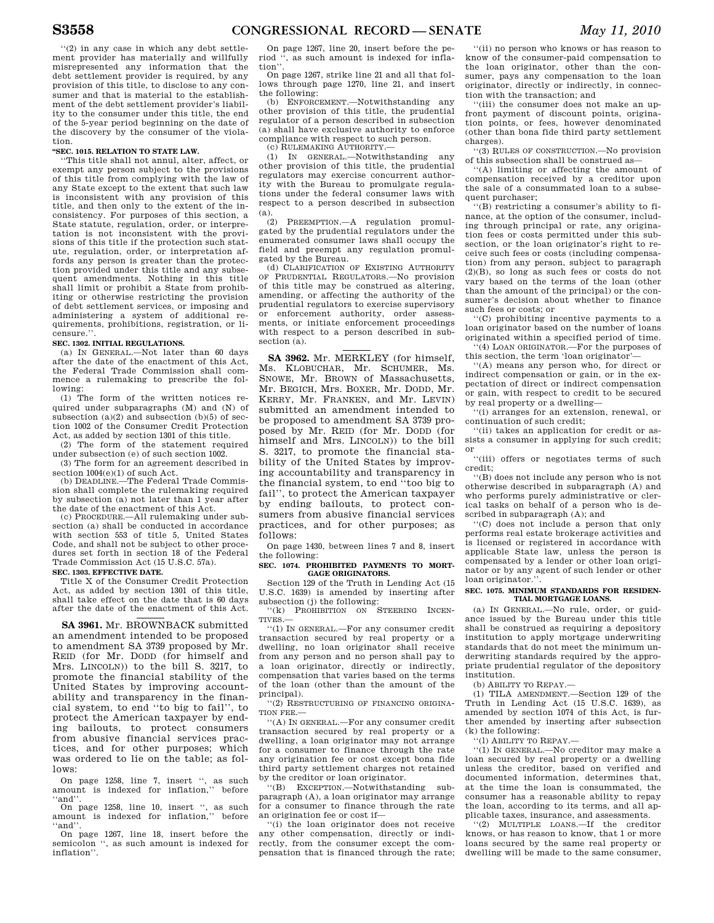''(2) in any case in which any debt settlement provider has materially and willfully misrepresented any information that the debt settlement provider is required, by any provision of this title, to disclose to any consumer and that is material to the establishment of the debt settlement provider's liability to the consumer under this title, the end of the 5-year period beginning on the date of the discovery by the consumer of the violation.

# **''SEC. 1015. RELATION TO STATE LAW.**

''This title shall not annul, alter, affect, or exempt any person subject to the provisions of this title from complying with the law of any State except to the extent that such law is inconsistent with any provision of this title, and then only to the extent of the inconsistency. For purposes of this section, a State statute, regulation, order, or interpretation is not inconsistent with the provisions of this title if the protection such statute, regulation, order, or interpretation affords any person is greater than the protection provided under this title and any subsequent amendments. Nothing in this title shall limit or prohibit a State from prohibiting or otherwise restricting the provision of debt settlement services, or imposing and administering a system of additional requirements, prohibitions, registration, or licensure.''.

# **SEC. 1302. INITIAL REGULATIONS.**

(a) IN GENERAL.—Not later than 60 days after the date of the enactment of this Act, the Federal Trade Commission shall commence a rulemaking to prescribe the following:

(1) The form of the written notices required under subparagraphs (M) and (N) of subsection  $(a)(2)$  and subsection  $(b)(5)$  of section 1002 of the Consumer Credit Protection Act, as added by section 1301 of this title.

(2) The form of the statement required under subsection (e) of such section 1002.

(3) The form for an agreement described in section  $1004(e)(1)$  of such Act.

(b) DEADLINE.—The Federal Trade Commission shall complete the rulemaking required by subsection (a) not later than 1 year after the date of the enactment of this Act.

(c) PROCEDURE.—All rulemaking under subsection (a) shall be conducted in accordance with section 553 of title 5, United States Code, and shall not be subject to other procedures set forth in section 18 of the Federal Trade Commission Act (15 U.S.C. 57a).

# **SEC. 1303. EFFECTIVE DATE.**

Title X of the Consumer Credit Protection Act, as added by section 1301 of this title, shall take effect on the date that is 60 days after the date of the enactment of this Act.

**SA 3961.** Mr. BROWNBACK submitted an amendment intended to be proposed to amendment SA 3739 proposed by Mr. REID (for Mr. DODD (for himself and Mrs. LINCOLN)) to the bill S. 3217, to promote the financial stability of the United States by improving accountability and transparency in the financial system, to end ''to big to fail'', to protect the American taxpayer by ending bailouts, to protect consumers from abusive financial services practices, and for other purposes; which was ordered to lie on the table; as follows:

On page 1258, line 7, insert ", as such amount is indexed for inflation,'' before ''and''.

On page 1258, line 10, insert '', as such amount is indexed for inflation,'' before 'and''.

On page 1267, line 18, insert before the semicolon '', as such amount is indexed for inflation''.

On page 1267, line 20, insert before the period '', as such amount is indexed for inflation'

On page 1267, strike line 21 and all that follows through page 1270, line 21, and insert the following:

(b) ENFORCEMENT.—Notwithstanding any other provision of this title, the prudential regulator of a person described in subsection (a) shall have exclusive authority to enforce compliance with respect to such person.

(c) RULEMAKING AUTHORITY.—

(1) IN GENERAL.—Notwithstanding any other provision of this title, the prudential regulators may exercise concurrent authority with the Bureau to promulgate regulations under the federal consumer laws with respect to a person described in subsection  $\frac{(a)}{(2)}$ 

PREEMPTION.—A regulation promulgated by the prudential regulators under the enumerated consumer laws shall occupy the field and preempt any regulation promulgated by the Bureau.

(d) CLARIFICATION OF EXISTING AUTHORITY OF PRUDENTIAL REGULATORS.—No provision of this title may be construed as altering, amending, or affecting the authority of the prudential regulators to exercise supervisory or enforcement authority, order assessments, or initiate enforcement proceedings with respect to a person described in subsection (a).

**SA 3962.** Mr. MERKLEY (for himself, Ms. KLOBUCHAR, Mr. SCHUMER, Ms. SNOWE, Mr. BROWN of Massachusetts, Mr. BEGICH, Mrs. BOXER, Mr. DODD, Mr. KERRY, Mr. FRANKEN, and Mr. LEVIN) submitted an amendment intended to be proposed to amendment SA 3739 proposed by Mr. REID (for Mr. DODD (for himself and Mrs. LINCOLN)) to the bill S. 3217, to promote the financial stability of the United States by improving accountability and transparency in the financial system, to end ''too big to fail'', to protect the American taxpayer by ending bailouts, to protect consumers from abusive financial services practices, and for other purposes; as follows:

On page 1430, between lines 7 and 8, insert the following:

# **SEC. 1074. PROHIBITED PAYMENTS TO MORT-GAGE ORIGINATORS.**

Section 129 of the Truth in Lending Act (15 U.S.C. 1639) is amended by inserting after subsection (j) the following: ''(k) PROHIBITION ON STEERING INCEN-

TIVES.—

''(1) IN GENERAL.—For any consumer credit transaction secured by real property or a dwelling, no loan originator shall receive from any person and no person shall pay to a loan originator, directly or indirectly, compensation that varies based on the terms of the loan (other than the amount of the principal).

''(2) RESTRUCTURING OF FINANCING ORIGINA-TION FEE.—

''(A) IN GENERAL.—For any consumer credit transaction secured by real property or a dwelling, a loan originator may not arrange for a consumer to finance through the rate any origination fee or cost except bona fide third party settlement charges not retained by the creditor or loan originator.

 $C'(B)$  EXCEPTION.—Notwithstanding paragraph (A), a loan originator may arrange for a consumer to finance through the rate an origination fee or cost if—

''(i) the loan originator does not receive any other compensation, directly or indirectly, from the consumer except the compensation that is financed through the rate;

''(ii) no person who knows or has reason to know of the consumer-paid compensation to the loan originator, other than the consumer, pays any compensation to the loan originator, directly or indirectly, in connection with the transaction; and

''(iii) the consumer does not make an upfront payment of discount points, origination points, or fees, however denominated (other than bona fide third party settlement charges).

''(3) RULES OF CONSTRUCTION.—No provision of this subsection shall be construed as—

''(A) limiting or affecting the amount of compensation received by a creditor upon the sale of a consummated loan to a subsequent purchaser;

''(B) restricting a consumer's ability to finance, at the option of the consumer, including through principal or rate, any origination fees or costs permitted under this subsection, or the loan originator's right to receive such fees or costs (including compensation) from any person, subject to paragraph (2)(B), so long as such fees or costs do not vary based on the terms of the loan (other than the amount of the principal) or the consumer's decision about whether to finance such fees or costs; or

''(C) prohibiting incentive payments to a loan originator based on the number of loans originated within a specified period of time.

''(4) LOAN ORIGINATOR.—For the purposes of this section, the term 'loan originator'—

''(A) means any person who, for direct or indirect compensation or gain, or in the expectation of direct or indirect compensation or gain, with respect to credit to be secured by real property or a dwelling—

''(i) arranges for an extension, renewal, or continuation of such credit;

''(ii) takes an application for credit or assists a consumer in applying for such credit; or

''(iii) offers or negotiates terms of such credit;

''(B) does not include any person who is not otherwise described in subparagraph (A) and who performs purely administrative or clerical tasks on behalf of a person who is described in subparagraph (A); and

''(C) does not include a person that only performs real estate brokerage activities and is licensed or registered in accordance with applicable State law, unless the person is compensated by a lender or other loan originator or by any agent of such lender or other loan originator.''.

### **SEC. 1075. MINIMUM STANDARDS FOR RESIDEN-TIAL MORTGAGE LOANS.**

(a) IN GENERAL.—No rule, order, or guidance issued by the Bureau under this title shall be construed as requiring a depository institution to apply mortgage underwriting standards that do not meet the minimum underwriting standards required by the appropriate prudential regulator of the depository institution.

(b) ABILITY TO REPAY

(1) TILA AMENDMENT.—Section 129 of the Truth in Lending Act (15 U.S.C. 1639), as amended by section 1074 of this Act, is further amended by inserting after subsection (k) the following:

''(l) ABILITY TO REPAY.—

''(1) IN GENERAL.—No creditor may make a loan secured by real property or a dwelling unless the creditor, based on verified and documented information, determines that, at the time the loan is consummated, the consumer has a reasonable ability to repay the loan, according to its terms, and all applicable taxes, insurance, and assessments.

''(2) MULTIPLE LOANS.—If the creditor knows, or has reason to know, that 1 or more loans secured by the same real property or dwelling will be made to the same consumer,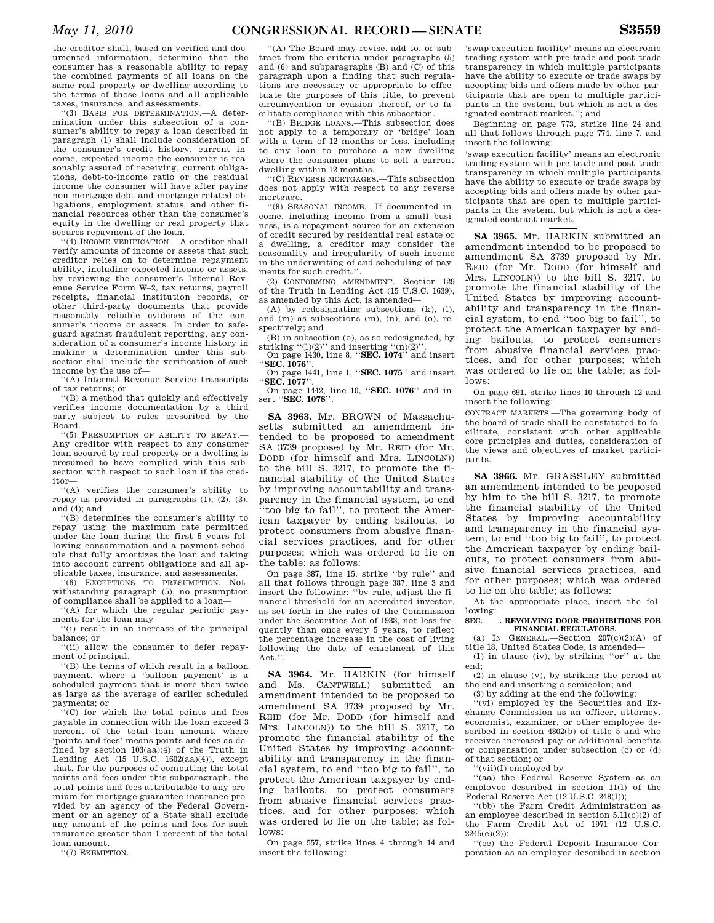the creditor shall, based on verified and documented information, determine that the consumer has a reasonable ability to repay the combined payments of all loans on the same real property or dwelling according to the terms of those loans and all applicable taxes, insurance, and assessments.

''(3) BASIS FOR DETERMINATION.—A determination under this subsection of a consumer's ability to repay a loan described in paragraph (1) shall include consideration of the consumer's credit history, current income, expected income the consumer is reasonably assured of receiving, current obligations, debt-to-income ratio or the residual income the consumer will have after paying non-mortgage debt and mortgage-related obligations, employment status, and other financial resources other than the consumer's equity in the dwelling or real property that secures repayment of the loan.

''(4) INCOME VERIFICATION.—A creditor shall verify amounts of income or assets that such creditor relies on to determine repayment ability, including expected income or assets, by reviewing the consumer's Internal Revenue Service Form W–2, tax returns, payroll receipts, financial institution records, or other third-party documents that provide reasonably reliable evidence of the consumer's income or assets. In order to safeguard against fraudulent reporting, any consideration of a consumer's income history in making a determination under this subsection shall include the verification of such income by the use of—

''(A) Internal Revenue Service transcripts of tax returns; or

''(B) a method that quickly and effectively verifies income documentation by a third party subject to rules prescribed by the Board.

''(5) PRESUMPTION OF ABILITY TO REPAY.— Any creditor with respect to any consumer loan secured by real property or a dwelling is presumed to have complied with this subsection with respect to such loan if the creditor—

''(A) verifies the consumer's ability to repay as provided in paragraphs (1), (2), (3), and (4); and

''(B) determines the consumer's ability to repay using the maximum rate permitted under the loan during the first 5 years following consummation and a payment schedule that fully amortizes the loan and taking into account current obligations and all applicable taxes, insurance, and assessments.

''(6) EXCEPTIONS TO PRESUMPTION.—Notwithstanding paragraph (5), no presumption of compliance shall be applied to a loan—

''(A) for which the regular periodic payments for the loan may—

''(i) result in an increase of the principal balance; or

''(ii) allow the consumer to defer repayment of principal.

''(B) the terms of which result in a balloon payment, where a 'balloon payment' is a scheduled payment that is more than twice as large as the average of earlier scheduled payments; or

''(C) for which the total points and fees payable in connection with the loan exceed 3 percent of the total loan amount, where 'points and fees' means points and fees as defined by section 103(aa)(4) of the Truth in Lending Act  $(15 \text{ U.S.C. } 1602(aa)(4))$ , except that, for the purposes of computing the total points and fees under this subparagraph, the total points and fees attributable to any premium for mortgage guarantee insurance provided by an agency of the Federal Government or an agency of a State shall exclude any amount of the points and fees for such insurance greater than 1 percent of the total loan amount.

''(7) EXEMPTION.—

''(A) The Board may revise, add to, or subtract from the criteria under paragraphs (5) and (6) and subparagraphs (B) and (C) of this paragraph upon a finding that such regulations are necessary or appropriate to effectuate the purposes of this title, to prevent circumvention or evasion thereof, or to facilitate compliance with this subsection.

''(B) BRIDGE LOANS.—This subsection does not apply to a temporary or 'bridge' loan with a term of 12 months or less, including to any loan to purchase a new dwelling where the consumer plans to sell a current dwelling within 12 months.

''(C) REVERSE MORTGAGES.—This subsection does not apply with respect to any reverse mortgage.

''(8) SEASONAL INCOME.—If documented income, including income from a small business, is a repayment source for an extension of credit secured by residential real estate or a dwelling, a creditor may consider the seasonality and irregularity of such income in the underwriting of and scheduling of payments for such credit."

(2) CONFORMING AMENDMENT.—Section 129 of the Truth in Lending Act (15 U.S.C. 1639), as amended by this Act, is amended—

(A) by redesignating subsections (k), (l), and (m) as subsections (m), (n), and (o), respectively; and

(B) in subsection (o), as so redesignated, by striking  $''(l)(2)$ " and inserting  $''(n)(2)$ "

On page 1430, line 8, ''**SEC. 1074**'' and insert ''**SEC. 1076**''.

On page 1441, line 1, ''**SEC. 1075**'' and insert ''**SEC. 1077**''.

On page 1442, line 10, ''**SEC. 1076**'' and insert ''**SEC. 1078**''.

**SA 3963.** Mr. BROWN of Massachusetts submitted an amendment intended to be proposed to amendment SA 3739 proposed by Mr. REID (for Mr. DODD (for himself and Mrs. LINCOLN)) to the bill S. 3217, to promote the financial stability of the United States by improving accountability and transparency in the financial system, to end 'too big to fail'', to protect the American taxpayer by ending bailouts, to protect consumers from abusive financial services practices, and for other purposes; which was ordered to lie on the table; as follows:

On page 387, line 15, strike ''by rule'' and all that follows through page 387, line 3 and insert the following: ''by rule, adjust the financial threshold for an accredited investor, as set forth in the rules of the Commission under the Securities Act of 1933, not less frequently than once every 5 years, to reflect the percentage increase in the cost of living following the date of enactment of this Act.''.

**SA 3964.** Mr. HARKIN (for himself and Ms. CANTWELL) submitted an amendment intended to be proposed to amendment SA 3739 proposed by Mr. REID (for Mr. DODD (for himself and Mrs. LINCOLN)) to the bill S. 3217, to promote the financial stability of the United States by improving accountability and transparency in the financial system, to end ''too big to fail'', to protect the American taxpayer by ending bailouts, to protect consumers from abusive financial services practices, and for other purposes; which was ordered to lie on the table; as follows:

On page 557, strike lines 4 through 14 and insert the following:

'swap execution facility' means an electronic trading system with pre-trade and post-trade transparency in which multiple participants have the ability to execute or trade swaps by accepting bids and offers made by other participants that are open to multiple participants in the system, but which is not a designated contract market.''; and

Beginning on page 773, strike line 24 and all that follows through page 774, line 7, and insert the following:

'swap execution facility' means an electronic trading system with pre-trade and post-trade transparency in which multiple participants have the ability to execute or trade swaps by accepting bids and offers made by other participants that are open to multiple participants in the system, but which is not a designated contract market.

**SA 3965.** Mr. HARKIN submitted an amendment intended to be proposed to amendment SA 3739 proposed by Mr. REID (for Mr. DODD (for himself and Mrs. LINCOLN)) to the bill S. 3217, to promote the financial stability of the United States by improving accountability and transparency in the financial system, to end ''too big to fail'', to protect the American taxpayer by ending bailouts, to protect consumers from abusive financial services practices, and for other purposes; which was ordered to lie on the table; as follows:

On page 691, strike lines 10 through 12 and insert the following:

CONTRACT MARKETS.—The governing body of the board of trade shall be constituted to facilitate, consistent with other applicable core principles and duties, consideration of the views and objectives of market participants.

**SA 3966.** Mr. GRASSLEY submitted an amendment intended to be proposed by him to the bill S. 3217, to promote the financial stability of the United States by improving accountability and transparency in the financial system, to end ''too big to fail'', to protect the American taxpayer by ending bailouts, to protect consumers from abusive financial services practices, and for other purposes; which was ordered to lie on the table; as follows:

At the appropriate place, insert the following:

# **SEC.** ll**. REVOLVING DOOR PROHIBITIONS FOR FINANCIAL REGULATORS.**

(a) IN GENERAL.—Section  $207(c)(2)(A)$  of title 18, United States Code, is amended—

(1) in clause (iv), by striking ''or'' at the end;

(2) in clause (v), by striking the period at the end and inserting a semicolon; and

(3) by adding at the end the following:

''(vi) employed by the Securities and Exchange Commission as an officer, attorney, economist, examiner, or other employee described in section 4802(b) of title 5 and who receives increased pay or additional benefits or compensation under subsection (c) or (d) of that section; or

''(vii)(I) employed by—

''(aa) the Federal Reserve System as an employee described in section 11(l) of the Federal Reserve Act (12 U.S.C. 248(l));

''(bb) the Farm Credit Administration as an employee described in section 5.11(c)(2) of the Farm Credit Act of 1971 (12 U.S.C.  $2245(c)(2)$ :

''(cc) the Federal Deposit Insurance Corporation as an employee described in section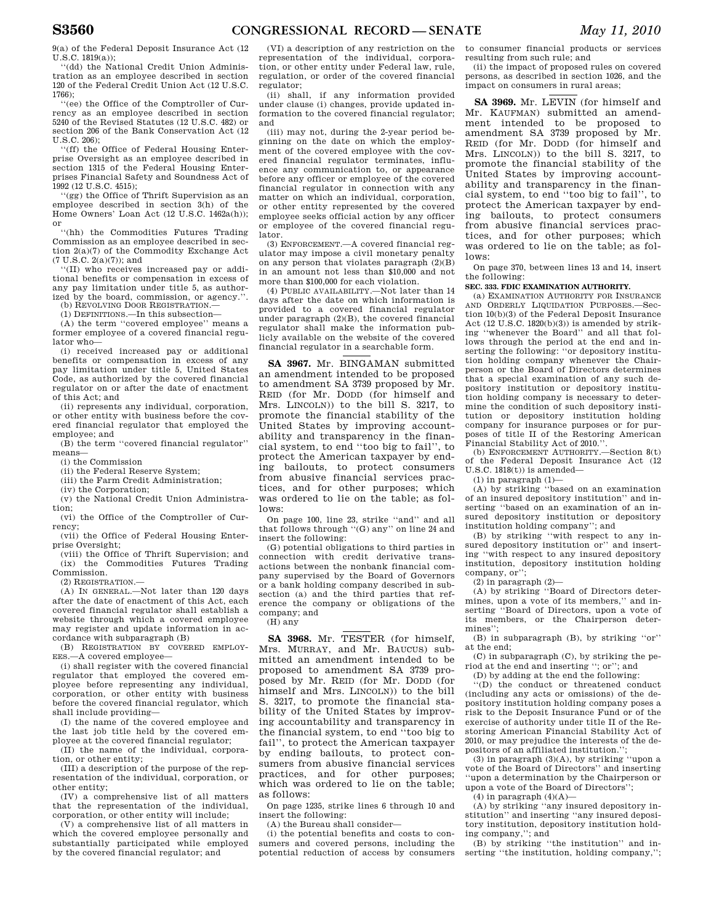9(a) of the Federal Deposit Insurance Act (12 U.S.C. 1819(a));

''(dd) the National Credit Union Administration as an employee described in section 120 of the Federal Credit Union Act (12 U.S.C. 1766);

''(ee) the Office of the Comptroller of Currency as an employee described in section 5240 of the Revised Statutes (12 U.S.C. 482) or section 206 of the Bank Conservation Act (12 U.S.C. 206);

''(ff) the Office of Federal Housing Enterprise Oversight as an employee described in section 1315 of the Federal Housing Enterprises Financial Safety and Soundness Act of 1992 (12 U.S.C. 4515);

''(gg) the Office of Thrift Supervision as an employee described in section 3(h) of the Home Owners' Loan Act (12 U.S.C. 1462a(h)); or

''(hh) the Commodities Futures Trading Commission as an employee described in section 2(a)(7) of the Commodity Exchange Act (7 U.S.C. 2(a)(7)); and

''(II) who receives increased pay or additional benefits or compensation in excess of any pay limitation under title 5, as authorized by the board, commission, or agency.''.

(b) REVOLVING DOOR REGISTRATION.— (1) DEFINITIONS.—In this subsection—

(A) the term ''covered employee'' means a

former employee of a covered financial regulator who— (i) received increased pay or additional

benefits or compensation in excess of any pay limitation under title 5, United States Code, as authorized by the covered financial regulator on or after the date of enactment of this Act; and

(ii) represents any individual, corporation, or other entity with business before the covered financial regulator that employed the employee; and

(B) the term ''covered financial regulator'' means—

(i) the Commission

(ii) the Federal Reserve System;

(iii) the Farm Credit Administration;

(iv) the Corporation;

(v) the National Credit Union Administration;

(vi) the Office of the Comptroller of Currency;

(vii) the Office of Federal Housing Enterprise Oversight;

(viii) the Office of Thrift Supervision; and (ix) the Commodities Futures Trading Commission.

(2) REGISTRATION.—

(A) IN GENERAL.—Not later than 120 days after the date of enactment of this Act, each covered financial regulator shall establish a website through which a covered employee may register and update information in accordance with subparagraph (B)

(B) REGISTRATION BY COVERED EMPLOY-EES.—A covered employee—

(i) shall register with the covered financial regulator that employed the covered employee before representing any individual, corporation, or other entity with business before the covered financial regulator, which shall include providing—

(I) the name of the covered employee and the last job title held by the covered employee at the covered financial regulator;

(II) the name of the individual, corporation, or other entity;

(III) a description of the purpose of the representation of the individual, corporation, or other entity;

(IV) a comprehensive list of all matters that the representation of the individual, corporation, or other entity will include;

(V) a comprehensive list of all matters in which the covered employee personally and substantially participated while employed by the covered financial regulator; and

(VI) a description of any restriction on the representation of the individual, corporation, or other entity under Federal law, rule, regulation, or order of the covered financial regulator;

(ii) shall, if any information provided under clause (i) changes, provide updated information to the covered financial regulator; and

(iii) may not, during the 2-year period beginning on the date on which the employment of the covered employee with the covered financial regulator terminates, influence any communication to, or appearance before any officer or employee of the covered financial regulator in connection with any matter on which an individual, corporation, or other entity represented by the covered employee seeks official action by any officer or employee of the covered financial regulator.

(3) ENFORCEMENT.—A covered financial regulator may impose a civil monetary penalty on any person that violates paragraph (2)(B) in an amount not less than \$10,000 and not more than \$100,000 for each violation.

(4) PUBLIC AVAILABILITY.—Not later than 14 days after the date on which information is provided to a covered financial regulator under paragraph (2)(B), the covered financial regulator shall make the information publicly available on the website of the covered financial regulator in a searchable form.

**SA 3967.** Mr. BINGAMAN submitted an amendment intended to be proposed to amendment SA 3739 proposed by Mr. REID (for Mr. DODD (for himself and Mrs. LINCOLN)) to the bill S. 3217, to promote the financial stability of the United States by improving accountability and transparency in the financial system, to end ''too big to fail'', to protect the American taxpayer by ending bailouts, to protect consumers from abusive financial services practices, and for other purposes; which was ordered to lie on the table; as follows:

On page 100, line 23, strike ''and'' and all that follows through ''(G) any'' on line 24 and insert the following:

(G) potential obligations to third parties in connection with credit derivative transactions between the nonbank financial company supervised by the Board of Governors or a bank holding company described in subsection (a) and the third parties that reference the company or obligations of the company; and

(H) any

**SA 3968.** Mr. TESTER (for himself, Mrs. MURRAY, and Mr. BAUCUS) submitted an amendment intended to be proposed to amendment SA 3739 proposed by Mr. REID (for Mr. DODD (for himself and Mrs. LINCOLN)) to the bill S. 3217, to promote the financial stability of the United States by improving accountability and transparency in the financial system, to end ''too big to fail'', to protect the American taxpayer by ending bailouts, to protect consumers from abusive financial services practices, and for other purposes; which was ordered to lie on the table; as follows:

On page 1235, strike lines 6 through 10 and insert the following:

(A) the Bureau shall consider—

(i) the potential benefits and costs to consumers and covered persons, including the potential reduction of access by consumers

to consumer financial products or services resulting from such rule; and

(ii) the impact of proposed rules on covered persons, as described in section 1026, and the impact on consumers in rural areas;

**SA 3969.** Mr. LEVIN (for himself and Mr. KAUFMAN) submitted an amendment intended to be proposed to amendment SA 3739 proposed by Mr. REID (for Mr. DODD (for himself and Mrs. LINCOLN)) to the bill S. 3217, to promote the financial stability of the United States by improving accountability and transparency in the financial system, to end ''too big to fail'', to protect the American taxpayer by ending bailouts, to protect consumers from abusive financial services practices, and for other purposes; which was ordered to lie on the table; as follows:

On page 370, between lines 13 and 14, insert the following:

# **SEC. 333. FDIC EXAMINATION AUTHORITY.**

(a) EXAMINATION AUTHORITY FOR INSURANCE AND ORDERLY LIQUIDATION PURPOSES.—Section 10(b)(3) of the Federal Deposit Insurance Act  $(12 \text{ U.S.C. } 1820(\text{b})(3))$  is amended by strik-<br>ing "whenever the Board" and all that fol-'whenever the Board'' and all that follows through the period at the end and inserting the following: ''or depository institution holding company whenever the Chairperson or the Board of Directors determines that a special examination of any such depository institution or depository institution holding company is necessary to determine the condition of such depository institution or depository institution holding company for insurance purposes or for purposes of title II of the Restoring American

Financial Stability Act of 2010.''. (b) ENFORCEMENT AUTHORITY.—Section 8(t) of the Federal Deposit Insurance Act (12 U.S.C.  $1818(t)$ ) is amended-

(1) in paragraph (1)—

(A) by striking ''based on an examination of an insured depository institution'' and inserting ''based on an examination of an insured depository institution or depository institution holding company''; and

(B) by striking ''with respect to any insured depository institution or'' and inserting ''with respect to any insured depository institution, depository institution holding company, or'';

 $(2)$  in paragraph  $(2)$ —

(A) by striking ''Board of Directors determines, upon a vote of its members,'' and inserting ''Board of Directors, upon a vote of its members, or the Chairperson determines'';

(B) in subparagraph (B), by striking ''or'' at the end;

(C) in subparagraph (C), by striking the period at the end and inserting ''; or''; and

(D) by adding at the end the following:

''(D) the conduct or threatened conduct (including any acts or omissions) of the depository institution holding company poses a risk to the Deposit Insurance Fund or of the exercise of authority under title II of the Restoring American Financial Stability Act of 2010, or may prejudice the interests of the depositors of an affiliated institution.'';

(3) in paragraph (3)(A), by striking ''upon a vote of the Board of Directors'' and inserting ''upon a determination by the Chairperson or upon a vote of the Board of Directors'';

 $(4)$  in paragraph  $(4)(A)$ 

(A) by striking ''any insured depository institution'' and inserting ''any insured depository institution, depository institution holding company,''; and

(B) by striking ''the institution'' and inserting ''the institution, holding company,'';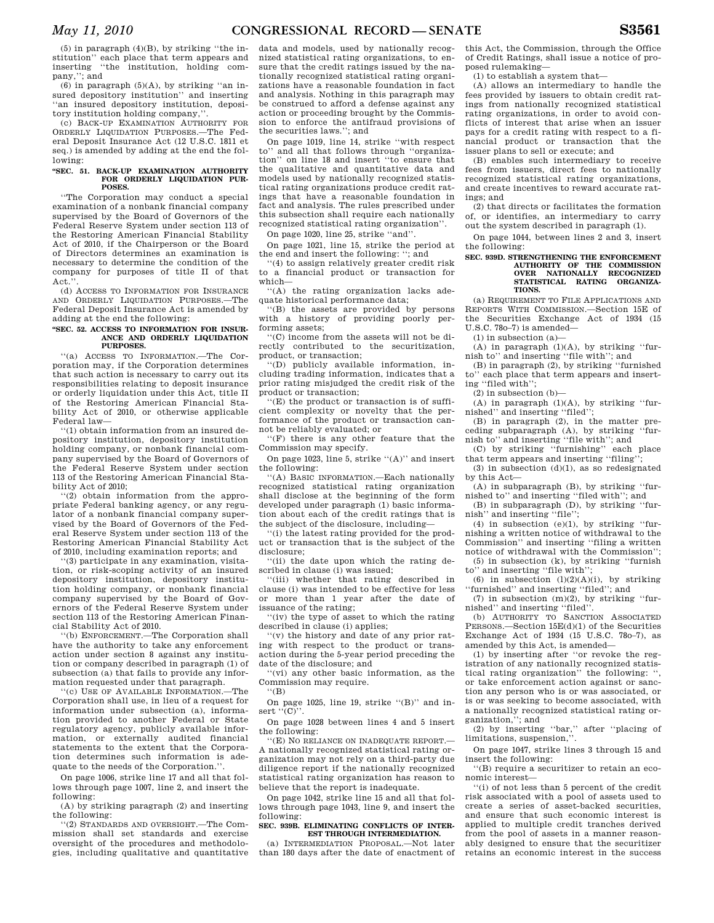(5) in paragraph (4)(B), by striking ''the institution" each place that term appears and<br>inserting "the institution, holding cominstitution, holding company,''; and

 $(6)$  in paragraph  $(5)(A)$ , by striking "an insured depository institution'' and inserting 'an insured depository institution, depository institution holding company,'

(c) BACK-UP EXAMINATION AUTHORITY FOR ORDERLY LIQUIDATION PURPOSES.—The Federal Deposit Insurance Act (12 U.S.C. 1811 et seq.) is amended by adding at the end the following:

#### **''SEC. 51. BACK-UP EXAMINATION AUTHORITY**  FOR ORDERLY LIQUIDATION PUR-**POSES.**

''The Corporation may conduct a special examination of a nonbank financial company supervised by the Board of Governors of the Federal Reserve System under section 113 of the Restoring American Financial Stability Act of 2010, if the Chairperson or the Board of Directors determines an examination is necessary to determine the condition of the company for purposes of title II of that Act.

(d) ACCESS TO INFORMATION FOR INSURANCE AND ORDERLY LIQUIDATION PURPOSES.—The Federal Deposit Insurance Act is amended by adding at the end the following:

#### **''SEC. 52. ACCESS TO INFORMATION FOR INSUR-ANCE AND ORDERLY LIQUIDATION PURPOSES.**

''(a) ACCESS TO INFORMATION.—The Corporation may, if the Corporation determines that such action is necessary to carry out its responsibilities relating to deposit insurance or orderly liquidation under this Act, title II of the Restoring American Financial Stability Act of 2010, or otherwise applicable Federal law—

''(1) obtain information from an insured depository institution, depository institution holding company, or nonbank financial company supervised by the Board of Governors of the Federal Reserve System under section 113 of the Restoring American Financial Stability Act of 2010;

''(2) obtain information from the appropriate Federal banking agency, or any regulator of a nonbank financial company supervised by the Board of Governors of the Federal Reserve System under section 113 of the Restoring American Financial Stability Act of 2010, including examination reports; and

''(3) participate in any examination, visitation, or risk-scoping activity of an insured depository institution, depository institution holding company, or nonbank financial company supervised by the Board of Governors of the Federal Reserve System under section 113 of the Restoring American Financial Stability Act of 2010.

''(b) ENFORCEMENT.—The Corporation shall have the authority to take any enforcement action under section 8 against any institution or company described in paragraph (1) of subsection (a) that fails to provide any information requested under that paragraph.

''(c) USE OF AVAILABLE INFORMATION.—The Corporation shall use, in lieu of a request for information under subsection (a), information provided to another Federal or State regulatory agency, publicly available information, or externally audited financial statements to the extent that the Corporation determines such information is adequate to the needs of the Corporation.''.

On page 1006, strike line 17 and all that follows through page 1007, line 2, and insert the following:

(A) by striking paragraph (2) and inserting the following:

''(2) STANDARDS AND OVERSIGHT.—The Commission shall set standards and exercise oversight of the procedures and methodologies, including qualitative and quantitative

data and models, used by nationally recognized statistical rating organizations, to ensure that the credit ratings issued by the nationally recognized statistical rating organizations have a reasonable foundation in fact and analysis. Nothing in this paragraph may be construed to afford a defense against any action or proceeding brought by the Commission to enforce the antifraud provisions of the securities laws.''; and

On page 1019, line 14, strike ''with respect to'' and all that follows through ''organization'' on line 18 and insert ''to ensure that the qualitative and quantitative data and models used by nationally recognized statistical rating organizations produce credit ratings that have a reasonable foundation in fact and analysis. The rules prescribed under this subsection shall require each nationally recognized statistical rating organization''.

On page 1020, line 25, strike ''and''.

On page 1021, line 15, strike the period at the end and insert the following: ''; and

''(4) to assign relatively greater credit risk to a financial product or transaction for which—

''(A) the rating organization lacks adequate historical performance data;

''(B) the assets are provided by persons with a history of providing poorly performing assets;

''(C) income from the assets will not be directly contributed to the securitization, product, or transaction;

''(D) publicly available information, including trading information, indicates that a prior rating misjudged the credit risk of the product or transaction;

''(E) the product or transaction is of sufficient complexity or novelty that the performance of the product or transaction cannot be reliably evaluated; or

''(F) there is any other feature that the Commission may specify.

On page 1023, line 5, strike ''(A)'' and insert the following:

''(A) BASIC INFORMATION.—Each nationally recognized statistical rating organization shall disclose at the beginning of the form developed under paragraph (1) basic information about each of the credit ratings that is the subject of the disclosure, including—

''(i) the latest rating provided for the product or transaction that is the subject of the disclosure;

''(ii) the date upon which the rating described in clause (i) was issued;

''(iii) whether that rating described in clause (i) was intended to be effective for less or more than 1 year after the date of issuance of the rating;

''(iv) the type of asset to which the rating described in clause (i) applies;

''(v) the history and date of any prior rating with respect to the product or transaction during the 5-year period preceding the date of the disclosure; and

''(vi) any other basic information, as the Commission may require.

 $``(B)$ On page 1025, line 19, strike ''(B)'' and insert  $\overline{C}(\overline{C})$ ".

On page 1028 between lines 4 and 5 insert

the following: ''(E) NO RELIANCE ON INADEQUATE REPORT.—

A nationally recognized statistical rating organization may not rely on a third-party due diligence report if the nationally recognized statistical rating organization has reason to believe that the report is inadequate.

On page 1042, strike line 15 and all that follows through page 1043, line 9, and insert the following:

**SEC. 939B. ELIMINATING CONFLICTS OF INTER-EST THROUGH INTERMEDIATION.** 

(a) INTERMEDIATION PROPOSAL.—Not later than 180 days after the date of enactment of this Act, the Commission, through the Office of Credit Ratings, shall issue a notice of proposed rulemaking—

(1) to establish a system that—

(A) allows an intermediary to handle the fees provided by issuers to obtain credit ratings from nationally recognized statistical rating organizations, in order to avoid conflicts of interest that arise when an issuer pays for a credit rating with respect to a financial product or transaction that the issuer plans to sell or execute; and

(B) enables such intermediary to receive fees from issuers, direct fees to nationally recognized statistical rating organizations, and create incentives to reward accurate ratings; and

(2) that directs or facilitates the formation of, or identifies, an intermediary to carry out the system described in paragraph (1).

On page 1044, between lines 2 and 3, insert the following:

# **SEC. 939D. STRENGTHENING THE ENFORCEMENT AUTHORITY OF THE COMMISSION OVER NATIONALLY RECOGNIZED STATISTICAL RATING ORGANIZA-TIONS.**

(a) REQUIREMENT TO FILE APPLICATIONS AND REPORTS WITH COMMISSION.—Section 15E of the Securities Exchange Act of 1934 (15 U.S.C. 78o–7) is amended—

(1) in subsection (a)—

 $(A)$  in paragraph  $(1)(A)$ , by striking "furnish to'' and inserting ''file with''; and

(B) in paragraph (2), by striking ''furnished to'' each place that term appears and inserting ''filed with'';

 $(2)$  in subsection  $(b)$ -

 $(A)$  in paragraph  $(1)(A)$ , by striking "furnished'' and inserting ''filed'';

(B) in paragraph (2), in the matter preceding subparagraph (A), by striking ''furnish to'' and inserting ''file with''; and

(C) by striking ''furnishing'' each place that term appears and inserting ''filing'';

(3) in subsection  $(d)(1)$ , as so redesignated by this Act—

 $(A)$  in subparagraph  $(B)$ , by striking "furnished to'' and inserting ''filed with''; and

(B) in subparagraph (D), by striking ''furnish'' and inserting ''file'';

(4) in subsection  $(e)(1)$ , by striking "furnishing a written notice of withdrawal to the Commission'' and inserting ''filing a written notice of withdrawal with the Commission''; (5) in subsection (k), by striking ''furnish to'' and inserting ''file with'';

(6) in subsection  $(l)(2)(A)(i)$ , by striking ''furnished'' and inserting ''filed''; and

(7) in subsection  $(m)(2)$ , by striking "furnished'' and inserting ''filed''.

(b) AUTHORITY TO SANCTION ASSOCIATED PERSONS.—Section 15E(d)(1) of the Securities Exchange Act of 1934 (15 U.S.C. 78o–7), as amended by this Act, is amended—

(1) by inserting after ''or revoke the registration of any nationally recognized statistical rating organization'' the following: '', or take enforcement action against or sanction any person who is or was associated, or is or was seeking to become associated, with a nationally recognized statistical rating organization,''; and

(2) by inserting ''bar,'' after ''placing of limitations, suspension,''.

On page 1047, strike lines 3 through 15 and insert the following:

''(B) require a securitizer to retain an economic interest—

''(i) of not less than 5 percent of the credit risk associated with a pool of assets used to create a series of asset-backed securities, and ensure that such economic interest is applied to multiple credit tranches derived from the pool of assets in a manner reasonably designed to ensure that the securitizer retains an economic interest in the success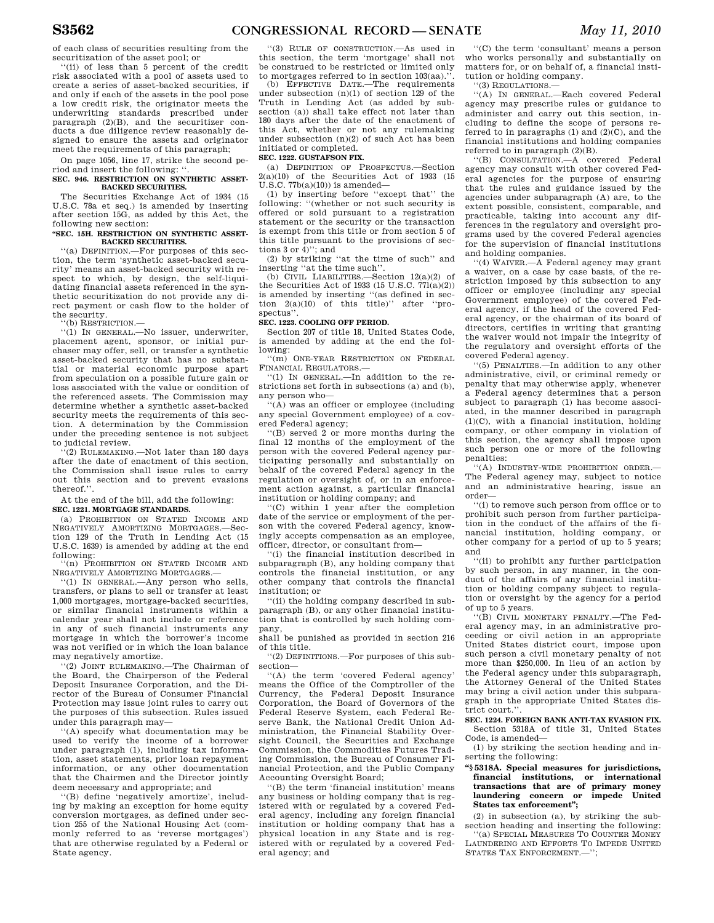of each class of securities resulting from the securitization of the asset pool; or

''(ii) of less than 5 percent of the credit risk associated with a pool of assets used to create a series of asset-backed securities, if and only if each of the assets in the pool pose a low credit risk, the originator meets the underwriting standards prescribed under paragraph (2)(B), and the securitizer conducts a due diligence review reasonably designed to ensure the assets and originator meet the requirements of this paragraph;

On page 1056, line 17, strike the second period and insert the following: ''.

# **SEC. 946. RESTRICTION ON SYNTHETIC ASSET-BACKED SECURITIES.**

The Securities Exchange Act of 1934 (15 U.S.C. 78a et seq.) is amended by inserting after section 15G, as added by this Act, the following new section:

# **''SEC. 15H. RESTRICTION ON SYNTHETIC ASSET-BACKED SECURITIES.**

''(a) DEFINITION.—For purposes of this section, the term 'synthetic asset-backed security' means an asset-backed security with respect to which, by design, the self-liquidating financial assets referenced in the synthetic securitization do not provide any direct payment or cash flow to the holder of the security.

''(b) RESTRICTION.—

''(1) IN GENERAL.—No issuer, underwriter, placement agent, sponsor, or initial purchaser may offer, sell, or transfer a synthetic asset-backed security that has no substantial or material economic purpose apart from speculation on a possible future gain or loss associated with the value or condition of the referenced assets. The Commission may determine whether a synthetic asset-backed security meets the requirements of this section. A determination by the Commission under the preceding sentence is not subject to judicial review.

''(2) RULEMAKING.—Not later than 180 days after the date of enactment of this section, the Commission shall issue rules to carry out this section and to prevent evasions thereof.''.

# At the end of the bill, add the following: **SEC. 1221. MORTGAGE STANDARDS.**

(a) PROHIBITION ON STATED INCOME AND NEGATIVELY AMORTIZING MORTGAGES.—Section 129 of the Truth in Lending Act (15 U.S.C. 1639) is amended by adding at the end following:

'(n) PROHIBITION ON STATED INCOME AND NEGATIVELY AMORTIZING MORTGAGES.—

''(1) IN GENERAL.—Any person who sells, transfers, or plans to sell or transfer at least 1,000 mortgages, mortgage-backed securities, or similar financial instruments within a calendar year shall not include or reference in any of such financial instruments any mortgage in which the borrower's income was not verified or in which the loan balance may negatively amortize.

''(2) JOINT RULEMAKING.—The Chairman of the Board, the Chairperson of the Federal Deposit Insurance Corporation, and the Director of the Bureau of Consumer Financial Protection may issue joint rules to carry out the purposes of this subsection. Rules issued under this paragraph may—

''(A) specify what documentation may be used to verify the income of a borrower under paragraph (1), including tax information, asset statements, prior loan repayment information, or any other documentation that the Chairmen and the Director jointly deem necessary and appropriate; and

''(B) define 'negatively amortize', including by making an exception for home equity conversion mortgages, as defined under section 255 of the National Housing Act (commonly referred to as 'reverse mortgages') that are otherwise regulated by a Federal or State agency.

''(3) RULE OF CONSTRUCTION.—As used in this section, the term 'mortgage' shall not be construed to be restricted or limited only to mortgages referred to in section 103(aa).'

(b) EFFECTIVE DATE.—The requirements under subsection (n)(1) of section 129 of the Truth in Lending Act (as added by subsection (a)) shall take effect not later than 180 days after the date of the enactment of this Act, whether or not any rulemaking under subsection (n)(2) of such Act has been initiated or completed.

# **SEC. 1222. GUSTAFSON FIX.**

(a) DEFINITION OF PROSPECTUS.—Section  $2(a)(10)$  of the Securities Act of 1933 (15 U.S.C.  $77b(a)(10)$  is amended—

(1) by inserting before ''except that'' the following: ''(whether or not such security is offered or sold pursuant to a registration statement or the security or the transaction is exempt from this title or from section 5 of this title pursuant to the provisions of sections 3 or  $\overline{4}$ )"; and

(2) by striking ''at the time of such'' and inserting ''at the time such''.

(b) CIVIL LIABILITIES.—Section 12(a)(2) of the Securities Act of  $1933$  (15 U.S.C. 77 $l(a)(2)$ ) is amended by inserting ''(as defined in section  $2(a)(10)$  of this title)" after "prospectus''.

# **SEC. 1223. COOLING OFF PERIOD.**

Section 207 of title 18, United States Code, is amended by adding at the end the following:

''(m) ONE-YEAR RESTRICTION ON FEDERAL FINANCIAL REGULATORS.—

''(1) IN GENERAL.—In addition to the restrictions set forth in subsections (a) and (b), any person who—

''(A) was an officer or employee (including any special Government employee) of a covered Federal agency;

''(B) served 2 or more months during the final 12 months of the employment of the person with the covered Federal agency participating personally and substantially on behalf of the covered Federal agency in the regulation or oversight of, or in an enforcement action against, a particular financial institution or holding company; and

''(C) within 1 year after the completion date of the service or employment of the person with the covered Federal agency, knowingly accepts compensation as an employee, officer, director, or consultant from—

''(i) the financial institution described in subparagraph (B), any holding company that controls the financial institution, or any other company that controls the financial institution; or

''(ii) the holding company described in subparagraph (B), or any other financial institution that is controlled by such holding company,

shall be punished as provided in section 216 of this title.

''(2) DEFINITIONS.—For purposes of this subsection—

''(A) the term 'covered Federal agency' means the Office of the Comptroller of the Currency, the Federal Deposit Insurance Corporation, the Board of Governors of the Federal Reserve System, each Federal Reserve Bank, the National Credit Union Administration, the Financial Stability Oversight Council, the Securities and Exchange Commission, the Commodities Futures Trading Commission, the Bureau of Consumer Financial Protection, and the Public Company Accounting Oversight Board;

''(B) the term 'financial institution' means any business or holding company that is registered with or regulated by a covered Federal agency, including any foreign financial institution or holding company that has a physical location in any State and is registered with or regulated by a covered Federal agency; and

''(C) the term 'consultant' means a person who works personally and substantially on matters for, or on behalf of, a financial institution or holding company.

''(3) REGULATIONS.—

''(A) IN GENERAL.—Each covered Federal agency may prescribe rules or guidance to administer and carry out this section, including to define the scope of persons referred to in paragraphs  $(1)$  and  $(2)(C)$ , and the financial institutions and holding companies referred to in paragraph (2)(B).

''(B) CONSULTATION.—A covered Federal agency may consult with other covered Federal agencies for the purpose of ensuring that the rules and guidance issued by the agencies under subparagraph (A) are, to the extent possible, consistent, comparable, and practicable, taking into account any differences in the regulatory and oversight programs used by the covered Federal agencies for the supervision of financial institutions and holding companies.

''(4) WAIVER.—A Federal agency may grant a waiver, on a case by case basis, of the restriction imposed by this subsection to any officer or employee (including any special Government employee) of the covered Federal agency, if the head of the covered Federal agency, or the chairman of its board of directors, certifies in writing that granting the waiver would not impair the integrity of the regulatory and oversight efforts of the covered Federal agency.

''(5) PENALTIES.—In addition to any other administrative, civil, or criminal remedy or penalty that may otherwise apply, whenever a Federal agency determines that a person subject to paragraph (1) has become associated, in the manner described in paragraph  $(1)(C)$ , with a financial institution, holding company, or other company in violation of this section, the agency shall impose upon such person one or more of the following penalties:

''(A) INDUSTRY-WIDE PROHIBITION ORDER.— The Federal agency may, subject to notice and an administrative hearing, issue an order—

''(i) to remove such person from office or to prohibit such person from further participation in the conduct of the affairs of the financial institution, holding company, or other company for a period of up to 5 years; and

''(ii) to prohibit any further participation by such person, in any manner, in the conduct of the affairs of any financial institution or holding company subject to regulation or oversight by the agency for a period of up to 5 years.

''(B) CIVIL MONETARY PENALTY.—The Federal agency may, in an administrative proceeding or civil action in an appropriate United States district court, impose upon such person a civil monetary penalty of not more than \$250,000. In lieu of an action by the Federal agency under this subparagraph, the Attorney General of the United States may bring a civil action under this subparagraph in the appropriate United States district court.''.

**SEC. 1224. FOREIGN BANK ANTI-TAX EVASION FIX.**  Section 5318A of title 31, United States Code, is amended-

(1) by striking the section heading and inserting the following:

# **''§ 5318A. Special measures for jurisdictions, financial institutions, or international transactions that are of primary money laundering concern or impede United States tax enforcement'';**

(2) in subsection (a), by striking the subsection heading and inserting the following: ''(a) SPECIAL MEASURES TO COUNTER MONEY

LAUNDERING AND EFFORTS TO IMPEDE UNITED STATES TAX ENFORCEMENT.—'';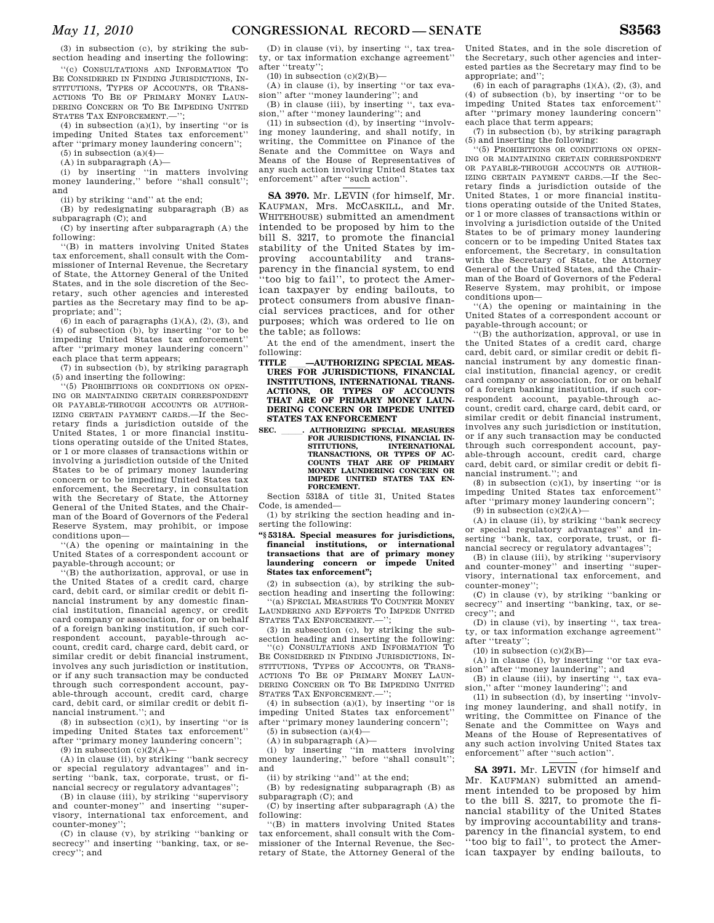(3) in subsection (c), by striking the subsection heading and inserting the following:

''(c) CONSULTATIONS AND INFORMATION TO BE CONSIDERED IN FINDING JURISDICTIONS, IN-STITUTIONS, TYPES OF ACCOUNTS, OR TRANS-ACTIONS TO BE OF PRIMARY MONEY LAUN-DERING CONCERN OR TO BE IMPEDING UNITED STATES TAX ENFORCEMENT.—'';

(4) in subsection (a)(1), by inserting "or is impeding United States tax enforcement'' after ''primary money laundering concern'';

(5) in subsection  $(a)(4)$ 

 $(A)$  in subparagraph  $(A)$ —

(i) by inserting ''in matters involving money laundering,'' before ''shall consult''; and

(ii) by striking ''and'' at the end;

(B) by redesignating subparagraph (B) as subparagraph (C); and

(C) by inserting after subparagraph (A) the following:

''(B) in matters involving United States tax enforcement, shall consult with the Commissioner of Internal Revenue, the Secretary of State, the Attorney General of the United States, and in the sole discretion of the Secretary, such other agencies and interested parties as the Secretary may find to be appropriate; and'';

 $(6)$  in each of paragraphs  $(1)(A)$ ,  $(2)$ ,  $(3)$ , and (4) of subsection (b), by inserting ''or to be impeding United States tax enforcement'' after ''primary money laundering concern'' each place that term appears;

(7) in subsection (b), by striking paragraph (5) and inserting the following:

''(5) PROHIBITIONS OR CONDITIONS ON OPEN-ING OR MAINTAINING CERTAIN CORRESPONDENT OR PAYABLE-THROUGH ACCOUNTS OR AUTHOR-IZING CERTAIN PAYMENT CARDS.—If the Secretary finds a jurisdiction outside of the United States, 1 or more financial institutions operating outside of the United States, or 1 or more classes of transactions within or involving a jurisdiction outside of the United States to be of primary money laundering concern or to be impeding United States tax enforcement, the Secretary, in consultation with the Secretary of State, the Attorney General of the United States, and the Chairman of the Board of Governors of the Federal Reserve System, may prohibit, or impose conditions upon—

''(A) the opening or maintaining in the United States of a correspondent account or payable-through account; or

''(B) the authorization, approval, or use in the United States of a credit card, charge card, debit card, or similar credit or debit financial instrument by any domestic financial institution, financial agency, or credit card company or association, for or on behalf of a foreign banking institution, if such correspondent account, payable-through account, credit card, charge card, debit card, or similar credit or debit financial instrument, involves any such jurisdiction or institution, or if any such transaction may be conducted through such correspondent account, payable-through account, credit card, charge card, debit card, or similar credit or debit financial instrument.''; and

 $(8)$  in subsection  $(c)(1)$ , by inserting "or is impeding United States tax enforcement'' after ''primary money laundering concern'';

(9) in subsection  $(c)(2)(A)$ -

(A) in clause (ii), by striking ''bank secrecy or special regulatory advantages'' and inserting ''bank, tax, corporate, trust, or financial secrecy or regulatory advantages'';

(B) in clause (iii), by striking ''supervisory and counter-money'' and inserting ''supervisory, international tax enforcement, and counter-money'';

(C) in clause (v), by striking ''banking or secrecy'' and inserting ''banking, tax, or secrecy''; and

(D) in clause (vi), by inserting '', tax treaty, or tax information exchange agreement'' after ''treaty'';

 $(10)$  in subsection  $(c)(2)(B)$ 

(A) in clause (i), by inserting ''or tax evasion'' after ''money laundering''; and

(B) in clause (iii), by inserting '', tax evasion,'' after ''money laundering''; and

(11) in subsection (d), by inserting ''involving money laundering, and shall notify, in writing, the Committee on Finance of the Senate and the Committee on Ways and Means of the House of Representatives of any such action involving United States tax enforcement'' after ''such action''.

**SA 3970.** Mr. LEVIN (for himself, Mr. KAUFMAN, Mrs. MCCASKILL, and Mr. WHITEHOUSE) submitted an amendment intended to be proposed by him to the bill S. 3217, to promote the financial stability of the United States by improving accountability and transparency in the financial system, to end ''too big to fail'', to protect the American taxpayer by ending bailouts, to protect consumers from abusive financial services practices, and for other purposes; which was ordered to lie on the table; as follows:

At the end of the amendment, insert the following:

- **TITLE** ll**—AUTHORIZING SPECIAL MEAS-URES FOR JURISDICTIONS, FINANCIAL INSTITUTIONS, INTERNATIONAL TRANS-ACTIONS, OR TYPES OF ACCOUNTS THAT ARE OF PRIMARY MONEY LAUN-DERING CONCERN OR IMPEDE UNITED STATES TAX ENFORCEMENT**
- SEC. \_\_\_\_\_\_. AUTHORIZING SPECIAL MEASURES<br>FOR JURISDICTIONS, FINANCIAL IN-**STITUTIONS, INTERNATIONAL TRANSACTIONS, OR TYPES OF AC-COUNTS THAT ARE OF PRIMARY MONEY LAUNDERING CONCERN OR IMPEDE UNITED STATES TAX EN-FORCEMENT.**

Section 5318A of title 31, United States Code, is amended—

(1) by striking the section heading and inserting the following:

**''§ 5318A. Special measures for jurisdictions, financial institutions, or international transactions that are of primary money laundering concern or impede United States tax enforcement'';** 

(2) in subsection (a), by striking the subsection heading and inserting the following:

''(a) SPECIAL MEASURES TO COUNTER MONEY LAUNDERING AND EFFORTS TO IMPEDE UNITED STATES TAX ENFORCEMENT-

(3) in subsection (c), by striking the subsection heading and inserting the following:

''(c) CONSULTATIONS AND INFORMATION TO BE CONSIDERED IN FINDING JURISDICTIONS, IN-STITUTIONS, TYPES OF ACCOUNTS, OR TRANS-ACTIONS TO BE OF PRIMARY MONEY LAUN-DERING CONCERN OR TO BE IMPEDING UNITED STATES TAX ENFORCEMENT.

(4) in subsection (a)(1), by inserting ''or is impeding United States tax enforcement'' after ''primary money laundering concern'';

 $(5)$  in subsection  $(a)(4)$ —

(A) in subparagraph (A)— (i) by inserting ''in matters involving money laundering,'' before ''shall consult''; and

(ii) by striking ''and'' at the end;

(B) by redesignating subparagraph (B) as subparagraph (C); and

(C) by inserting after subparagraph (A) the following:

''(B) in matters involving United States tax enforcement, shall consult with the Commissioner of the Internal Revenue, the Secretary of State, the Attorney General of the United States, and in the sole discretion of the Secretary, such other agencies and interested parties as the Secretary may find to be appropriate; and'';

 $(6)$  in each of paragraphs  $(1)(A)$ ,  $(2)$ ,  $(3)$ , and (4) of subsection (b), by inserting ''or to be impeding United States tax enforcement'' after ''primary money laundering concern'' each place that term appears;

(7) in subsection (b), by striking paragraph (5) and inserting the following:

''(5) PROHIBITIONS OR CONDITIONS ON OPEN-ING OR MAINTAINING CERTAIN CORRESPONDENT OR PAYABLE-THROUGH ACCOUNTS OR AUTHOR-IZING CERTAIN PAYMENT CARDS.—If the Secretary finds a jurisdiction outside of the United States, 1 or more financial institutions operating outside of the United States, or 1 or more classes of transactions within or involving a jurisdiction outside of the United States to be of primary money laundering concern or to be impeding United States tax enforcement, the Secretary, in consultation with the Secretary of State, the Attorney General of the United States, and the Chairman of the Board of Governors of the Federal Reserve System, may prohibit, or impose conditions upon—

''(A) the opening or maintaining in the United States of a correspondent account or payable-through account; or

''(B) the authorization, approval, or use in the United States of a credit card, charge card, debit card, or similar credit or debit financial instrument by any domestic financial institution, financial agency, or credit card company or association, for or on behalf of a foreign banking institution, if such correspondent account, payable-through account, credit card, charge card, debit card, or similar credit or debit financial instrument, involves any such jurisdiction or institution, or if any such transaction may be conducted through such correspondent account, payable-through account, credit card, charge card, debit card, or similar credit or debit financial instrument.''; and

 $(8)$  in subsection  $(c)(1)$ , by inserting "or is impeding United States tax enforcement'' after ''primary money laundering concern'';

(9) in subsection  $(c)(2)(A)$ —

(A) in clause (ii), by striking ''bank secrecy or special regulatory advantages'' and inserting ''bank, tax, corporate, trust, or financial secrecy or regulatory advantages'';

(B) in clause (iii), by striking ''supervisory and counter-money'' and inserting ''supervisory, international tax enforcement, and counter-money'';

(C) in clause (v), by striking ''banking or secrecy'' and inserting ''banking, tax, or secrecy''; and

(D) in clause (vi), by inserting '', tax treaty, or tax information exchange agreement'' after "treaty";

 $(10)$  in subsection  $(c)(2)(B)$ —

(A) in clause (i), by inserting ''or tax evasion'' after ''money laundering''; and

(B) in clause (iii), by inserting '', tax evasion,'' after ''money laundering''; and

(11) in subsection (d), by inserting ''involving money laundering, and shall notify, in writing, the Committee on Finance of the Senate and the Committee on Ways and Means of the House of Representatives of any such action involving United States tax enforcement'' after ''such action''.

**SA 3971.** Mr. LEVIN (for himself and Mr. KAUFMAN) submitted an amendment intended to be proposed by him to the bill S. 3217, to promote the financial stability of the United States by improving accountability and transparency in the financial system, to end ''too big to fail'', to protect the American taxpayer by ending bailouts, to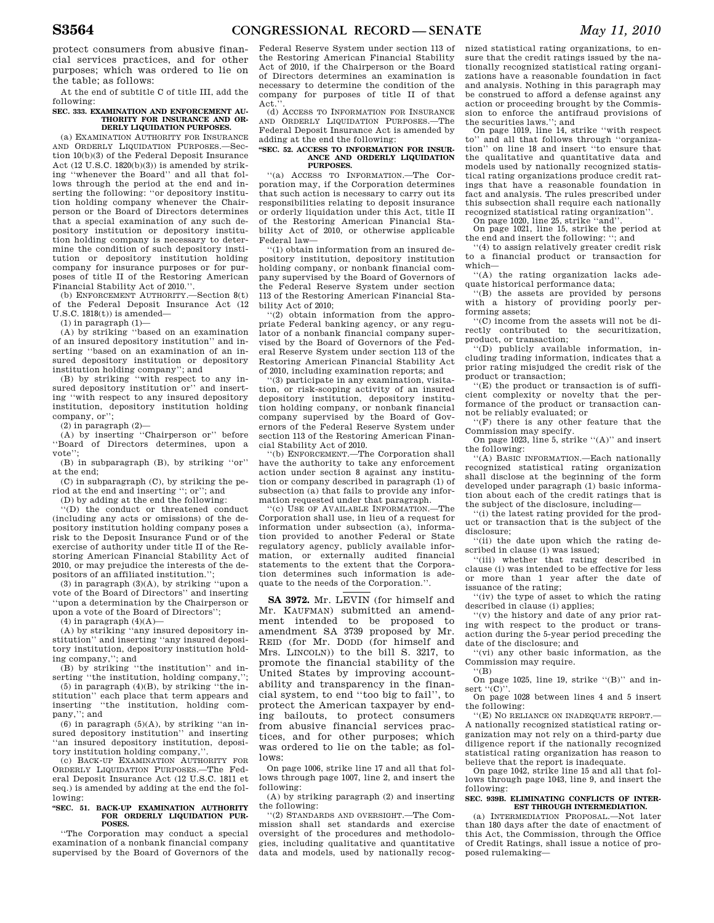protect consumers from abusive financial services practices, and for other purposes; which was ordered to lie on the table; as follows:

At the end of subtitle C of title III, add the following:

#### **SEC. 333. EXAMINATION AND ENFORCEMENT AU-THORITY FOR INSURANCE AND OR-DERLY LIQUIDATION PURPOSES.**

(a) EXAMINATION AUTHORITY FOR INSURANCE AND ORDERLY LIQUIDATION PURPOSES.—Section 10(b)(3) of the Federal Deposit Insurance Act  $(12 \text{ U.S.C. } 1820(b)(3))$  is amended by striking ''whenever the Board'' and all that follows through the period at the end and inserting the following: ''or depository institution holding company whenever the Chairperson or the Board of Directors determines that a special examination of any such depository institution or depository institution holding company is necessary to determine the condition of such depository institution or depository institution holding company for insurance purposes or for purposes of title II of the Restoring American Financial Stability Act of 2010.''.

(b) ENFORCEMENT AUTHORITY.—Section 8(t) of the Federal Deposit Insurance Act (12  $U.S.C. 1818(t)$  is amended-

 $(1)$  in paragraph  $(1)$ —

(A) by striking ''based on an examination of an insured depository institution'' and inserting ''based on an examination of an insured depository institution or depository institution holding company''; and

(B) by striking ''with respect to any insured depository institution or" and inserting ''with respect to any insured depository institution, depository institution holding company, or'';

(2) in paragraph (2)—

(A) by inserting ''Chairperson or'' before ''Board of Directors determines, upon a vote'';

(B) in subparagraph (B), by striking ''or'' at the end;

(C) in subparagraph (C), by striking the period at the end and inserting ''; or''; and

(D) by adding at the end the following:

''(D) the conduct or threatened conduct (including any acts or omissions) of the depository institution holding company poses a risk to the Deposit Insurance Fund or of the exercise of authority under title II of the Restoring American Financial Stability Act of 2010, or may prejudice the interests of the depositors of an affiliated institution.'';

(3) in paragraph (3)(A), by striking ''upon a vote of the Board of Directors'' and inserting ''upon a determination by the Chairperson or upon a vote of the Board of Directors'';

(4) in paragraph  $(4)(A)$ -

(A) by striking ''any insured depository institution'' and inserting ''any insured depository institution, depository institution holding company,''; and

(B) by striking ''the institution'' and inserting ''the institution, holding company,'';

 $(5)$  in paragraph  $(4)(B)$ , by striking "the institution'' each place that term appears and inserting ''the institution, holding company,''; and

 $(6)$  in paragraph  $(5)(A)$ , by striking "an insured depository institution'' and inserting ''an insured depository institution, depository institution holding company.

(c) BACK-UP EXAMINATION AUTHORITY FOR ORDERLY LIQUIDATION PURPOSES.—The Federal Deposit Insurance Act (12 U.S.C. 1811 et seq.) is amended by adding at the end the following:

#### **''SEC. 51. BACK-UP EXAMINATION AUTHORITY FOR ORDERLY LIQUIDATION PUR-POSES.**

''The Corporation may conduct a special examination of a nonbank financial company supervised by the Board of Governors of the

Federal Reserve System under section 113 of the Restoring American Financial Stability Act of 2010, if the Chairperson or the Board of Directors determines an examination is necessary to determine the condition of the company for purposes of title II of that Act.

(d) ACCESS TO INFORMATION FOR INSURANCE AND ORDERLY LIQUIDATION PURPOSES -The Federal Deposit Insurance Act is amended by adding at the end the following:

#### **''SEC. 52. ACCESS TO INFORMATION FOR INSUR-ANCE AND ORDERLY LIQUIDATION PURPOSES.**

''(a) ACCESS TO INFORMATION.—The Corporation may, if the Corporation determines that such action is necessary to carry out its responsibilities relating to deposit insurance or orderly liquidation under this Act, title II of the Restoring American Financial Stability Act of 2010, or otherwise applicable Federal law—

''(1) obtain information from an insured depository institution, depository institution holding company, or nonbank financial company supervised by the Board of Governors of the Federal Reserve System under section 113 of the Restoring American Financial Stability Act of 2010;

 $(2)$  obtain information from the appropriate Federal banking agency, or any regulator of a nonbank financial company supervised by the Board of Governors of the Federal Reserve System under section 113 of the Restoring American Financial Stability Act of 2010, including examination reports; and

''(3) participate in any examination, visitation, or risk-scoping activity of an insured depository institution, depository institution holding company, or nonbank financial company supervised by the Board of Governors of the Federal Reserve System under section 113 of the Restoring American Financial Stability Act of 2010.

''(b) ENFORCEMENT.—The Corporation shall have the authority to take any enforcement action under section 8 against any institution or company described in paragraph (1) of subsection (a) that fails to provide any information requested under that paragraph.

'(c) USE OF AVAILABLE INFORMATION.—The Corporation shall use, in lieu of a request for information under subsection (a), information provided to another Federal or State regulatory agency, publicly available information, or externally audited financial statements to the extent that the Corporation determines such information is adequate to the needs of the Corporation.''.

**SA 3972.** Mr. LEVIN (for himself and Mr. KAUFMAN) submitted an amendment intended to be proposed to amendment SA 3739 proposed by Mr. REID (for Mr. DODD (for himself and Mrs. LINCOLN)) to the bill S. 3217, to promote the financial stability of the United States by improving accountability and transparency in the financial system, to end ''too big to fail'', to protect the American taxpayer by ending bailouts, to protect consumers from abusive financial services practices, and for other purposes; which was ordered to lie on the table; as follows:

On page 1006, strike line 17 and all that follows through page 1007, line 2, and insert the following:

(A) by striking paragraph (2) and inserting the following:

''(2) STANDARDS AND OVERSIGHT.—The Commission shall set standards and exercise oversight of the procedures and methodologies, including qualitative and quantitative data and models, used by nationally recognized statistical rating organizations, to ensure that the credit ratings issued by the nationally recognized statistical rating organizations have a reasonable foundation in fact and analysis. Nothing in this paragraph may be construed to afford a defense against any action or proceeding brought by the Commission to enforce the antifraud provisions of the securities laws.''; and

On page 1019, line 14, strike ''with respect to'' and all that follows through ''organization'' on line 18 and insert ''to ensure that the qualitative and quantitative data and models used by nationally recognized statistical rating organizations produce credit ratings that have a reasonable foundation in fact and analysis. The rules prescribed under this subsection shall require each nationally recognized statistical rating organization''.

On page 1020, line 25, strike ''and''. On page 1021, line 15, strike the period at

the end and insert the following: ''; and

''(4) to assign relatively greater credit risk to a financial product or transaction for which—

''(A) the rating organization lacks adequate historical performance data;

''(B) the assets are provided by persons with a history of providing poorly performing assets;

''(C) income from the assets will not be directly contributed to the securitization, product, or transaction;

''(D) publicly available information, including trading information, indicates that a prior rating misjudged the credit risk of the product or transaction;

''(E) the product or transaction is of sufficient complexity or novelty that the performance of the product or transaction cannot be reliably evaluated; or

''(F) there is any other feature that the Commission may specify.

On page 1023, line 5, strike ''(A)'' and insert the following:

''(A) BASIC INFORMATION.—Each nationally recognized statistical rating organization shall disclose at the beginning of the form developed under paragraph (1) basic information about each of the credit ratings that is the subject of the disclosure, including—

''(i) the latest rating provided for the product or transaction that is the subject of the disclosure;

''(ii) the date upon which the rating described in clause (i) was issued;

''(iii) whether that rating described in clause (i) was intended to be effective for less or more than 1 year after the date of issuance of the rating;

''(iv) the type of asset to which the rating described in clause (i) applies;

''(v) the history and date of any prior rating with respect to the product or transaction during the 5-year period preceding the date of the disclosure; and

''(vi) any other basic information, as the Commission may require.

''(B)

On page 1025, line 19, strike " $(B)$ " and insert  $\cdot \cdot \cdot (C)$ .

On page 1028 between lines 4 and 5 insert the following:

''(E) NO RELIANCE ON INADEQUATE REPORT.— A nationally recognized statistical rating organization may not rely on a third-party due diligence report if the nationally recognized statistical rating organization has reason to believe that the report is inadequate.

On page 1042, strike line 15 and all that follows through page 1043, line 9, and insert the following:

# SEC. 939B. ELIMINATING CONFLICTS OF INTER-**EST THROUGH INTERMEDIATION.**

(a) INTERMEDIATION PROPOSAL.—Not later than 180 days after the date of enactment of this Act, the Commission, through the Office of Credit Ratings, shall issue a notice of proposed rulemaking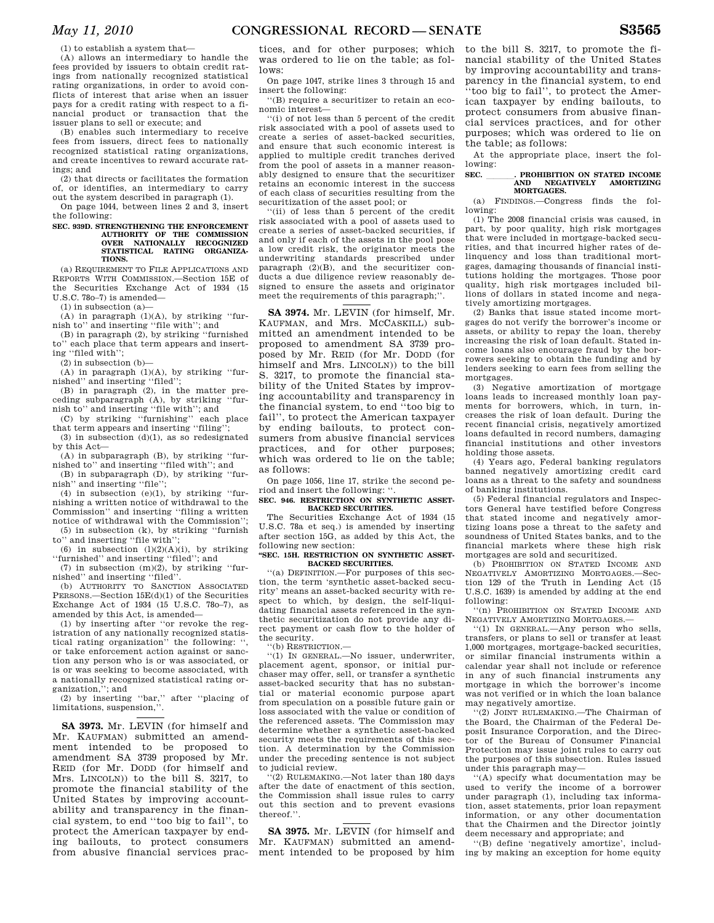(1) to establish a system that—

(A) allows an intermediary to handle the fees provided by issuers to obtain credit ratings from nationally recognized statistical rating organizations, in order to avoid conflicts of interest that arise when an issuer pays for a credit rating with respect to a financial product or transaction that the issuer plans to sell or execute; and

(B) enables such intermediary to receive fees from issuers, direct fees to nationally recognized statistical rating organizations, and create incentives to reward accurate ratings; and

(2) that directs or facilitates the formation of, or identifies, an intermediary to carry out the system described in paragraph (1).

On page 1044, between lines 2 and 3, insert the following:

# **SEC. 939D. STRENGTHENING THE ENFORCEMENT AUTHORITY OF THE COMMISSION OVER NATIONALLY RECOGNIZED STATISTICAL RATING ORGANIZA-TIONS.**

(a) REQUIREMENT TO FILE APPLICATIONS AND REPORTS WITH COMMISSION.—Section 15E of the Securities Exchange Act of 1934 (15 U.S.C. 78o–7) is amended—

(1) in subsection (a)—

 $(A)$  in paragraph  $(1)(A)$ , by striking "furnish to'' and inserting ''file with''; and

(B) in paragraph (2), by striking ''furnished to'' each place that term appears and insert-

ing ''filed with'';

(2) in subsection (b)—

(A) in paragraph  $(1)(A)$ , by striking "furnished'' and inserting ''filed'';

(B) in paragraph (2), in the matter preceding subparagraph (A), by striking ''furnish to'' and inserting "file with"; and<br>
(C) by striking "furnishing" each place

 $(C)$  by striking "furnishing" that term appears and inserting ''filing'';

 $(3)$  in subsection  $(d)(1)$ , as so redesignated by this Act—

 $(A)$  in subparagraph (B), by striking "furnished to'' and inserting ''filed with''; and (B) in subparagraph (D), by striking ''fur-

nish'' and inserting ''file'';

(4) in subsection  $(e)(1)$ , by striking "furnishing a written notice of withdrawal to the Commission'' and inserting ''filing a written notice of withdrawal with the Commission'';

(5) in subsection (k), by striking ''furnish to'' and inserting ''file with'';

(6) in subsection  $(l)(2)(A)(i)$ , by striking ''furnished'' and inserting ''filed''; and

(7) in subsection (m)(2), by striking ''furnished'' and inserting ''filed''.

(b) AUTHORITY TO SANCTION ASSOCIATED PERSONS.—Section 15E(d)(1) of the Securities Exchange Act of 1934 (15 U.S.C. 78o–7), as amended by this Act, is amended—

(1) by inserting after ''or revoke the registration of any nationally recognized statistical rating organization'' the following: '', or take enforcement action against or sanction any person who is or was associated, or is or was seeking to become associated, with a nationally recognized statistical rating organization,''; and

(2) by inserting ''bar,'' after ''placing of limitations, suspension,''.

**SA 3973.** Mr. LEVIN (for himself and Mr. KAUFMAN) submitted an amendment intended to be proposed to amendment SA 3739 proposed by Mr. REID (for Mr. DODD (for himself and Mrs. LINCOLN)) to the bill S. 3217, to promote the financial stability of the United States by improving accountability and transparency in the financial system, to end ''too big to fail'', to protect the American taxpayer by ending bailouts, to protect consumers from abusive financial services prac-

tices, and for other purposes; which was ordered to lie on the table; as follows:

On page 1047, strike lines 3 through 15 and insert the following:

''(B) require a securitizer to retain an economic interest—

''(i) of not less than 5 percent of the credit risk associated with a pool of assets used to create a series of asset-backed securities, and ensure that such economic interest is applied to multiple credit tranches derived from the pool of assets in a manner reasonably designed to ensure that the securitizer retains an economic interest in the success of each class of securities resulting from the securitization of the asset pool; or

''(ii) of less than 5 percent of the credit risk associated with a pool of assets used to create a series of asset-backed securities, if and only if each of the assets in the pool pose a low credit risk, the originator meets the underwriting standards prescribed under paragraph (2)(B), and the securitizer conducts a due diligence review reasonably designed to ensure the assets and originator meet the requirements of this paragraph;''.

**SA 3974.** Mr. LEVIN (for himself, Mr. KAUFMAN, and Mrs. MCCASKILL) submitted an amendment intended to be proposed to amendment SA 3739 proposed by Mr. REID (for Mr. DODD (for himself and Mrs. LINCOLN)) to the bill S. 3217, to promote the financial stability of the United States by improving accountability and transparency in the financial system, to end ''too big to fail'', to protect the American taxpayer by ending bailouts, to protect consumers from abusive financial services practices, and for other purposes; which was ordered to lie on the table; as follows:

On page 1056, line 17, strike the second period and insert the following: '

# **SEC. 946. RESTRICTION ON SYNTHETIC ASSET-BACKED SECURITIES.**

The Securities Exchange Act of 1934 (15 U.S.C. 78a et seq.) is amended by inserting after section 15G, as added by this Act, the following new section:

# **''SEC. 15H. RESTRICTION ON SYNTHETIC ASSET-BACKED SECURITIES.**

''(a) DEFINITION.—For purposes of this section, the term 'synthetic asset-backed security' means an asset-backed security with respect to which, by design, the self-liquidating financial assets referenced in the synthetic securitization do not provide any direct payment or cash flow to the holder of the security.

''(b) RESTRICTION.—

''(1) IN GENERAL.—No issuer, underwriter, placement agent, sponsor, or initial purchaser may offer, sell, or transfer a synthetic asset-backed security that has no substantial or material economic purpose apart from speculation on a possible future gain or loss associated with the value or condition of the referenced assets. The Commission may determine whether a synthetic asset-backed security meets the requirements of this section. A determination by the Commission under the preceding sentence is not subject to judicial review.

''(2) RULEMAKING.—Not later than 180 days after the date of enactment of this section, the Commission shall issue rules to carry out this section and to prevent evasions thereof.''.

**SA 3975.** Mr. LEVIN (for himself and Mr. KAUFMAN) submitted an amendment intended to be proposed by him

to the bill S. 3217, to promote the financial stability of the United States by improving accountability and transparency in the financial system, to end ''too big to fail'', to protect the American taxpayer by ending bailouts, to protect consumers from abusive financial services practices, and for other purposes; which was ordered to lie on the table; as follows:

At the appropriate place, insert the following:

#### SEC. \_\_\_\_\_\_. PROHIBITION ON STATED INCOME **AND NEGATIVELY AMORTIZING MORTGAGES.**

(a) FINDINGS.—Congress finds the following:

(1) The 2008 financial crisis was caused, in part, by poor quality, high risk mortgages that were included in mortgage-backed securities, and that incurred higher rates of delinquency and loss than traditional mortgages, damaging thousands of financial institutions holding the mortgages. Those poor quality, high risk mortgages included billions of dollars in stated income and negatively amortizing mortgages.

(2) Banks that issue stated income mortgages do not verify the borrower's income or assets, or ability to repay the loan, thereby increasing the risk of loan default. Stated income loans also encourage fraud by the borrowers seeking to obtain the funding and by lenders seeking to earn fees from selling the mortgages.

(3) Negative amortization of mortgage loans leads to increased monthly loan payments for borrowers, which, in turn, increases the risk of loan default. During the recent financial crisis, negatively amortized loans defaulted in record numbers, damaging financial institutions and other investors holding those assets.

(4) Years ago, Federal banking regulators banned negatively amortizing credit card loans as a threat to the safety and soundness of banking institutions.

(5) Federal financial regulators and Inspectors General have testified before Congress that stated income and negatively amortizing loans pose a threat to the safety and soundness of United States banks, and to the financial markets where these high risk mortgages are sold and securitized.

(b) PROHIBITION ON STATED INCOME AND NEGATIVELY AMORTIZING MORTGAGES.—Section 129 of the Truth in Lending Act (15 U.S.C. 1639) is amended by adding at the end following:

''(n) PROHIBITION ON STATED INCOME AND NEGATIVELY AMORTIZING MORTGAGES.—

''(1) IN GENERAL.—Any person who sells, transfers, or plans to sell or transfer at least 1,000 mortgages, mortgage-backed securities, or similar financial instruments within a calendar year shall not include or reference in any of such financial instruments any mortgage in which the borrower's income was not verified or in which the loan balance may negatively amortize.

''(2) JOINT RULEMAKING.—The Chairman of the Board, the Chairman of the Federal Deposit Insurance Corporation, and the Director of the Bureau of Consumer Financial Protection may issue joint rules to carry out the purposes of this subsection. Rules issued under this paragraph may—

''(A) specify what documentation may be used to verify the income of a borrower under paragraph (1), including tax information, asset statements, prior loan repayment information, or any other documentation that the Chairmen and the Director jointly deem necessary and appropriate; and

''(B) define 'negatively amortize', including by making an exception for home equity